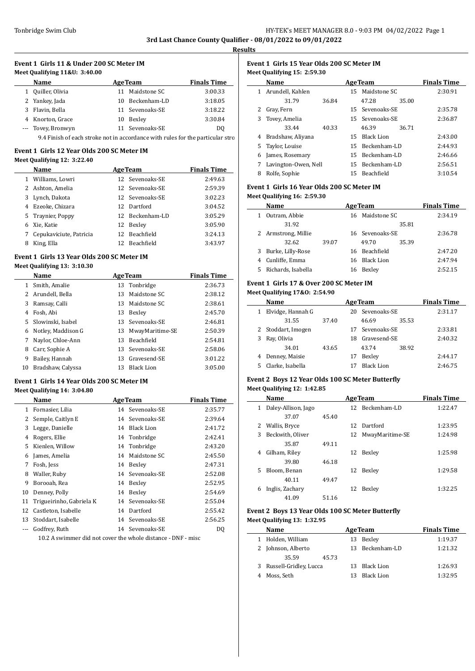$\overline{\phantom{a}}$ 

 $\overline{\phantom{a}}$ 

# **Event 1 Girls 11 & Under 200 SC Meter IM Meet Qualifying 11&U: 3:40.00**

|   | <b>Name</b>                                                                    |    | <b>AgeTeam</b>  | <b>Finals Time</b> |
|---|--------------------------------------------------------------------------------|----|-----------------|--------------------|
| 1 | Quiller, Olivia                                                                | 11 | Maidstone SC    | 3:00.33            |
|   | 2 Yankey, Jada                                                                 |    | 10 Beckenham-LD | 3:18.05            |
| 3 | Flavin, Bella                                                                  |    | 11 Sevenoaks-SE | 3:18.22            |
|   | 4 Knorton, Grace                                                               | 10 | Bexley          | 3:30.84            |
|   | --- Tovey, Bronwyn                                                             |    | 11 Sevenoaks-SE | DO.                |
|   | 9.4 Einish of each stroke not in accordance with rules for the particular stre |    |                 |                    |

#### 9.4 Finish of each stroke not in accordance with rules for the particular stro

# **Event 1 Girls 12 Year Olds 200 SC Meter IM**

|  |  | Meet Qualifying 12: 3:22.40 |  |  |  |
|--|--|-----------------------------|--|--|--|
|--|--|-----------------------------|--|--|--|

|   | Name                    |     | <b>AgeTeam</b>  | <b>Finals Time</b> |
|---|-------------------------|-----|-----------------|--------------------|
| 1 | Williams, Lowri         |     | 12 Sevenoaks-SE | 2:49.63            |
|   | 2 Ashton, Amelia        |     | 12 Sevenoaks-SE | 2:59.39            |
| 3 | Lynch, Dakota           |     | 12 Sevenoaks-SE | 3:02.23            |
| 4 | Ezeoke, Chizara         |     | 12 Dartford     | 3:04.52            |
|   | 5 Traynier, Poppy       |     | 12 Beckenham-LD | 3:05.29            |
| 6 | Xie, Katie              | 12  | Bexley          | 3:05.90            |
| 7 | Cepukaviciute, Patricia |     | 12 Beachfield   | 3:24.13            |
| 8 | King, Ella              | 12. | Beachfield      | 3:43.97            |

#### **Event 1 Girls 13 Year Olds 200 SC Meter IM Meet Qualifying 13: 3:10.30**

|    | Name               |    | <b>AgeTeam</b>    | <b>Finals Time</b> |
|----|--------------------|----|-------------------|--------------------|
| 1  | Smith, Amalie      |    | 13 Tonbridge      | 2:36.73            |
| 2  | Arundell, Bella    | 13 | Maidstone SC      | 2:38.12            |
| 3  | Ramsay, Calli      | 13 | Maidstone SC      | 2:38.61            |
| 4  | Fosh, Abi          | 13 | Bexley            | 2:45.70            |
| 5  | Slowinski, Isabel  | 13 | Sevenoaks-SE      | 2:46.81            |
| 6  | Notley, Maddison G | 13 | MwayMaritime-SE   | 2:50.39            |
| 7  | Naylor, Chloe-Ann  | 13 | Beachfield        | 2:54.81            |
| 8  | Carr, Sophie A     | 13 | Sevenoaks-SE      | 2:58.06            |
| 9  | Bailey, Hannah     | 13 | Gravesend-SE      | 3:01.22            |
| 10 | Bradshaw, Calyssa  | 13 | <b>Black Lion</b> | 3:05.00            |

## **Event 1 Girls 14 Year Olds 200 SC Meter IM Meet Qualifying 14: 3:04.80**

|    | Name                     |    | <b>AgeTeam</b>    | <b>Finals Time</b> |
|----|--------------------------|----|-------------------|--------------------|
| 1  | Fornasier, Lilia         |    | 14 Sevenoaks-SE   | 2:35.77            |
| 2  | Semple, Caitlyn E        | 14 | Sevenoaks-SE      | 2:39.64            |
| 3  | Legge, Danielle          | 14 | <b>Black Lion</b> | 2:41.72            |
| 4  | Rogers, Ellie            |    | 14 Tonbridge      | 2:42.41            |
| 5  | Kienlen, Willow          |    | 14 Tonbridge      | 2:43.20            |
| 6  | James, Amelia            | 14 | Maidstone SC      | 2:45.50            |
| 7  | Fosh, Jess               | 14 | Bexley            | 2:47.31            |
| 8  | Waller, Ruby             | 14 | Sevenoaks-SE      | 2:52.08            |
| 9  | Borooah, Rea             | 14 | Bexley            | 2:52.95            |
| 10 | Denney, Polly            | 14 | Bexley            | 2:54.69            |
| 11 | Trigueirinho, Gabriela K | 14 | Sevenoaks-SE      | 2:55.04            |
| 12 | Castleton, Isabelle      | 14 | Dartford          | 2:55.42            |
| 13 | Stoddart, Isabelle       | 14 | Sevenoaks-SE      | 2:56.25            |
|    | Godfrey, Ruth            | 14 | Sevenoaks-SE      | DQ                 |

10.2 A swimmer did not cover the whole distance - DNF - misc

## **Event 1 Girls 15 Year Olds 200 SC Meter IM Meet Qualifying 15: 2:59.30**

|   | <b>Name</b>          |       | <b>AgeTeam</b> | <b>Finals Time</b> |       |         |
|---|----------------------|-------|----------------|--------------------|-------|---------|
| 1 | Arundell, Kahlen     |       |                | 15 Maidstone SC    |       | 2:30.91 |
|   | 31.79                | 36.84 |                | 47.28              | 35.00 |         |
|   | 2 Gray, Fern         |       |                | 15 Sevenoaks-SE    |       | 2:35.78 |
| 3 | Tovey, Amelia        |       |                | 15 Sevenoaks-SE    |       | 2:36.87 |
|   | 33.44                | 40.33 |                | 46.39              | 36.71 |         |
| 4 | Bradshaw, Aliyana    |       | 15             | Black Lion         |       | 2:43.00 |
|   | 5 Taylor, Louise     |       | 15             | Beckenham-LD       |       | 2:44.93 |
| 6 | James, Rosemary      |       | 15             | Beckenham-LD       |       | 2:46.66 |
|   | Lavington-Owen, Nell |       |                | 15 Beckenham-LD    |       | 2:56.51 |
| 8 | Rolfe, Sophie        |       | 15             | Beachfield         |       | 3:10.54 |

## **Event 1 Girls 16 Year Olds 200 SC Meter IM Meet Qualifying 16: 2:59.30**

|   | Name               |       | <b>AgeTeam</b> | <b>Finals Time</b> |       |         |
|---|--------------------|-------|----------------|--------------------|-------|---------|
|   | Outram, Abbie      |       |                | 16 Maidstone SC    |       | 2:34.19 |
|   | 31.92              |       |                |                    | 35.81 |         |
|   | Armstrong, Millie  |       |                | 16 Sevenoaks-SE    |       | 2:36.78 |
|   | 32.62              | 39.07 |                | 49.70              | 35.39 |         |
| 3 | Burke, Lilly-Rose  |       |                | 16 Beachfield      |       | 2:47.20 |
| 4 | Cunliffe, Emma     |       | 16.            | Black Lion         |       | 2:47.94 |
| 5 | Richards, Isabella |       | 16             | Bexley             |       | 2:52.15 |

## **Event 1 Girls 17 & Over 200 SC Meter IM Meet Qualifying 17&O: 2:54.90**

| Name               |       | <b>AgeTeam</b> | <b>Finals Time</b> |       |         |
|--------------------|-------|----------------|--------------------|-------|---------|
| Elvidge, Hannah G  |       | 20             | Sevenoaks-SE       |       | 2:31.17 |
| 31.55              | 37.40 |                | 46.69              | 35.53 |         |
| 2 Stoddart, Imogen |       |                | 17 Sevenoaks-SE    |       | 2:33.81 |
| Ray, Olivia        |       | 18             | Gravesend-SE       |       | 2:40.32 |
| 34.01              | 43.65 |                | 43.74              | 38.92 |         |
| Denney, Maisie     |       | 17             | Bexley             |       | 2:44.17 |
| Clarke, Isabella   |       |                | <b>Black Lion</b>  |       | 2:46.75 |

# **Event 2 Boys 12 Year Olds 100 SC Meter Butterfly Meet Qualifying 12: 1:42.85**

| Name                     |       |     | <b>AgeTeam</b>  | <b>Finals Time</b> |
|--------------------------|-------|-----|-----------------|--------------------|
| Daley-Allison, Jago<br>1 |       |     | 12 Beckenham-LD | 1:22.47            |
| 37.07                    | 45.40 |     |                 |                    |
| 2<br>Wallis, Bryce       |       | 12. | Dartford        | 1:23.95            |
| 3<br>Beckwith, Oliver    |       | 12  | MwayMaritime-SE | 1:24.98            |
| 35.87                    | 49.11 |     |                 |                    |
| Gilham, Riley<br>4       |       | 12  | Bexley          | 1:25.98            |
| 39.80                    | 46.18 |     |                 |                    |
| 5<br>Bloom, Benan        |       | 12  | Bexley          | 1:29.58            |
| 40.11                    | 49.47 |     |                 |                    |
| Inglis, Zachary<br>6     |       | 12  | Bexley          | 1:32.25            |
| 41.09                    | 51.16 |     |                 |                    |

## **Event 2 Boys 13 Year Olds 100 SC Meter Butterfly Meet Qualifying 13: 1:32.95**

|   | Name                     | <b>AgeTeam</b> | <b>Finals Time</b> |         |
|---|--------------------------|----------------|--------------------|---------|
|   | 1 Holden, William        |                | 13 Bexley          | 1:19.37 |
|   | 2 Johnson, Alberto       |                | 13 Beckenham-LD    | 1:21.32 |
|   | 35.59<br>45.73           |                |                    |         |
|   | 3 Russell-Gridley, Lucca |                | 13 Black Lion      | 1:26.93 |
| 4 | Moss, Seth               | 13.            | Black Lion         | 1:32.95 |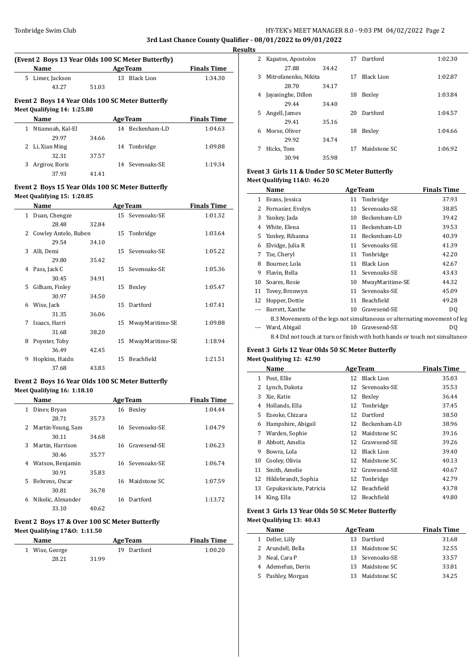# Tonbridge Swim Club HY-TEK's MEET MANAGER 8.0 - 9:03 PM 04/02/2022 Page 2 **3rd Last Chance County Qualifier - 08/01/2022 to 09/01/2022**

**Results**

 $\frac{1}{2}$ 

 $\overline{\phantom{0}}$ 

# **(Event 2 Boys 13 Year Olds 100 SC Meter Butterfly)**

|                      | Name                                             | <b>AgeTeam</b> |  |                 | <b>Finals Time</b> |  |  |  |  |  |
|----------------------|--------------------------------------------------|----------------|--|-----------------|--------------------|--|--|--|--|--|
| Limer, Jackson<br>5. |                                                  | 13 Black Lion  |  |                 | 1:34.30            |  |  |  |  |  |
|                      | 43.27                                            | 51.03          |  |                 |                    |  |  |  |  |  |
|                      | Event 2 Boys 14 Year Olds 100 SC Meter Butterfly |                |  |                 |                    |  |  |  |  |  |
|                      | Meet Qualifying 14: 1:25.80                      |                |  |                 |                    |  |  |  |  |  |
|                      | Name                                             |                |  | <b>AgeTeam</b>  | <b>Finals Time</b> |  |  |  |  |  |
|                      | Ntiamoah, Kal-El                                 |                |  | 14 Beckenham-LD | 1:04.63            |  |  |  |  |  |
|                      | 29.97                                            | 34.66          |  |                 |                    |  |  |  |  |  |
|                      | Li, Xian Ming                                    |                |  | 14 Tonbridge    | 1:09.88            |  |  |  |  |  |

3 Argirov, Boris 14 Sevenoaks-SE 1:19.34

# **Event 2 Boys 15 Year Olds 100 SC Meter Butterfly Meet Qualifying 15: 1:20.85**

32.31 37.57

37.93 41.41

|               | Name                 |       |    | <b>AgeTeam</b>  | <b>Finals Time</b> |
|---------------|----------------------|-------|----|-----------------|--------------------|
| $\mathbf{1}$  | Duan, Chengze        |       |    | 15 Sevenoaks-SE | 1:01.32            |
|               | 28.48                | 32.84 |    |                 |                    |
| $\mathcal{L}$ | Cowley Antelo, Ruben |       |    | 15 Tonbridge    | 1:03.64            |
|               | 29.54                | 34.10 |    |                 |                    |
| 3             | Alli, Demi           |       |    | 15 Sevenoaks-SE | 1:05.22            |
|               | 29.80                | 35.42 |    |                 |                    |
| 4             | Pass, Jack C         |       |    | 15 Sevenoaks-SE | 1:05.36            |
|               | 30.45                | 34.91 |    |                 |                    |
| 5             | Gilham, Finley       |       | 15 | Bexley          | 1:05.47            |
|               | 30.97                | 34.50 |    |                 |                    |
| 6             | Wise, Jack           |       |    | 15 Dartford     | 1:07.41            |
|               | 31.35                | 36.06 |    |                 |                    |
| 7             | Isaacs, Harri        |       | 15 | MwayMaritime-SE | 1:09.88            |
|               | 31.68                | 38.20 |    |                 |                    |
| 8             | Poynter, Toby        |       | 15 | MwayMaritime-SE | 1:18.94            |
|               | 36.49                | 42.45 |    |                 |                    |
| 9             | Hopkins, Haidn       |       | 15 | Beachfield      | 1:21.51            |
|               | 37.68                | 43.83 |    |                 |                    |

### **Event 2 Boys 16 Year Olds 100 SC Meter Butterfly Meet Qualifying 16: 1:18.10**

|   | Name               |       |    | <b>AgeTeam</b>  | <b>Finals Time</b> |
|---|--------------------|-------|----|-----------------|--------------------|
| 1 | Diney, Bryan       |       | 16 | Bexley          | 1:04.44            |
|   | 28.71              | 35.73 |    |                 |                    |
| 2 | Martin-Young, Sam  |       |    | 16 Sevenoaks-SE | 1:04.79            |
|   | 30.11              | 34.68 |    |                 |                    |
| 3 | Martin, Harrison   |       |    | 16 Gravesend-SE | 1:06.23            |
|   | 30.46              | 35.77 |    |                 |                    |
| 4 | Watson, Benjamin   |       | 16 | Sevenoaks-SE    | 1:06.74            |
|   | 30.91              | 35.83 |    |                 |                    |
| 5 | Behrens, Oscar     |       | 16 | Maidstone SC    | 1:07.59            |
|   | 30.81              | 36.78 |    |                 |                    |
| 6 | Nikolic, Alexander |       | 16 | Dartford        | 1:13.72            |
|   | 33.10              | 40.62 |    |                 |                    |

# **Event 2 Boys 17 & Over 100 SC Meter Butterfly Meet Qualifying 17&O: 1:11.50**

| <b>Name</b>    | <b>AgeTeam</b> | <b>Finals Time</b> |
|----------------|----------------|--------------------|
| 1 Wise, George | 19 Dartford    | 1:00.20            |
| 28.21          | 31.99          |                    |

| 2 | Kapatos, Apostolos   |       | 17 | Dartford          | 1:02.30 |
|---|----------------------|-------|----|-------------------|---------|
|   | 27.88                | 34.42 |    |                   |         |
| 3 | Mitrofanenko. Nikita |       | 17 | <b>Black Lion</b> | 1:02.87 |
|   | 28.70                | 34.17 |    |                   |         |
| 4 | Jayasinghe, Dillon   |       | 18 | Bexley            | 1:03.84 |
|   | 29.44                | 34.40 |    |                   |         |
| 5 | Angell, James        |       | 20 | Dartford          | 1:04.57 |
|   | 29.41                | 35.16 |    |                   |         |
| 6 | Morse, Oliver        |       | 18 | Bexley            | 1:04.66 |
|   | 29.92                | 34.74 |    |                   |         |
| 7 | Hicks, Tom           |       | 17 | Maidstone SC      | 1:06.92 |
|   | 30.94                | 35.98 |    |                   |         |

# **Event 3 Girls 11 & Under 50 SC Meter Butterfly Meet Qualifying 11&U: 46.20**

|                                                                           | Name                                                                         |    | <b>AgeTeam</b>    | <b>Finals Time</b> |  |  |  |
|---------------------------------------------------------------------------|------------------------------------------------------------------------------|----|-------------------|--------------------|--|--|--|
| 1                                                                         | Evans, Jessica                                                               |    | 11 Tonbridge      | 37.93              |  |  |  |
| 2                                                                         | Fornasier, Evelyn                                                            |    | 11 Sevenoaks-SE   | 38.85              |  |  |  |
| 3                                                                         | Yankey, Jada                                                                 | 10 | Beckenham-LD      | 39.42              |  |  |  |
| 4                                                                         | White, Elena                                                                 | 11 | Beckenham-LD      | 39.53              |  |  |  |
| 5.                                                                        | Yankey, Rihanna                                                              | 11 | Beckenham-LD      | 40.39              |  |  |  |
| 6                                                                         | Elvidge, Julia R                                                             |    | 11 Sevenoaks-SE   | 41.39              |  |  |  |
| 7                                                                         | Tse, Cheryl                                                                  |    | 11 Tonbridge      | 42.20              |  |  |  |
| 8                                                                         | Bourner, Lola                                                                | 11 | <b>Black Lion</b> | 42.67              |  |  |  |
| 9                                                                         | Flavin, Bella                                                                |    | 11 Sevenoaks-SE   | 43.43              |  |  |  |
| 10                                                                        | Soares, Rosie                                                                | 10 | MwayMaritime-SE   | 44.32              |  |  |  |
| 11                                                                        | Tovey, Bronwyn                                                               |    | 11 Sevenoaks-SE   | 45.09              |  |  |  |
| 12                                                                        | Hopper, Dottie                                                               | 11 | Beachfield        | 49.28              |  |  |  |
|                                                                           | Barrett, Xanthe                                                              | 10 | Gravesend-SE      | D <sub>0</sub>     |  |  |  |
| 8.3 Movements of the legs not simultaneous or alternating movement of leg |                                                                              |    |                   |                    |  |  |  |
|                                                                           | Ward, Abigail                                                                |    | 10 Gravesend-SE   | D <sub>0</sub>     |  |  |  |
|                                                                           | 8.4 Did not touch at turn or finish with both hands or touch not simultaneor |    |                   |                    |  |  |  |

# **Event 3 Girls 12 Year Olds 50 SC Meter Butterfly**

|  | <b>Meet Qualifying 12: 42.90</b> |  |  |
|--|----------------------------------|--|--|
|  |                                  |  |  |

|    | Name                    |    | <b>AgeTeam</b>    | <b>Finals Time</b> |  |
|----|-------------------------|----|-------------------|--------------------|--|
| 1  | Post, Ellie             | 12 | <b>Black Lion</b> | 35.03              |  |
| 2  | Lynch, Dakota           | 12 | Sevenoaks-SE      | 35.53              |  |
| 3  | Xie, Katie              | 12 | Bexley            | 36.44              |  |
| 4  | Hollands, Ella          | 12 | Tonbridge         | 37.45              |  |
| 5  | Ezeoke, Chizara         | 12 | Dartford          | 38.50              |  |
| 6  | Hampshire, Abigail      | 12 | Beckenham-LD      | 38.96              |  |
| 7  | Warden, Sophie          | 12 | Maidstone SC      | 39.16              |  |
| 8  | Abbott, Amelia          | 12 | Gravesend-SE      | 39.26              |  |
| 9  | Bowra, Lola             | 12 | <b>Black Lion</b> | 39.40              |  |
| 10 | Cooley, Olivia          | 12 | Maidstone SC      | 40.13              |  |
| 11 | Smith, Amelie           | 12 | Gravesend-SE      | 40.67              |  |
| 12 | Hildebrandt, Sophia     | 12 | Tonbridge         | 42.79              |  |
| 13 | Cepukaviciute, Patricia | 12 | Beachfield        | 43.78              |  |
| 14 | King, Ella              | 12 | Beachfield        | 49.80              |  |

# **Event 3 Girls 13 Year Olds 50 SC Meter Butterfly Meet Qualifying 13: 40.43**

|   | Name              | <b>AgeTeam</b> |                 | <b>Finals Time</b> |
|---|-------------------|----------------|-----------------|--------------------|
|   | 1 Deller, Lilly   |                | 13 Dartford     | 31.68              |
|   | 2 Arundell, Bella |                | 13 Maidstone SC | 32.55              |
| 3 | Neal. Cara P      |                | 13 Sevenoaks-SE | 33.57              |
|   | 4 Ademefun, Derin |                | 13 Maidstone SC | 33.81              |
| 5 | Pashley, Morgan   |                | 13 Maidstone SC | 34.25              |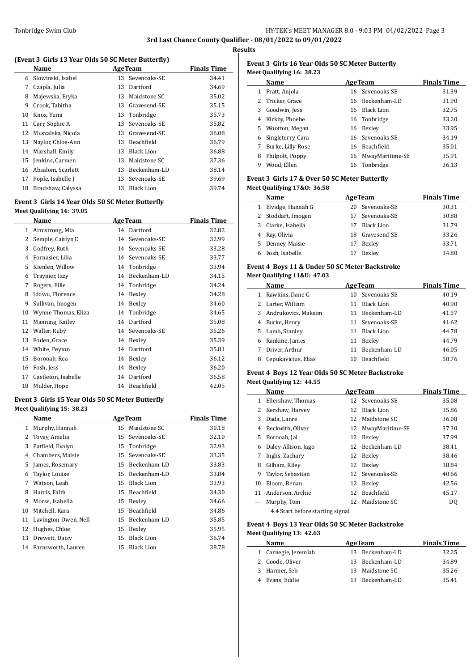# Tonbridge Swim Club **HY-TEK's MEET MANAGER 8.0 - 9:03 PM 04/02/2022** Page 3 **3rd Last Chance County Qualifier - 08/01/2022 to 09/01/2022**

**Results**

 $\overline{\phantom{a}}$ 

 $\overline{\phantom{a}}$ 

 $\overline{a}$ 

 $\frac{1}{2}$ 

# **(Event 3 Girls 13 Year Olds 50 SC Meter Butterfly)**

|    | Name              | <b>AgeTeam</b> |                   | <b>Finals Time</b> |
|----|-------------------|----------------|-------------------|--------------------|
| 6  | Slowinski, Isabel |                | 13 Sevenoaks-SE   | 34.41              |
| 7  | Czapla, Julia     | 13             | Dartford          | 34.69              |
| 8  | Majewska, Eryka   | 13             | Maidstone SC      | 35.02              |
| 9  | Crook, Tabitha    | 13             | Gravesend-SE      | 35.15              |
| 10 | Knox, Yumi        |                | 13 Tonbridge      | 35.73              |
| 11 | Carr, Sophie A    | 13             | Sevenoaks-SE      | 35.82              |
| 12 | Muszalska, Nicola | 13             | Gravesend-SE      | 36.08              |
| 13 | Naylor, Chloe-Ann | 13             | Beachfield        | 36.79              |
| 14 | Marshall, Emily   | 13             | <b>Black Lion</b> | 36.88              |
| 15 | Jenkins, Carmen   | 13             | Maidstone SC      | 37.36              |
| 16 | Absalom, Scarlett | 13             | Beckenham-LD      | 38.14              |
| 17 | Pople, Isabelle J | 13             | Sevenoaks-SE      | 39.69              |
| 18 | Bradshaw, Calyssa | 13             | Black Lion        | 39.74              |
|    |                   |                |                   |                    |

# **Event 3 Girls 14 Year Olds 50 SC Meter Butterfly Meet Qualifying 14: 39.05**

|    | Name                |    | <b>AgeTeam</b> | <b>Finals Time</b> |
|----|---------------------|----|----------------|--------------------|
| 1  | Armstrong, Mia      |    | 14 Dartford    | 32.82              |
| 2  | Semple, Caitlyn E   | 14 | Sevenoaks-SE   | 32.99              |
| 3  | Godfrey, Ruth       | 14 | Sevenoaks-SE   | 33.28              |
| 4  | Fornasier, Lilia    | 14 | Sevenoaks-SE   | 33.77              |
| 5  | Kienlen, Willow     |    | 14 Tonbridge   | 33.94              |
| 6  | Traynier, Izzy      | 14 | Beckenham-LD   | 34.15              |
| 7  | Rogers, Ellie       |    | 14 Tonbridge   | 34.24              |
| 8  | Idowu, Florence     | 14 | Bexley         | 34.28              |
| 9  | Sullivan, Imogen    | 14 | Bexley         | 34.60              |
| 10 | Wynne Thomas, Eliza |    | 14 Tonbridge   | 34.65              |
| 11 | Manning, Kailey     | 14 | Dartford       | 35.08              |
| 12 | Waller, Ruby        | 14 | Sevenoaks-SE   | 35.26              |
| 13 | Foden, Grace        | 14 | Bexley         | 35.39              |
| 14 | White, Peyton       | 14 | Dartford       | 35.81              |
| 15 | Borooah, Rea        | 14 | Bexley         | 36.12              |
| 16 | Fosh, Jess          | 14 | Bexley         | 36.20              |
| 17 | Castleton, Isabelle | 14 | Dartford       | 36.58              |
| 18 | Mulder, Hope        | 14 | Beachfield     | 42.05              |

# **Event 3 Girls 15 Year Olds 50 SC Meter Butterfly Meet Qualifying 15: 38.23**

|    | Name                 |    | <b>AgeTeam</b>    | <b>Finals Time</b> |
|----|----------------------|----|-------------------|--------------------|
| 1  | Murphy, Hannah       | 15 | Maidstone SC      | 30.18              |
| 2  | Tovey, Amelia        | 15 | Sevenoaks-SE      | 32.10              |
| 3  | Patfield, Evalyn     |    | 15 Tonbridge      | 32.93              |
| 4  | Chambers, Maisie     | 15 | Sevenoaks-SE      | 33.35              |
| 5  | James, Rosemary      | 15 | Beckenham-LD      | 33.83              |
| 6  | Taylor, Louise       | 15 | Beckenham-LD      | 33.84              |
| 7  | Watson, Leah         | 15 | <b>Black Lion</b> | 33.93              |
| 8  | Harris, Faith        | 15 | Beachfield        | 34.30              |
| 9  | Morse, Isabella      | 15 | Bexley            | 34.66              |
| 10 | Mitchell, Kara       | 15 | <b>Beachfield</b> | 34.86              |
| 11 | Lavington-Owen, Nell | 15 | Beckenham-LD      | 35.85              |
| 12 | Hughes, Chloe        | 15 | Bexley            | 35.95              |
| 13 | Drewett, Daisy       | 15 | <b>Black Lion</b> | 36.74              |
| 14 | Farnsworth, Lauren   | 15 | <b>Black Lion</b> | 38.78              |

## **Event 3 Girls 16 Year Olds 50 SC Meter Butterfly Meet Qualifying 16: 38.23**

|    | Name                | <b>AgeTeam</b>     | <b>Finals Time</b> |
|----|---------------------|--------------------|--------------------|
|    | 1 Pratt, Anjola     | 16 Sevenoaks-SE    | 31.39              |
|    | 2 Tricker, Grace    | 16 Beckenham-LD    | 31.90              |
| 3  | Goodwin, Jess       | 16 Black Lion      | 32.75              |
| 4  | Kirkby, Phoebe      | 16 Tonbridge       | 33.20              |
| 5. | Wootton, Megan      | 16 Bexley          | 33.95              |
|    | 6 Singleterry, Cara | 16 Sevenoaks-SE    | 34.19              |
| 7  | Burke, Lilly-Rose   | 16 Beachfield      | 35.01              |
| 8  | Philpott, Poppy     | 16 MwayMaritime-SE | 35.91              |
| 9  | Wood, Ellen         | 16 Tonbridge       | 36.13              |

# **Event 3 Girls 17 & Over 50 SC Meter Butterfly**

**Meet Qualifying 17&O: 36.58**

|   | Name               |    | <b>AgeTeam</b>  | <b>Finals Time</b> |
|---|--------------------|----|-----------------|--------------------|
| 1 | Elvidge, Hannah G  |    | 20 Sevenoaks-SE | 30.31              |
|   | 2 Stoddart, Imogen |    | 17 Sevenoaks-SE | 30.88              |
|   | 3 Clarke, Isabella | 17 | Black Lion      | 31.79              |
| 4 | Ray, Olivia        |    | 18 Gravesend-SE | 33.26              |
|   | 5 Denney, Maisie   |    | Bexley          | 33.71              |
|   | Fosh, Isabelle     |    | Bexley          | 34.80              |

#### **Event 4 Boys 11 & Under 50 SC Meter Backstroke Meet Qualifying 11&U: 47.03**

|    | Name                |    | <b>AgeTeam</b>    | <b>Finals Time</b> |
|----|---------------------|----|-------------------|--------------------|
|    | Rawkins, Dane G     |    | 10 Sevenoaks-SE   | 40.19              |
| 2  | Larter, William     | 11 | Black Lion        | 40.90              |
| 3  | Andrukovics, Maksim | 11 | Beckenham-LD      | 41.57              |
| 4  | Burke, Henry        |    | 11 Sevenoaks-SE   | 41.62              |
| 5. | Lamb, Stanley       | 11 | Black Lion        | 44.78              |
| 6  | Rankine, James      | 11 | Bexley            | 44.79              |
|    | Driver, Arthur      | 11 | Beckenham-LD      | 46.05              |
| 8  | Cepukavicius, Elias | 10 | <b>Beachfield</b> | 58.76              |

## **Event 4 Boys 12 Year Olds 50 SC Meter Backstroke Meet Qualifying 12: 44.55**

|    | Name                             |  | <b>AgeTeam</b>     | <b>Finals Time</b> |  |  |
|----|----------------------------------|--|--------------------|--------------------|--|--|
| 1. | Ellershaw, Thomas                |  | 12 Sevenoaks-SE    | 35.08              |  |  |
| 2  | Kershaw, Harvey                  |  | 12 Black Lion      | 35.86              |  |  |
| 3  | Dada, Lanre                      |  | 12 Maidstone SC    | 36.08              |  |  |
| 4  | Beckwith, Oliver                 |  | 12 MwayMaritime-SE | 37.30              |  |  |
| 5. | Borooah, Jai                     |  | 12 Bexley          | 37.99              |  |  |
| 6  | Daley-Allison, Jago              |  | 12 Beckenham-LD    | 38.41              |  |  |
| 7  | Inglis, Zachary                  |  | 12 Bexley          | 38.46              |  |  |
| 8  | Gilham, Riley                    |  | 12 Bexley          | 38.84              |  |  |
| 9  | Taylor, Sebastian                |  | 12 Sevenoaks-SE    | 40.66              |  |  |
| 10 | Bloom, Benan                     |  | 12 Bexley          | 42.56              |  |  |
| 11 | Anderson, Archie                 |  | 12 Beachfield      | 45.17              |  |  |
|    | Murphy, Tom                      |  | 12 Maidstone SC    | DQ                 |  |  |
|    | 4.4 Start before starting signal |  |                    |                    |  |  |

## **Event 4 Boys 13 Year Olds 50 SC Meter Backstroke Meet Qualifying 13: 42.63**

| Name                 | <b>AgeTeam</b>  | <b>Finals Time</b> |
|----------------------|-----------------|--------------------|
| 1 Carnegie, Jeremiah | 13 Beckenham-LD | 32.25              |
| 2 Goode, Oliver      | 13 Beckenham-LD | 34.89              |
| 3 Harmer, Seb        | 13 Maidstone SC | 35.26              |
| Evans, Eddie         | 13 Beckenham-LD | 35.41              |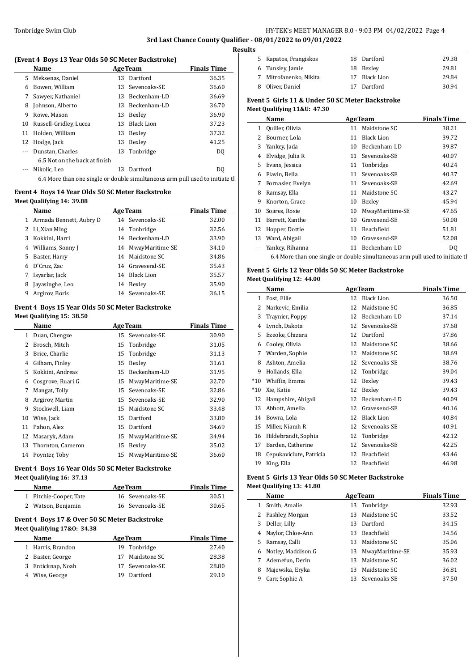# Tonbridge Swim Club **HY-TEK's MEET MANAGER 8.0 - 9:03 PM 04/02/2022** Page 4 **3rd Last Chance County Qualifier - 08/01/2022 to 09/01/2022**

**Results**

 $\overline{a}$ 

| (Event 4 Boys 13 Year Olds 50 SC Meter Backstroke) |  |  |  |  |
|----------------------------------------------------|--|--|--|--|
|----------------------------------------------------|--|--|--|--|

|    | Name                                                                          |    | <b>AgeTeam</b>  | <b>Finals Time</b> | 6 T            |
|----|-------------------------------------------------------------------------------|----|-----------------|--------------------|----------------|
|    | 5 Meksenas, Daniel                                                            |    | 13 Dartford     | 36.35              | 7 N            |
| 6  | Bowen, William                                                                |    | 13 Sevenoaks-SE | 36.60              | 8 0            |
|    | Sawyer, Nathaniel                                                             |    | 13 Beckenham-LD | 36.69              | Event 5        |
| 8  | Johnson, Alberto                                                              | 13 | Beckenham-LD    | 36.70              | Meet Qu        |
| 9  | Rowe, Mason                                                                   |    | 13 Bexley       | 36.90              | N              |
|    | 10 Russell-Gridley, Lucca                                                     |    | 13 Black Lion   | 37.23              | $1\quad$       |
| 11 | Holden, William                                                               |    | 13 Bexley       | 37.32              | $2 \text{ } B$ |
|    | 12 Hodge, Jack                                                                | 13 | Bexley          | 41.25              | 3 <sub>Y</sub> |
|    | Dunstan, Charles                                                              |    | 13 Tonbridge    | D <sub>0</sub>     | 4 E            |
|    | 6.5 Not on the back at finish                                                 |    |                 |                    | 5 E            |
|    | Nikolic, Leo                                                                  | 13 | Dartford        | D <sub>0</sub>     |                |
|    | 6.4 More than one single or double simultaneous arm pull used to initiate the |    |                 |                    | 6 F<br>7 E     |

# **Event 4 Boys 14 Year Olds 50 SC Meter Backstroke**

#### **Meet Qualifying 14: 39.88**

|              | Name                    | <b>AgeTeam</b>        | <b>Finals Time</b> |
|--------------|-------------------------|-----------------------|--------------------|
| $\mathbf{1}$ | Armada Bennett, Aubry D | 14 Sevenoaks-SE       | 32.00              |
|              | 2 Li, Xian Ming         | 14 Tonbridge          | 32.56              |
| 3            | Kokkini, Harri          | Beckenham-LD<br>14    | 33.90              |
| 4            | Williams, Sonny J       | MwayMaritime-SE<br>14 | 34.10              |
| 5.           | Baster, Harry           | 14 Maidstone SC       | 34.86              |
| 6            | D'Cruz, Zac             | 14 Gravesend-SE       | 35.43              |
| 7            | Isyarlar, Jack          | Black Lion<br>14      | 35.57              |
| 8            | Javasinghe, Leo         | Bexley<br>14          | 35.90              |
| 9            | Argirov, Boris          | 14 Sevenoaks-SE       | 36.15              |

#### **Event 4 Boys 15 Year Olds 50 SC Meter Backstroke Meet Qualifying 15: 38.50**

|    | Name              |    | <b>AgeTeam</b>  | <b>Finals Time</b> |
|----|-------------------|----|-----------------|--------------------|
| 1  | Duan, Chengze     |    | 15 Sevenoaks-SE | 30.90              |
| 2  | Brosch, Mitch     | 15 | Tonbridge       | 31.05              |
| 3  | Brice. Charlie    |    | 15 Tonbridge    | 31.13              |
| 4  | Gilham, Finley    | 15 | Bexley          | 31.61              |
| 5. | Kokkini, Andreas  | 15 | Beckenham-LD    | 31.95              |
| 6  | Cosgrove, Ruari G | 15 | MwayMaritime-SE | 32.70              |
| 7  | Mangat, Tolly     | 15 | Sevenoaks-SE    | 32.86              |
| 8  | Argirov, Martin   | 15 | Sevenoaks-SE    | 32.90              |
| 9  | Stockwell, Liam   | 15 | Maidstone SC    | 33.48              |
| 10 | Wise, Jack        | 15 | Dartford        | 33.80              |
| 11 | Pahon, Alex       | 15 | Dartford        | 34.69              |
| 12 | Masaryk, Adam     | 15 | MwayMaritime-SE | 34.94              |
| 13 | Thornton, Cameron | 15 | Bexley          | 35.02              |
| 14 | Poynter, Toby     | 15 | MwayMaritime-SE | 36.60              |

# **Event 4 Boys 16 Year Olds 50 SC Meter Backstroke Meet Qualifying 16: 37.13**

| <b>Name</b>            | <b>AgeTeam</b>  | <b>Finals Time</b> |
|------------------------|-----------------|--------------------|
| 1 Pitchie-Cooper, Tate | 16 Sevenoaks-SE | 30.51              |
| 2 Watson, Benjamin     | 16 Sevenoaks-SE | 30.65              |
|                        |                 |                    |

# **Event 4 Boys 17 & Over 50 SC Meter Backstroke Meet Qualifying 17&O: 34.38**

| <b>Name</b>          | <b>AgeTeam</b>     | <b>Finals Time</b> |
|----------------------|--------------------|--------------------|
| 1 Harris, Brandon    | 19 Tonbridge       | 27.40              |
| 2 Baster, George     | Maidstone SC<br>17 | 28.38              |
| Enticknap, Noah<br>3 | 17 Sevenoaks-SE    | 28.80              |
| 4 Wise, George       | Dartford<br>19     | 29.10              |

| 5 Kapatos, Frangiskos  | 18 Dartford   | 29.38 |
|------------------------|---------------|-------|
| 6 Tunsley, Jamie       | 18 Bexley     | 29.81 |
| 7 Mitrofanenko, Nikita | 17 Black Lion | 29.84 |
| 8 Oliver, Daniel       | 17 Dartford   | 30.94 |
|                        |               |       |

## **Event 5 Girls 11 & Under 50 SC Meter Backstroke Meet Qualifying 11&U: 47.30**

|    | Name                                                                          |    | <b>AgeTeam</b>    | <b>Finals Time</b> |  |  |
|----|-------------------------------------------------------------------------------|----|-------------------|--------------------|--|--|
| 1  | Quiller, Olivia                                                               | 11 | Maidstone SC      | 38.21              |  |  |
| 2  | Bourner, Lola                                                                 | 11 | <b>Black Lion</b> | 39.72              |  |  |
| 3  | Yankey, Jada                                                                  | 10 | Beckenham-LD      | 39.87              |  |  |
| 4  | Elvidge, Julia R                                                              | 11 | Sevenoaks-SE      | 40.07              |  |  |
| 5  | Evans, Jessica                                                                | 11 | Tonbridge         | 40.24              |  |  |
| 6  | Flavin, Bella                                                                 | 11 | Sevenoaks-SE      | 40.37              |  |  |
| 7  | Fornasier, Evelyn                                                             | 11 | Sevenoaks-SE      | 42.69              |  |  |
| 8  | Ramsay, Ella                                                                  | 11 | Maidstone SC      | 43.27              |  |  |
| 9  | Knorton, Grace                                                                | 10 | Bexley            | 45.94              |  |  |
| 10 | Soares, Rosie                                                                 | 10 | MwayMaritime-SE   | 47.65              |  |  |
| 11 | Barrett, Xanthe                                                               | 10 | Gravesend-SE      | 50.08              |  |  |
| 12 | Hopper, Dottie                                                                | 11 | Beachfield        | 51.81              |  |  |
| 13 | Ward, Abigail                                                                 | 10 | Gravesend-SE      | 52.08              |  |  |
|    | Yankey, Rihanna                                                               | 11 | Beckenham-LD      | DQ                 |  |  |
|    | 6.4 More than one single or double simultaneous arm pull used to initiate the |    |                   |                    |  |  |

#### **Event 5 Girls 12 Year Olds 50 SC Meter Backstroke Meet Qualifying 12: 44.00**

|       | Name                    |    | <b>AgeTeam</b>    | <b>Finals Time</b> |
|-------|-------------------------|----|-------------------|--------------------|
| 1     | Post, Ellie             | 12 | <b>Black Lion</b> | 36.50              |
| 2     | Narkevic, Emilia        | 12 | Maidstone SC      | 36.85              |
| 3     | Traynier, Poppy         | 12 | Beckenham-LD      | 37.14              |
| 4     | Lynch, Dakota           | 12 | Sevenoaks-SE      | 37.68              |
| 5     | Ezeoke, Chizara         | 12 | Dartford          | 37.86              |
| 6     | Cooley, Olivia          | 12 | Maidstone SC      | 38.66              |
| 7     | Warden, Sophie          | 12 | Maidstone SC      | 38.69              |
| 8     | Ashton, Amelia          | 12 | Sevenoaks-SE      | 38.76              |
| 9     | Hollands, Ella          | 12 | Tonbridge         | 39.04              |
| $*10$ | Whiffin, Emma           | 12 | Bexley            | 39.43              |
| $*10$ | Xie, Katie              | 12 | Bexley            | 39.43              |
| 12    | Hampshire, Abigail      | 12 | Beckenham-LD      | 40.09              |
| 13    | Abbott, Amelia          | 12 | Gravesend-SE      | 40.16              |
| 14    | Bowra, Lola             | 12 | <b>Black Lion</b> | 40.84              |
| 15    | Miller, Niamh R         | 12 | Sevenoaks-SE      | 40.91              |
| 16    | Hildebrandt, Sophia     | 12 | Tonbridge         | 42.12              |
| 17    | Barden, Catherine       | 12 | Sevenoaks-SE      | 42.25              |
| 18    | Cepukaviciute, Patricia | 12 | Beachfield        | 43.46              |
| 19    | King, Ella              | 12 | Beachfield        | 46.98              |

### **Event 5 Girls 13 Year Olds 50 SC Meter Backstroke Meet Qualifying 13: 41.80**

|    | Name               |    | <b>AgeTeam</b>    | <b>Finals Time</b> |  |  |  |
|----|--------------------|----|-------------------|--------------------|--|--|--|
|    | Smith, Amalie      |    | 13 Tonbridge      | 32.93              |  |  |  |
|    | 2 Pashley, Morgan  | 13 | Maidstone SC      | 33.52              |  |  |  |
| 3  | Deller, Lilly      | 13 | Dartford          | 34.15              |  |  |  |
| 4  | Naylor, Chloe-Ann  | 13 | <b>Beachfield</b> | 34.56              |  |  |  |
| 5. | Ramsay, Calli      | 13 | Maidstone SC      | 35.06              |  |  |  |
| 6  | Notley, Maddison G | 13 | MwayMaritime-SE   | 35.93              |  |  |  |
|    | Ademefun, Derin    | 13 | Maidstone SC      | 36.02              |  |  |  |
| 8  | Majewska, Eryka    | 13 | Maidstone SC      | 36.81              |  |  |  |
| 9  | Carr, Sophie A     |    | 13 Sevenoaks-SE   | 37.50              |  |  |  |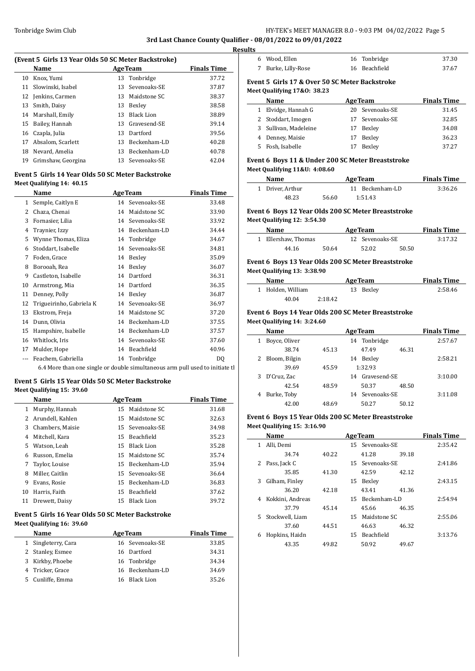# Tonbridge Swim Club **HY-TEK's MEET MANAGER 8.0 - 9:03 PM 04/02/2022** Page 5 **3rd Last Chance County Qualifier - 08/01/2022 to 09/01/2022**

**Results**

 $\overline{\phantom{a}}$ 

#### **(Event 5 Girls 13 Year Olds 50 SC Meter Backstroke)**

|    | Name               |    | <b>AgeTeam</b>  | <b>Finals Time</b> |
|----|--------------------|----|-----------------|--------------------|
| 10 | Knox, Yumi         |    | 13 Tonbridge    | 37.72              |
| 11 | Slowinski, Isabel  |    | 13 Sevenoaks-SE | 37.87              |
|    | 12 Jenkins, Carmen | 13 | Maidstone SC    | 38.37              |
| 13 | Smith, Daisy       | 13 | Bexley          | 38.58              |
|    | 14 Marshall, Emily | 13 | - Black Lion    | 38.89              |
| 15 | Bailey, Hannah     |    | 13 Gravesend-SE | 39.14              |
|    | 16 Czapla, Julia   | 13 | Dartford        | 39.56              |
| 17 | Absalom. Scarlett  | 13 | Beckenham-LD    | 40.28              |
| 18 | Nevard, Amelia     | 13 | Beckenham-LD    | 40.78              |
| 19 | Grimshaw, Georgina |    | 13 Sevenoaks-SE | 42.04              |

#### **Event 5 Girls 14 Year Olds 50 SC Meter Backstroke Meet Qualifying 14: 40.15**

|    | Name                     |    | <b>AgeTeam</b> | <b>Finals Time</b> |
|----|--------------------------|----|----------------|--------------------|
| 1  | Semple, Caitlyn E        | 14 | Sevenoaks-SE   | 33.48              |
| 2  | Chaza, Chenai            | 14 | Maidstone SC   | 33.90              |
| 3  | Fornasier, Lilia         | 14 | Sevenoaks-SE   | 33.92              |
| 4  | Traynier, Izzy           | 14 | Beckenham-LD   | 34.44              |
| 5  | Wynne Thomas, Eliza      | 14 | Tonbridge      | 34.67              |
| 6  | Stoddart, Isabelle       | 14 | Sevenoaks-SE   | 34.81              |
| 7  | Foden, Grace             | 14 | Bexley         | 35.09              |
| 8  | Borooah, Rea             | 14 | Bexley         | 36.07              |
| 9  | Castleton, Isabelle      | 14 | Dartford       | 36.31              |
| 10 | Armstrong, Mia           | 14 | Dartford       | 36.35              |
| 11 | Denney, Polly            | 14 | Bexley         | 36.87              |
| 12 | Trigueirinho, Gabriela K | 14 | Sevenoaks-SE   | 36.97              |
| 13 | Ekstrom, Freja           | 14 | Maidstone SC   | 37.20              |
| 14 | Dunn, Olivia             | 14 | Beckenham-LD   | 37.55              |
| 15 | Hampshire, Isabelle      | 14 | Beckenham-LD   | 37.57              |
| 16 | Whitlock, Iris           | 14 | Sevenoaks-SE   | 37.60              |
| 17 | Mulder, Hope             | 14 | Beachfield     | 40.96              |
|    | Feachem, Gabriella       | 14 | Tonbridge      | DQ                 |

6.4 More than one single or double simultaneous arm pull used to initiate the

# **Event 5 Girls 15 Year Olds 50 SC Meter Backstroke Meet Qualifying 15: 39.60**

|    | Name             |    | <b>AgeTeam</b>    | <b>Finals Time</b> |
|----|------------------|----|-------------------|--------------------|
|    | Murphy, Hannah   |    | 15 Maidstone SC   | 31.68              |
| 2  | Arundell, Kahlen |    | 15 Maidstone SC   | 32.63              |
| 3  | Chambers, Maisie |    | 15 Sevenoaks-SE   | 34.98              |
| 4  | Mitchell, Kara   | 15 | Beachfield        | 35.23              |
| 5. | Watson, Leah     |    | 15 Black Lion     | 35.28              |
| 6  | Russon, Emelia   |    | 15 Maidstone SC   | 35.74              |
| 7  | Taylor, Louise   | 15 | Beckenham-LD      | 35.94              |
| 8  | Miller. Caitlin  |    | 15 Sevenoaks-SE   | 36.64              |
| 9  | Evans, Rosie     |    | 15 Beckenham-LD   | 36.83              |
| 10 | Harris. Faith    | 15 | Beachfield        | 37.62              |
| 11 | Drewett, Daisy   | 15 | <b>Black Lion</b> | 39.72              |

### **Event 5 Girls 16 Year Olds 50 SC Meter Backstroke Meet Qualifying 16: 39.60**

| <b>Name</b>         |  | <b>Finals Time</b>                                                                                   |
|---------------------|--|------------------------------------------------------------------------------------------------------|
| 1 Singleterry, Cara |  | 33.85                                                                                                |
| 2 Stanley, Esmee    |  | 34.31                                                                                                |
| 3 Kirkby, Phoebe    |  | 34.34                                                                                                |
| 4 Tricker, Grace    |  | 34.69                                                                                                |
| 5 Cunliffe, Emma    |  | 35.26                                                                                                |
|                     |  | <b>AgeTeam</b><br>16 Sevenoaks-SE<br>16 Dartford<br>16 Tonbridge<br>16 Beckenham-LD<br>16 Black Lion |

| Name                                                                          | <b>AgeTeam</b> | <b>Finals Time</b> |  |  |  |
|-------------------------------------------------------------------------------|----------------|--------------------|--|--|--|
| Event 5 Girls 17 & Over 50 SC Meter Backstroke<br>Meet Qualifying 17&0: 38.23 |                |                    |  |  |  |
| 7 Burke, Lilly-Rose                                                           | 16 Beachfield  | 37.67              |  |  |  |
| 6 Wood, Ellen                                                                 | 16 Tonbridge   | 37.30              |  |  |  |

| 1  | Elvidge, Hannah G     | 20 Sevenoaks-SE | 31.45 |
|----|-----------------------|-----------------|-------|
|    | 2 Stoddart, Imogen    | 17 Sevenoaks-SE | 32.85 |
|    | 3 Sullivan, Madeleine | 17 Bexley       | 34.08 |
|    | 4 Denney, Maisie      | 17 Bexley       | 36.23 |
| 5. | Fosh, Isabelle        | Bexley          | 37.27 |

#### **Event 6 Boys 11 & Under 200 SC Meter Breaststroke Meet Qualifying 11&U: 4:08.60**

| Name             |       | <b>AgeTeam</b>  | <b>Finals Time</b> |
|------------------|-------|-----------------|--------------------|
| 1 Driver, Arthur |       | 11 Beckenham-LD | 3:36.26            |
| 48.23            | 56.60 | 1:51.43         |                    |

# **Event 6 Boys 12 Year Olds 200 SC Meter Breaststroke Meet Qualifying 12: 3:54.30**

| Name                |       | <b>AgeTeam</b>  |       | <b>Finals Time</b> |
|---------------------|-------|-----------------|-------|--------------------|
| 1 Ellershaw. Thomas |       | 12 Sevenoaks-SE |       | 3:17.32            |
| 44.16               | 50.64 | 52.02           | 50.50 |                    |

### **Event 6 Boys 13 Year Olds 200 SC Meter Breaststroke Meet Qualifying 13: 3:38.90**

| Name              | <b>AgeTeam</b> |           | <b>Finals Time</b> |
|-------------------|----------------|-----------|--------------------|
| 1 Holden, William |                | 13 Bexley | 2:58.46            |
| 40.04             | 2:18.42        |           |                    |

## **Event 6 Boys 14 Year Olds 200 SC Meter Breaststroke Meet Qualifying 14: 3:24.60**

| Name              |       | <b>AgeTeam</b>     |       |         |  |
|-------------------|-------|--------------------|-------|---------|--|
| Boyce, Oliver     |       | 14 Tonbridge       |       | 2:57.67 |  |
| 38.74             | 45.13 | 47.49              | 46.31 |         |  |
| Bloom, Bilgin     |       | Bexley<br>14       |       | 2:58.21 |  |
| 39.69             | 45.59 | 1:32.93            |       |         |  |
| D'Cruz, Zac<br>3. |       | Gravesend-SE<br>14 |       | 3:10.00 |  |
| 42.54             | 48.59 | 50.37              | 48.50 |         |  |
| Burke, Toby<br>4  |       | Sevenoaks-SE<br>14 |       | 3:11.08 |  |
| 42.00             | 48.69 | 50.27              | 50.12 |         |  |

#### **Event 6 Boys 15 Year Olds 200 SC Meter Breaststroke Meet Qualifying 15: 3:16.90**

|    | Name             |       |     | <b>AgeTeam</b>  |       | <b>Finals Time</b> |
|----|------------------|-------|-----|-----------------|-------|--------------------|
|    | Alli, Demi       |       |     | 15 Sevenoaks-SE |       | 2:35.42            |
|    | 34.74            | 40.22 |     | 41.28           | 39.18 |                    |
| 2  | Pass, Jack C     |       |     | 15 Sevenoaks-SE |       | 2:41.86            |
|    | 35.85            | 41.30 |     | 42.59           | 42.12 |                    |
| 3  | Gilham, Finley   |       | 15  | Bexley          |       | 2:43.15            |
|    | 36.20            | 42.18 |     | 43.41           | 41.36 |                    |
| 4  | Kokkini, Andreas |       |     | 15 Beckenham-LD |       | 2:54.94            |
|    | 37.79            | 45.14 |     | 45.66           | 46.35 |                    |
| 5. | Stockwell, Liam  |       | 15. | Maidstone SC    |       | 2:55.06            |
|    | 37.60            | 44.51 |     | 46.63           | 46.32 |                    |
| 6  | Hopkins, Haidn   |       |     | 15 Beachfield   |       | 3:13.76            |
|    | 43.35            | 49.82 |     | 50.92           | 49.67 |                    |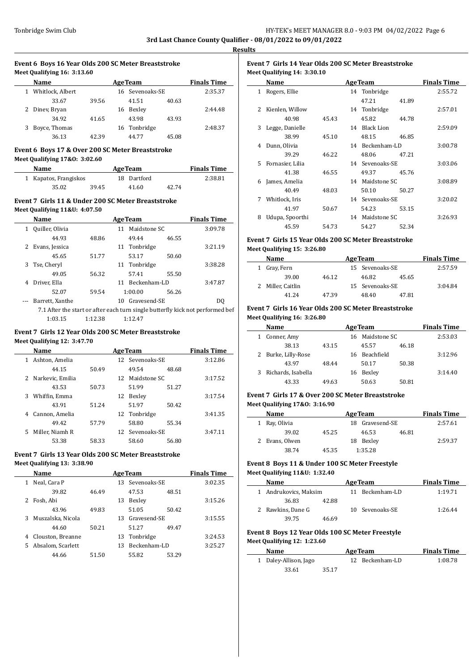$\overline{a}$ 

 $\overline{\phantom{a}}$ 

#### **Event 6 Boys 16 Year Olds 200 SC Meter Breaststroke Meet Qualifying 16: 3:13.60**

| Name               |       |    | <b>AgeTeam</b>  |       | <b>Finals Time</b> |  |  |  |
|--------------------|-------|----|-----------------|-------|--------------------|--|--|--|
| 1 Whitlock, Albert |       |    | 16 Sevenoaks-SE |       | 2:35.37            |  |  |  |
| 33.67              | 39.56 |    | 41.51           | 40.63 |                    |  |  |  |
| 2 Diney, Bryan     |       | 16 | Bexley          |       | 2:44.48            |  |  |  |
| 34.92              | 41.65 |    | 43.98           | 43.93 |                    |  |  |  |
| Boyce, Thomas      |       | 16 | Tonbridge       |       | 2:48.37            |  |  |  |
| 36.13              | 42.39 |    | 44.77           | 45.08 |                    |  |  |  |

# **Event 6 Boys 17 & Over 200 SC Meter Breaststroke Meet Qualifying 17&O: 3:02.60**

| <b>Name</b>           |       | <b>AgeTeam</b> |             |       | <b>Finals Time</b> |
|-----------------------|-------|----------------|-------------|-------|--------------------|
| 1 Kapatos, Frangiskos |       |                | 18 Dartford |       | 2:38.81            |
| 35.02                 | 39.45 |                | 41.60       | 42.74 |                    |

### **Event 7 Girls 11 & Under 200 SC Meter Breaststroke Meet Qualifying 11&U: 4:07.50**

| 8    | <b>Finals Time</b>                                                             | <b>AgeTeam</b> |                 |    |       | Name            |   |
|------|--------------------------------------------------------------------------------|----------------|-----------------|----|-------|-----------------|---|
|      | 3:09.78                                                                        |                | 11 Maidstone SC |    |       | Quiller, Olivia |   |
| Even |                                                                                | 46.55          | 49.44           |    | 48.86 | 44.93           |   |
| Meet | 3:21.19                                                                        |                | 11 Tonbridge    |    |       | Evans, Jessica  |   |
|      |                                                                                | 50.60          | 53.17           |    | 51.77 | 45.65           |   |
| 1    | 3:38.28                                                                        |                | Tonbridge       | 11 |       | Tse, Cheryl     | 3 |
|      |                                                                                | 55.50          | 57.41           |    | 56.32 | 49.05           |   |
| 2    | 3:47.87                                                                        |                | 11 Beckenham-LD |    |       | Driver, Ella    | 4 |
|      |                                                                                | 56.26          | 1:00.00         |    | 59.54 | 52.07           |   |
|      | DO.                                                                            |                | Gravesend-SE    | 10 |       | Barrett, Xanthe |   |
| Even | 7.1 After the start or after each turn single butterfly kick not performed bef |                |                 |    |       |                 |   |
|      |                                                                                |                |                 |    |       |                 |   |

1:03.15 1:12.38 1:12.47

## **Event 7 Girls 12 Year Olds 200 SC Meter Breaststroke Meet Qualifying 12: 3:47.70**

|   | Name               |       | <b>AgeTeam</b> | <b>Finals Time</b> |       |         |
|---|--------------------|-------|----------------|--------------------|-------|---------|
| 1 | Ashton, Amelia     |       |                | 12 Sevenoaks-SE    |       | 3:12.86 |
|   | 44.15              | 50.49 |                | 49.54              | 48.68 |         |
|   | 2 Narkevic, Emilia |       | 12.            | Maidstone SC       |       | 3:17.52 |
|   | 43.53              | 50.73 |                | 51.99              | 51.27 |         |
| 3 | Whiffin, Emma      |       | 12             | Bexley             |       | 3:17.54 |
|   | 43.91              | 51.24 |                | 51.97              | 50.42 |         |
| 4 | Cannon, Amelia     |       |                | 12 Tonbridge       |       | 3:41.35 |
|   | 49.42              | 57.79 |                | 58.80              | 55.34 |         |
| 5 | Miller, Niamh R    |       |                | 12 Sevenoaks-SE    |       | 3:47.11 |
|   | 53.38              | 58.33 |                | 58.60              | 56.80 |         |

# **Event 7 Girls 13 Year Olds 200 SC Meter Breaststroke Meet Qualifying 13: 3:38.90**

| Name                   | <b>AgeTeam</b> |    |                 |       | <b>Finals Time</b> |
|------------------------|----------------|----|-----------------|-------|--------------------|
| Neal, Cara P<br>1      |                |    | 13 Sevenoaks-SE |       | 3:02.35            |
| 39.82                  | 46.49          |    | 47.53           | 48.51 |                    |
| Fosh, Abi<br>2         |                | 13 | Bexley          |       | 3:15.26            |
| 43.96                  | 49.83          |    | 51.05           | 50.42 |                    |
| Muszalska, Nicola<br>3 |                |    | 13 Gravesend-SE |       | 3:15.55            |
| 44.60                  | 50.21          |    | 51.27           | 49.47 |                    |
| Clouston, Breanne<br>4 |                |    | 13 Tonbridge    |       | 3:24.53            |
| 5 Absalom, Scarlett    |                | 13 | Beckenham-LD    |       | 3:25.27            |
| 44.66                  | 51.50          |    | 55.82           | 53.29 |                    |
|                        |                |    |                 |       |                    |

# **Event 7 Girls 14 Year Olds 200 SC Meter Breaststroke Meet Qualifying 14: 3:30.10**

|                | Name             |       | <b>AgeTeam</b>  |       | <b>Finals Time</b> |
|----------------|------------------|-------|-----------------|-------|--------------------|
|                | 1 Rogers, Ellie  |       | 14 Tonbridge    |       | 2:55.72            |
|                |                  |       | 47.21           | 41.89 |                    |
| $\overline{2}$ | Kienlen, Willow  |       | 14 Tonbridge    |       | 2:57.01            |
|                | 40.98            | 45.43 | 45.82           | 44.78 |                    |
| 3              | Legge, Danielle  |       | 14 Black Lion   |       | 2:59.09            |
|                | 38.99            | 45.10 | 48.15           | 46.85 |                    |
| 4              | Dunn, Olivia     |       | 14 Beckenham-LD |       | 3:00.78            |
|                | 39.29            | 46.22 | 48.06           | 47.21 |                    |
| 5.             | Fornasier, Lilia |       | 14 Sevenoaks-SE |       | 3:03.06            |
|                | 41.38            | 46.55 | 49.37           | 45.76 |                    |
| 6              | James, Amelia    |       | 14 Maidstone SC |       | 3:08.89            |
|                | 40.49            | 48.03 | 50.10           | 50.27 |                    |
| 7              | Whitlock, Iris   |       | 14 Sevenoaks-SE |       | 3:20.02            |
|                | 41.97            | 50.67 | 54.23           | 53.15 |                    |
| 8              | Udupa, Spoorthi  |       | 14 Maidstone SC |       | 3:26.93            |
|                | 45.59            | 54.73 | 54.27           | 52.34 |                    |

# **Event 7 Girls 15 Year Olds 200 SC Meter Breaststroke Meet Qualifying 15: 3:26.80**

| Name              | <b>Finals Time</b><br><b>AgeTeam</b> |  |                 |       |         |
|-------------------|--------------------------------------|--|-----------------|-------|---------|
| 1 Gray, Fern      |                                      |  | 15 Sevenoaks-SE |       | 2:57.59 |
| 39.00             | 46.12                                |  | 46.82           | 45.65 |         |
| 2 Miller, Caitlin |                                      |  | 15 Sevenoaks-SE |       | 3:04.84 |
| 41.24             | 47.39                                |  | 48.40           | 47.81 |         |

# **Event 7 Girls 16 Year Olds 200 SC Meter Breaststroke Meet Qualifying 16: 3:26.80**

| Name               |       | <b>Finals Time</b> |                 |       |         |
|--------------------|-------|--------------------|-----------------|-------|---------|
| Conner, Amy        |       |                    | 16 Maidstone SC |       | 2:53.03 |
| 38.13              | 43.15 |                    | 45.57           | 46.18 |         |
| Burke, Lilly-Rose  |       |                    | 16 Beachfield   |       | 3:12.96 |
| 43.97              | 48.44 |                    | 50.17           | 50.38 |         |
| Richards, Isabella |       | 16                 | Bexley          |       | 3:14.40 |
| 43.33              | 49.63 |                    | 50.63           | 50.81 |         |

# **Event 7 Girls 17 & Over 200 SC Meter Breaststroke Meet Qualifying 17&O: 3:16.90**

| Name           | <b>AgeTeam</b> | <b>Finals Time</b> |              |       |         |  |
|----------------|----------------|--------------------|--------------|-------|---------|--|
| 1 Ray, Olivia  |                | 18.                | Gravesend-SE |       | 2:57.61 |  |
| 39.02          | 45.25          |                    | 46.53        | 46.81 |         |  |
| 2 Evans, Olwen |                | 18                 | Bexley       |       | 2:59.37 |  |
| 38.74          | 45.35          |                    | 1:35.28      |       |         |  |

# **Event 8 Boys 11 & Under 100 SC Meter Freestyle Meet Qualifying 11&U: 1:32.40**

| Name                  |       | <b>AgeTeam</b>  | <b>Finals Time</b> |
|-----------------------|-------|-----------------|--------------------|
| 1 Andrukovics, Maksim |       | 11 Beckenham-LD | 1:19.71            |
| 36.83                 | 42.88 |                 |                    |
| 2 Rawkins, Dane G     |       | 10 Sevenoaks-SE | 1:26.44            |
| 39.75                 | 46.69 |                 |                    |

## **Event 8 Boys 12 Year Olds 100 SC Meter Freestyle Meet Qualifying 12: 1:23.60**

| Name                  | <b>AgeTeam</b> |  | <b>Finals Time</b> |         |
|-----------------------|----------------|--|--------------------|---------|
| 1 Daley-Allison, Jago |                |  | 12 Beckenham-LD    | 1:08.78 |
| 33.61                 | 35.17          |  |                    |         |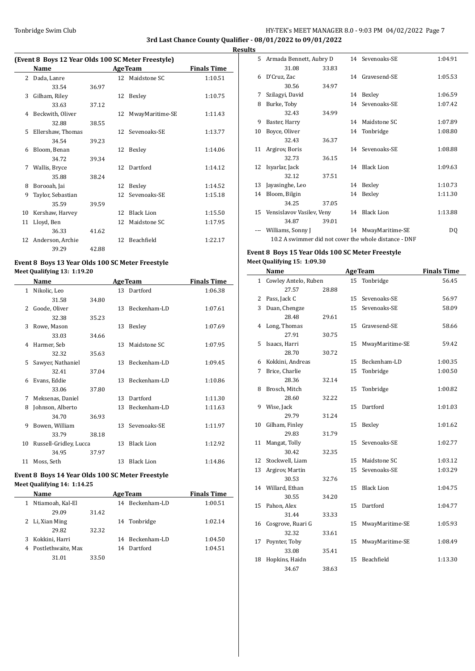# Tonbridge Swim Club **HY-TEK's MEET MANAGER 8.0 - 9:03 PM 04/02/2022** Page 7 **3rd Last Chance County Qualifier - 08/01/2022 to 09/01/2022**

**Results**

 $\overline{\phantom{a}}$ 

# **(Event 8 Boys 12 Year Olds 100 SC Meter Freestyle)**

|    | Name              | <b>AgeTeam</b> |                 |                   | <b>Finals Time</b> |
|----|-------------------|----------------|-----------------|-------------------|--------------------|
|    |                   |                |                 |                   |                    |
|    | 2 Dada, Lanre     |                |                 | 12 Maidstone SC   | 1:10.51            |
|    | 33.54             | 36.97          |                 |                   |                    |
| 3  | Gilham, Riley     |                |                 | 12 Bexley         | 1:10.75            |
|    | 33.63             | 37.12          |                 |                   |                    |
| 4  | Beckwith, Oliver  |                | 12              | MwayMaritime-SE   | 1:11.43            |
|    | 32.88             | 38.55          |                 |                   |                    |
| 5. | Ellershaw, Thomas |                |                 | 12 Sevenoaks-SE   | 1:13.77            |
|    | 34.54             | 39.23          |                 |                   |                    |
| 6  | Bloom, Benan      |                |                 | 12 Bexley         | 1:14.06            |
|    | 34.72             | 39.34          |                 |                   |                    |
| 7  | Wallis, Bryce     |                |                 | 12 Dartford       | 1:14.12            |
|    | 35.88             | 38.24          |                 |                   |                    |
| 8  | Borooah, Jai      |                | 12              | Bexley            | 1:14.52            |
| 9  | Taylor, Sebastian |                | 12 <sup>1</sup> | Sevenoaks-SE      | 1:15.18            |
|    | 35.59             | 39.59          |                 |                   |                    |
| 10 | Kershaw, Harvey   |                | 12              | <b>Black Lion</b> | 1:15.50            |
| 11 | Lloyd, Ben        |                | 12              | Maidstone SC      | 1:17.95            |
|    | 36.33             | 41.62          |                 |                   |                    |
| 12 | Anderson, Archie  |                | 12              | Beachfield        | 1:22.17            |
|    | 39.29             | 42.88          |                 |                   |                    |

# **Event 8 Boys 13 Year Olds 100 SC Meter Freestyle**

**Meet Qualifying 13: 1:19.20**

 $\overline{a}$ 

|    | Name                   |       |    | <b>AgeTeam</b>    | <b>Finals Time</b> |
|----|------------------------|-------|----|-------------------|--------------------|
| 1  | Nikolic, Leo           |       | 13 | Dartford          | 1:06.38            |
|    | 31.58                  | 34.80 |    |                   |                    |
| 2  | Goode, Oliver          |       | 13 | Beckenham-LD      | 1:07.61            |
|    | 32.38                  | 35.23 |    |                   |                    |
| 3  | Rowe, Mason            |       | 13 | Bexley            | 1:07.69            |
|    | 33.03                  | 34.66 |    |                   |                    |
| 4  | Harmer, Seb            |       | 13 | Maidstone SC      | 1:07.95            |
|    | 32.32                  | 35.63 |    |                   |                    |
| 5. | Sawyer, Nathaniel      |       | 13 | Beckenham-LD      | 1:09.45            |
|    | 32.41                  | 37.04 |    |                   |                    |
| 6  | Evans, Eddie           |       | 13 | Beckenham-LD      | 1:10.86            |
|    | 33.06                  | 37.80 |    |                   |                    |
| 7  | Meksenas, Daniel       |       | 13 | Dartford          | 1:11.30            |
| 8  | Johnson, Alberto       |       | 13 | Beckenham-LD      | 1:11.63            |
|    | 34.70                  | 36.93 |    |                   |                    |
| 9  | Bowen, William         |       | 13 | Sevenoaks-SE      | 1:11.97            |
|    | 33.79                  | 38.18 |    |                   |                    |
| 10 | Russell-Gridley, Lucca |       | 13 | <b>Black Lion</b> | 1:12.92            |
|    | 34.95                  | 37.97 |    |                   |                    |
| 11 | Moss, Seth             |       | 13 | <b>Black Lion</b> | 1:14.86            |
|    |                        |       |    |                   |                    |

# **Event 8 Boys 14 Year Olds 100 SC Meter Freestyle Meet Qualifying 14: 1:14.25**

|   | Name                 |       |    | <b>AgeTeam</b>  | <b>Finals Time</b> |
|---|----------------------|-------|----|-----------------|--------------------|
| 1 | Ntiamoah, Kal-El     |       |    | 14 Beckenham-LD | 1:00.51            |
|   | 29.09                | 31.42 |    |                 |                    |
|   | 2 Li, Xian Ming      |       |    | 14 Tonbridge    | 1:02.14            |
|   | 29.82                | 32.32 |    |                 |                    |
| 3 | Kokkini, Harri       |       |    | 14 Beckenham-LD | 1:04.50            |
|   | 4 Postlethwaite. Max |       | 14 | Dartford        | 1:04.51            |
|   | 31.01                | 33.50 |    |                 |                    |

|    | 5 Armada Bennett, Aubry D    |       | 14 Sevenoaks-SE                                       | 1:04.91 |
|----|------------------------------|-------|-------------------------------------------------------|---------|
|    | 31.08                        | 33.83 |                                                       |         |
| 6  | D'Cruz, Zac                  |       | 14 Gravesend-SE                                       | 1:05.53 |
|    | 30.56                        | 34.97 |                                                       |         |
| 7  | Szilagyi, David              |       | 14 Bexley                                             | 1:06.59 |
| 8  | Burke, Toby                  |       | 14 Sevenoaks-SE                                       | 1:07.42 |
|    | 32.43                        | 34.99 |                                                       |         |
| 9  | Baster, Harry                |       | 14 Maidstone SC                                       | 1:07.89 |
| 10 | Boyce, Oliver                |       | 14 Tonbridge                                          | 1:08.80 |
|    | 32.43                        | 36.37 |                                                       |         |
|    | 11 Argirov, Boris            |       | 14 Sevenoaks-SE                                       | 1:08.88 |
|    | 32.73                        | 36.15 |                                                       |         |
|    | 12 Isyarlar, Jack            |       | 14 Black Lion                                         | 1:09.63 |
|    | 32.12                        | 37.51 |                                                       |         |
| 13 | Jayasinghe, Leo              |       | 14 Bexley                                             | 1:10.73 |
| 14 | Bloom, Bilgin                |       | 14 Bexley                                             | 1:11.30 |
|    | 34.25                        | 37.05 |                                                       |         |
|    | 15 Vensislavov Vasilev, Veny |       | 14 Black Lion                                         | 1:13.88 |
|    | 34.87                        | 39.01 |                                                       |         |
|    | Williams, Sonny J            |       | 14 MwayMaritime-SE                                    | DQ      |
|    |                              |       | 10.2 A swimmer did not cover the whole distance - DNF |         |

## **Event 8 Boys 15 Year Olds 100 SC Meter Freestyle Meet Qualifying 15: 1:09.30**

|    | Name                 |       |    | <b>AgeTeam</b>    | <b>Finals Time</b> |
|----|----------------------|-------|----|-------------------|--------------------|
| 1  | Cowley Antelo, Ruben |       |    | 15 Tonbridge      | 56.45              |
|    | 27.57                | 28.88 |    |                   |                    |
| 2  | Pass, Jack C         |       | 15 | Sevenoaks-SE      | 56.97              |
| 3  | Duan, Chengze        |       | 15 | Sevenoaks-SE      | 58.09              |
|    | 28.48                | 29.61 |    |                   |                    |
| 4  | Long, Thomas         |       | 15 | Gravesend-SE      | 58.66              |
|    | 27.91                | 30.75 |    |                   |                    |
| 5  | Isaacs, Harri        |       | 15 | MwayMaritime-SE   | 59.42              |
|    | 28.70                | 30.72 |    |                   |                    |
| 6  | Kokkini, Andreas     |       | 15 | Beckenham-LD      | 1:00.35            |
| 7  | Brice, Charlie       |       | 15 | Tonbridge         | 1:00.50            |
|    | 28.36                | 32.14 |    |                   |                    |
| 8  | Brosch, Mitch        |       | 15 | Tonbridge         | 1:00.82            |
|    | 28.60                | 32.22 |    |                   |                    |
| 9  | Wise, Jack           |       | 15 | Dartford          | 1:01.03            |
|    | 29.79                | 31.24 |    |                   |                    |
| 10 | Gilham, Finley       |       | 15 | Bexley            | 1:01.62            |
|    | 29.83                | 31.79 |    |                   |                    |
| 11 | Mangat, Tolly        |       | 15 | Sevenoaks-SE      | 1:02.77            |
|    | 30.42                | 32.35 |    |                   |                    |
| 12 | Stockwell, Liam      |       | 15 | Maidstone SC      | 1:03.12            |
| 13 | Argirov, Martin      |       | 15 | Sevenoaks-SE      | 1:03.29            |
|    | 30.53                | 32.76 |    |                   |                    |
| 14 | Willard, Ethan       |       | 15 | <b>Black Lion</b> | 1:04.75            |
|    | 30.55                | 34.20 |    |                   |                    |
| 15 | Pahon, Alex          |       | 15 | Dartford          | 1:04.77            |
|    | 31.44                | 33.33 |    |                   |                    |
| 16 | Cosgrove, Ruari G    |       | 15 | MwayMaritime-SE   | 1:05.93            |
|    | 32.32                | 33.61 |    |                   |                    |
| 17 | Poynter, Toby        |       | 15 | MwayMaritime-SE   | 1:08.49            |
|    | 33.08                | 35.41 |    |                   |                    |
| 18 | Hopkins, Haidn       |       | 15 | Beachfield        | 1:13.30            |
|    | 34.67                | 38.63 |    |                   |                    |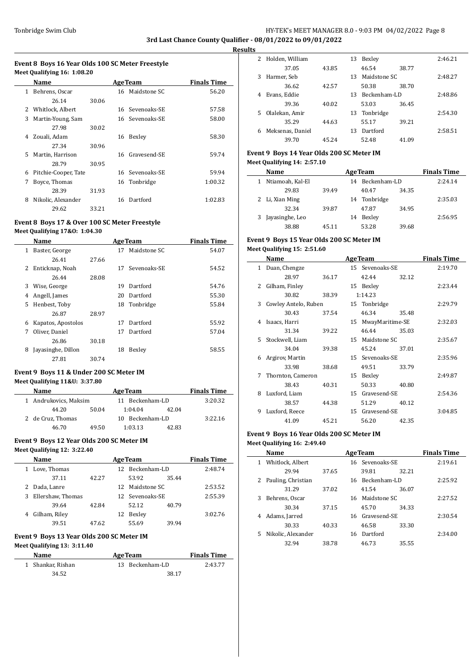# Tonbridge Swim Club **HY-TEK's MEET MANAGER 8.0 - 9:03 PM 04/02/2022** Page 8 **3rd Last Chance County Qualifier - 08/01/2022 to 09/01/2022**

**Results**

 $\equiv$ 

## **Event 8 Boys 16 Year Olds 100 SC Meter Freestyle Meet Qualifying 16: 1:08.20**

|              | Name                 |       |    | <b>AgeTeam</b>  | <b>Finals Time</b> |
|--------------|----------------------|-------|----|-----------------|--------------------|
| $\mathbf{1}$ | Behrens, Oscar       |       |    | 16 Maidstone SC | 56.20              |
|              | 26.14                | 30.06 |    |                 |                    |
| 2            | Whitlock, Albert     |       |    | 16 Sevenoaks-SE | 57.58              |
| 3            | Martin-Young, Sam    |       |    | 16 Sevenoaks-SE | 58.00              |
|              | 27.98                | 30.02 |    |                 |                    |
| 4            | Zouali, Adam         |       | 16 | Bexley          | 58.30              |
|              | 27.34                | 30.96 |    |                 |                    |
| 5.           | Martin, Harrison     |       |    | 16 Gravesend-SE | 59.74              |
|              | 28.79                | 30.95 |    |                 |                    |
| 6            | Pitchie-Cooper, Tate |       |    | 16 Sevenoaks-SE | 59.94              |
| 7            | Boyce, Thomas        |       |    | 16 Tonbridge    | 1:00.32            |
|              | 28.39                | 31.93 |    |                 |                    |
| 8            | Nikolic, Alexander   |       | 16 | Dartford        | 1:02.83            |
|              | 29.62                | 33.21 |    |                 |                    |

# **Event 8 Boys 17 & Over 100 SC Meter Freestyle Meet Qualifying 17&O: 1:04.30**

|   | Name               |       |    | <b>AgeTeam</b> | <b>Finals Time</b> |
|---|--------------------|-------|----|----------------|--------------------|
| 1 | Baster, George     |       | 17 | Maidstone SC   | 54.07              |
|   | 26.41              | 27.66 |    |                |                    |
| 2 | Enticknap, Noah    |       | 17 | Sevenoaks-SE   | 54.52              |
|   | 26.44              | 28.08 |    |                |                    |
| 3 | Wise, George       |       | 19 | Dartford       | 54.76              |
| 4 | Angell, James      |       | 20 | Dartford       | 55.30              |
| 5 | Henbest, Toby      |       | 18 | Tonbridge      | 55.84              |
|   | 26.87              | 28.97 |    |                |                    |
| 6 | Kapatos, Apostolos |       | 17 | Dartford       | 55.92              |
| 7 | Oliver, Daniel     |       | 17 | Dartford       | 57.04              |
|   | 26.86              | 30.18 |    |                |                    |
| 8 | Jayasinghe, Dillon |       | 18 | Bexley         | 58.55              |
|   | 27.81              | 30.74 |    |                |                    |
|   |                    |       |    |                |                    |

# **Event 9 Boys 11 & Under 200 SC Meter IM**

### **Meet Qualifying 11&U: 3:37.80**

| <b>Name</b>           |       | <b>AgeTeam</b>     | <b>Finals Time</b> |         |
|-----------------------|-------|--------------------|--------------------|---------|
| 1 Andrukovics, Maksim |       | 11 Beckenham-LD    | 3:20.32            |         |
| 44.20                 | 50.04 | 1:04.04            | 42.04              |         |
| 2 de Cruz, Thomas     |       | Beckenham-LD<br>10 |                    | 3:22.16 |
| 46.70                 | 49.50 | 1:03.13            | 42.83              |         |

#### **Event 9 Boys 12 Year Olds 200 SC Meter IM**

### **Meet Qualifying 12: 3:22.40**

|   | Name              | <b>AgeTeam</b> |    |                 | <b>Finals Time</b> |         |
|---|-------------------|----------------|----|-----------------|--------------------|---------|
| 1 | Love, Thomas      |                |    | 12 Beckenham-LD |                    | 2:48.74 |
|   | 37.11             | 42.27          |    | 53.92           | 35.44              |         |
| 2 | Dada, Lanre       |                |    | 12 Maidstone SC |                    | 2:53.52 |
| 3 | Ellershaw, Thomas |                |    | 12 Sevenoaks-SE |                    | 2:55.39 |
|   | 39.64             | 42.84          |    | 52.12           | 40.79              |         |
| 4 | Gilham, Riley     |                | 12 | Bexley          |                    | 3:02.76 |
|   | 39.51             | 47.62          |    | 55.69           | 39.94              |         |

## **Event 9 Boys 13 Year Olds 200 SC Meter IM Meet Qualifying 13: 3:11.40**

# **Name Age Team Finals Time** 1 Shankar, Rishan 13 Beckenham-LD 2:43.77 34.52 38.17

| 2  | Holden, William  |       | 13 | Bexley       |       | 2:46.21 |
|----|------------------|-------|----|--------------|-------|---------|
|    | 37.05            | 43.85 |    | 46.54        | 38.77 |         |
| 3  | Harmer, Seb      |       | 13 | Maidstone SC |       | 2:48.27 |
|    | 36.62            | 42.57 |    | 50.38        | 38.70 |         |
| 4  | Evans, Eddie     |       | 13 | Beckenham-LD |       | 2:48.86 |
|    | 39.36            | 40.02 |    | 53.03        | 36.45 |         |
| 5. | Olalekan, Amir   |       | 13 | Tonbridge    |       | 2:54.30 |
|    | 35.29            | 44.63 |    | 55.17        | 39.21 |         |
| 6  | Meksenas, Daniel |       | 13 | Dartford     |       | 2:58.51 |
|    | 39.70            | 45.24 |    | 52.48        | 41.09 |         |

# **Event 9 Boys 14 Year Olds 200 SC Meter IM Meet Qualifying 14: 2:57.10**

| <b>Name</b>      |       |    | <b>AgeTeam</b>  |       | <b>Finals Time</b> |
|------------------|-------|----|-----------------|-------|--------------------|
| Ntiamoah, Kal-El |       |    | 14 Beckenham-LD |       | 2.24.14            |
| 29.83            | 39.49 |    | 40.47           | 34.35 |                    |
| 2 Li, Xian Ming  |       |    | 14 Tonbridge    |       | 2:35.03            |
| 32.34            | 39.87 |    | 47.87           | 34.95 |                    |
| Javasinghe, Leo  |       | 14 | Bexley          |       | 2:56.95            |
| 38.88            | 45.11 |    | 53.28           | 39.68 |                    |

# **Event 9 Boys 15 Year Olds 200 SC Meter IM Meet Qualifying 15: 2:51.60**

|    | Name                 |       |                 | <b>AgeTeam</b>  |       | <b>Finals Time</b> |
|----|----------------------|-------|-----------------|-----------------|-------|--------------------|
| 1  | Duan, Chengze        |       |                 | 15 Sevenoaks-SE |       | 2:19.70            |
|    | 28.97                | 36.17 |                 | 42.44           | 32.12 |                    |
| 2. | Gilham, Finley       |       |                 | 15 Bexley       |       | 2:23.44            |
|    | 30.82                | 38.39 |                 | 1:14.23         |       |                    |
| 3  | Cowley Antelo, Ruben |       |                 | 15 Tonbridge    |       | 2:29.79            |
|    | 30.43                | 37.54 |                 | 46.34           | 35.48 |                    |
| 4  | Isaacs, Harri        |       | 15              | MwayMaritime-SE |       | 2:32.03            |
|    | 31.34                | 39.22 |                 | 46.44           | 35.03 |                    |
| 5. | Stockwell, Liam      |       |                 | 15 Maidstone SC |       | 2:35.67            |
|    | 34.04                | 39.38 |                 | 45.24           | 37.01 |                    |
| 6  | Argirov, Martin      |       |                 | 15 Sevenoaks-SE |       | 2:35.96            |
|    | 33.98                | 38.68 |                 | 49.51           | 33.79 |                    |
| 7  | Thornton, Cameron    |       | 15              | Bexley          |       | 2:49.87            |
|    | 38.43                | 40.31 |                 | 50.33           | 40.80 |                    |
| 8  | Luxford, Liam        |       | 15 <sup>7</sup> | Gravesend-SE    |       | 2:54.36            |
|    | 38.57                | 44.38 |                 | 51.29           | 40.12 |                    |
| 9  | Luxford, Reece       |       | 15 <sup>7</sup> | Gravesend-SE    |       | 3:04.85            |
|    | 41.09                | 45.21 |                 | 56.20           | 42.35 |                    |

# **Event 9 Boys 16 Year Olds 200 SC Meter IM Meet Qualifying 16: 2:49.40**

|    | Name               |       |    | <b>AgeTeam</b>  |       | <b>Finals Time</b> |
|----|--------------------|-------|----|-----------------|-------|--------------------|
|    | Whitlock, Albert   |       |    | 16 Sevenoaks-SE |       | 2:19.61            |
|    | 29.94              | 37.65 |    | 39.81           | 32.21 |                    |
|    | Pauling, Christian |       |    | 16 Beckenham-LD |       | 2:25.92            |
|    | 31.29              | 37.02 |    | 41.54           | 36.07 |                    |
| 3  | Behrens, Oscar     |       | 16 | Maidstone SC    |       | 2:27.52            |
|    | 30.34              | 37.15 |    | 45.70           | 34.33 |                    |
| 4  | Adams, Jarred      |       |    | 16 Gravesend-SE |       | 2:30.54            |
|    | 30.33              | 40.33 |    | 46.58           | 33.30 |                    |
| 5. | Nikolic, Alexander |       | 16 | Dartford        |       | 2:34.00            |
|    | 32.94              | 38.78 |    | 46.73           | 35.55 |                    |
|    |                    |       |    |                 |       |                    |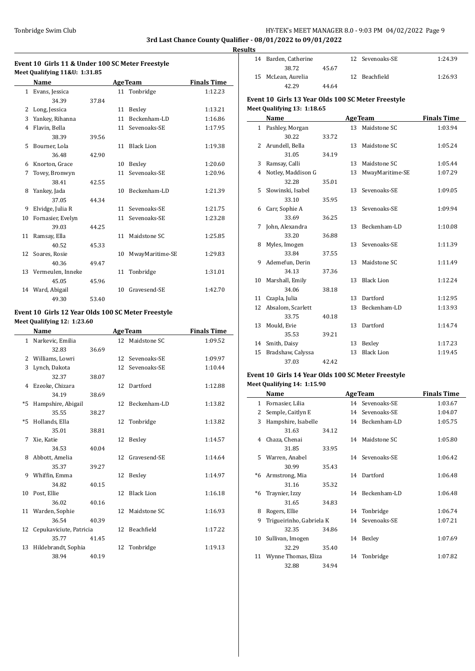# Tonbridge Swim Club **HY-TEK's MEET MANAGER 8.0 - 9:03 PM 04/02/2022** Page 9 **3rd Last Chance County Qualifier - 08/01/2022 to 09/01/2022**

**Results**

 $\frac{1}{2}$ 

# **Event 10 Girls 11 & Under 100 SC Meter Freestyle Meet Qualifying 11&U: 1:31.85**

|    | Name                 |       |    | <b>AgeTeam</b>    | <b>Finals Time</b> |
|----|----------------------|-------|----|-------------------|--------------------|
|    | 1 Evans, Jessica     |       |    | 11 Tonbridge      | 1:12.23            |
|    | 34.39                | 37.84 |    |                   |                    |
| 2  | Long, Jessica        |       | 11 | Bexley            | 1:13.21            |
| 3  | Yankey, Rihanna      |       | 11 | Beckenham-LD      | 1:16.86            |
| 4  | Flavin, Bella        |       | 11 | Sevenoaks-SE      | 1:17.95            |
|    | 38.39                | 39.56 |    |                   |                    |
| 5  | Bourner, Lola        |       | 11 | <b>Black Lion</b> | 1:19.38            |
|    | 36.48                | 42.90 |    |                   |                    |
| 6  | Knorton, Grace       |       | 10 | Bexley            | 1:20.60            |
| 7  | Tovey, Bronwyn       |       | 11 | Sevenoaks-SE      | 1:20.96            |
|    | 38.41                | 42.55 |    |                   |                    |
| 8  | Yankey, Jada         |       | 10 | Beckenham-LD      | 1:21.39            |
|    | 37.05                | 44.34 |    |                   |                    |
| 9  | Elvidge, Julia R     |       | 11 | Sevenoaks-SE      | 1:21.75            |
| 10 | Fornasier, Evelyn    |       | 11 | Sevenoaks-SE      | 1:23.28            |
|    | 39.03                | 44.25 |    |                   |                    |
| 11 | Ramsay, Ella         |       | 11 | Maidstone SC      | 1:25.85            |
|    | 40.52                | 45.33 |    |                   |                    |
|    | 12 Soares, Rosie     |       | 10 | MwayMaritime-SE   | 1:29.83            |
|    | 40.36                | 49.47 |    |                   |                    |
|    | 13 Vermeulen, Inneke |       | 11 | Tonbridge         | 1:31.01            |
|    | 45.05                | 45.96 |    |                   |                    |
|    | 14 Ward, Abigail     |       | 10 | Gravesend-SE      | 1:42.70            |
|    | 49.30                | 53.40 |    |                   |                    |

# **Event 10 Girls 12 Year Olds 100 SC Meter Freestyle Meet Qualifying 12: 1:23.60**

|              | Name                    |       |                 | <b>AgeTeam</b>  | <b>Finals Time</b> |
|--------------|-------------------------|-------|-----------------|-----------------|--------------------|
| $\mathbf{1}$ | Narkevic, Emilia        |       |                 | 12 Maidstone SC | 1:09.52            |
|              | 32.83                   | 36.69 |                 |                 |                    |
|              | 2 Williams, Lowri       |       | 12 <sup>1</sup> | Sevenoaks-SE    | 1:09.97            |
| 3            | Lynch, Dakota           |       |                 | 12 Sevenoaks-SE | 1:10.44            |
|              | 32.37                   | 38.07 |                 |                 |                    |
| 4            | Ezeoke, Chizara         |       |                 | 12 Dartford     | 1:12.88            |
|              | 34.19                   | 38.69 |                 |                 |                    |
| $*5$         | Hampshire, Abigail      |       |                 | 12 Beckenham-LD | 1:13.82            |
|              | 35.55                   | 38.27 |                 |                 |                    |
| $*5$         | Hollands, Ella          |       |                 | 12 Tonbridge    | 1:13.82            |
|              | 35.01                   | 38.81 |                 |                 |                    |
| 7            | Xie, Katie              |       |                 | 12 Bexley       | 1:14.57            |
|              | 34.53                   | 40.04 |                 |                 |                    |
| 8            | Abbott, Amelia          |       |                 | 12 Gravesend-SE | 1:14.64            |
|              | 35.37                   | 39.27 |                 |                 |                    |
| 9            | Whiffin, Emma           |       |                 | 12 Bexley       | 1:14.97            |
|              | 34.82                   | 40.15 |                 |                 |                    |
| 10           | Post, Ellie             |       |                 | 12 Black Lion   | 1:16.18            |
|              | 36.02                   | 40.16 |                 |                 |                    |
|              | 11 Warden, Sophie       |       |                 | 12 Maidstone SC | 1:16.93            |
|              | 36.54                   | 40.39 |                 |                 |                    |
| 12           | Cepukaviciute, Patricia |       |                 | 12 Beachfield   | 1:17.22            |
|              | 35.77                   | 41.45 |                 |                 |                    |
| 13           | Hildebrandt, Sophia     |       |                 | 12 Tonbridge    | 1:19.13            |
|              | 38.94                   | 40.19 |                 |                 |                    |

| 1 L.J |                      |       |                 |         |
|-------|----------------------|-------|-----------------|---------|
|       | 14 Barden, Catherine |       | 12 Sevenoaks-SE | 1:24.39 |
|       | 38.72                | 45.67 |                 |         |
|       | 15 McLean, Aurelia   |       | 12 Beachfield   | 1:26.93 |
|       | 42.29                | 44.64 |                 |         |

# **Event 10 Girls 13 Year Olds 100 SC Meter Freestyle Meet Qualifying 13: 1:18.65**

|    | Name                |       |    | <b>AgeTeam</b>    | <b>Finals Time</b> |
|----|---------------------|-------|----|-------------------|--------------------|
|    | 1 Pashley, Morgan   |       |    | 13 Maidstone SC   | 1:03.94            |
|    | 30.22               | 33.72 |    |                   |                    |
| 2  | Arundell, Bella     |       | 13 | Maidstone SC      | 1:05.24            |
|    | 31.05               | 34.19 |    |                   |                    |
| 3  | Ramsay, Calli       |       | 13 | Maidstone SC      | 1:05.44            |
| 4  | Notley, Maddison G  |       | 13 | MwayMaritime-SE   | 1:07.29            |
|    | 32.28               | 35.01 |    |                   |                    |
|    | 5 Slowinski, Isabel |       | 13 | Sevenoaks-SE      | 1:09.05            |
|    | 33.10               | 35.95 |    |                   |                    |
|    | 6 Carr, Sophie A    |       |    | 13 Sevenoaks-SE   | 1:09.94            |
|    | 33.69               | 36.25 |    |                   |                    |
| 7  | John, Alexandra     |       | 13 | Beckenham-LD      | 1:10.08            |
|    | 33.20               | 36.88 |    |                   |                    |
| 8  | Myles, Imogen       |       |    | 13 Sevenoaks-SE   | 1:11.39            |
|    | 33.84               | 37.55 |    |                   |                    |
| 9  | Ademefun, Derin     |       | 13 | Maidstone SC      | 1:11.49            |
|    | 34.13               | 37.36 |    |                   |                    |
| 10 | Marshall, Emily     |       | 13 | <b>Black Lion</b> | 1:12.24            |
|    | 34.06               | 38.18 |    |                   |                    |
| 11 | Czapla, Julia       |       | 13 | Dartford          | 1:12.95            |
| 12 | Absalom, Scarlett   |       | 13 | Beckenham-LD      | 1:13.93            |
|    | 33.75               | 40.18 |    |                   |                    |
|    | 13 Mould, Evie      |       |    | 13 Dartford       | 1:14.74            |
|    | 35.53               | 39.21 |    |                   |                    |
| 14 | Smith, Daisy        |       | 13 | Bexley            | 1:17.23            |
| 15 | Bradshaw, Calyssa   |       | 13 | <b>Black Lion</b> | 1:19.45            |
|    | 37.03               | 42.42 |    |                   |                    |

# **Event 10 Girls 14 Year Olds 100 SC Meter Freestyle Meet Qualifying 14: 1:15.90**

|    | Name                     |       |    | <b>AgeTeam</b>  | <b>Finals Time</b> |
|----|--------------------------|-------|----|-----------------|--------------------|
| 1  | Fornasier, Lilia         |       |    | 14 Sevenoaks-SE | 1:03.67            |
| 2  | Semple, Caitlyn E        |       |    | 14 Sevenoaks-SE | 1:04.07            |
| 3  | Hampshire, Isabelle      |       |    | 14 Beckenham-LD | 1:05.75            |
|    | 31.63                    | 34.12 |    |                 |                    |
| 4  | Chaza, Chenai            |       |    | 14 Maidstone SC | 1:05.80            |
|    | 31.85                    | 33.95 |    |                 |                    |
| 5. | Warren, Anabel           |       |    | 14 Sevenoaks-SE | 1:06.42            |
|    | 30.99                    | 35.43 |    |                 |                    |
|    | *6 Armstrong, Mia        |       |    | 14 Dartford     | 1:06.48            |
|    | 31.16                    | 35.32 |    |                 |                    |
| *6 | Traynier, Izzy           |       |    | 14 Beckenham-LD | 1:06.48            |
|    | 31.65                    | 34.83 |    |                 |                    |
| 8  | Rogers, Ellie            |       |    | 14 Tonbridge    | 1:06.74            |
| 9  | Trigueirinho, Gabriela K |       |    | 14 Sevenoaks-SE | 1:07.21            |
|    | 32.35                    | 34.86 |    |                 |                    |
| 10 | Sullivan, Imogen         |       | 14 | Bexley          | 1:07.69            |
|    | 32.29                    | 35.40 |    |                 |                    |
| 11 | Wynne Thomas, Eliza      |       |    | 14 Tonbridge    | 1:07.82            |
|    | 32.88                    | 34.94 |    |                 |                    |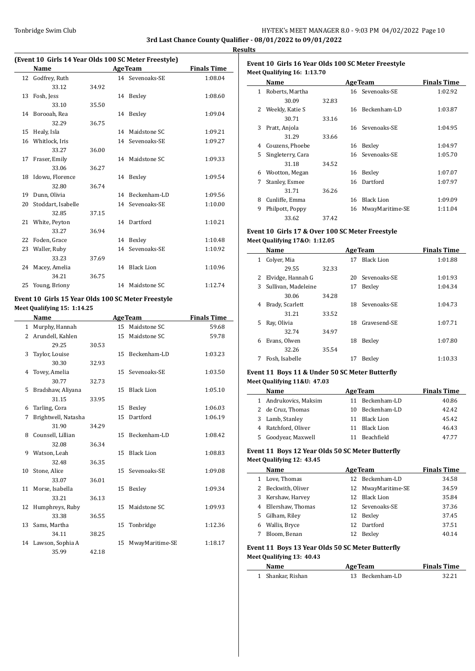# Tonbridge Swim Club **HY-TEK's MEET MANAGER 8.0 - 9:03 PM 04/02/2022** Page 10 **3rd Last Chance County Qualifier - 08/01/2022 to 09/01/2022**

**Results**

 $\frac{1}{2}$ 

# **(Event 10 Girls 14 Year Olds 100 SC Meter Freestyle)**

|    |                    |       |    | $1.011$ and $1.011$ and $1.000$ $0.01$ . The contract of $1.000$ |                    |
|----|--------------------|-------|----|------------------------------------------------------------------|--------------------|
|    | Name               |       |    | <b>AgeTeam</b>                                                   | <b>Finals Time</b> |
| 12 | Godfrey, Ruth      |       |    | 14 Sevenoaks-SE                                                  | 1:08.04            |
|    | 33.12              | 34.92 |    |                                                                  |                    |
| 13 | Fosh, Jess         |       |    | 14 Bexley                                                        | 1:08.60            |
|    | 33.10              | 35.50 |    |                                                                  |                    |
|    | 14 Borooah, Rea    |       | 14 | Bexley                                                           | 1:09.04            |
|    | 32.29              | 36.75 |    |                                                                  |                    |
| 15 | Healy, Isla        |       | 14 | Maidstone SC                                                     | 1:09.21            |
| 16 | Whitlock, Iris     |       |    | 14 Sevenoaks-SE                                                  | 1:09.27            |
|    | 33.27              | 36.00 |    |                                                                  |                    |
| 17 | Fraser, Emily      |       | 14 | Maidstone SC                                                     | 1:09.33            |
|    | 33.06              | 36.27 |    |                                                                  |                    |
|    | 18 Idowu, Florence |       |    | 14 Bexley                                                        | 1:09.54            |
|    | 32.80              | 36.74 |    |                                                                  |                    |
| 19 | Dunn, Olivia       |       |    | 14 Beckenham-LD                                                  | 1:09.56            |
| 20 | Stoddart, Isabelle |       |    | 14 Sevenoaks-SE                                                  | 1:10.00            |
|    | 32.85              | 37.15 |    |                                                                  |                    |
|    | 21 White, Peyton   |       |    | 14 Dartford                                                      | 1:10.21            |
|    | 33.27              | 36.94 |    |                                                                  |                    |
| 22 | Foden, Grace       |       | 14 | Bexley                                                           | 1:10.48            |
| 23 | Waller, Ruby       |       | 14 | Sevenoaks-SE                                                     | 1:10.92            |
|    | 33.23              | 37.69 |    |                                                                  |                    |
| 24 | Macey, Amelia      |       | 14 | <b>Black Lion</b>                                                | 1:10.96            |
|    | 34.21              | 36.75 |    |                                                                  |                    |
| 25 | Young, Briony      |       | 14 | Maidstone SC                                                     | 1:12.74            |

## **Event 10 Girls 15 Year Olds 100 SC Meter Freestyle Meet Qualifying 15: 1:14.25**

 $\overline{\phantom{a}}$ 

|              | Name                |       |                 | <b>AgeTeam</b>    | <b>Finals Time</b> |
|--------------|---------------------|-------|-----------------|-------------------|--------------------|
| $\mathbf{1}$ | Murphy, Hannah      |       | 15              | Maidstone SC      | 59.68              |
| 2            | Arundell, Kahlen    |       | 15              | Maidstone SC      | 59.78              |
|              | 29.25               | 30.53 |                 |                   |                    |
| 3            | Taylor, Louise      |       | 15 <sup>7</sup> | Beckenham-LD      | 1:03.23            |
|              | 30.30               | 32.93 |                 |                   |                    |
| 4            | Tovey, Amelia       |       | 15              | Sevenoaks-SE      | 1:03.50            |
|              | 30.77               | 32.73 |                 |                   |                    |
| 5.           | Bradshaw, Aliyana   |       | 15              | <b>Black Lion</b> | 1:05.10            |
|              | 31.15               | 33.95 |                 |                   |                    |
| 6            | Tarling, Cora       |       | 15              | Bexley            | 1:06.03            |
| 7            | Brightwell, Natasha |       | 15              | Dartford          | 1:06.19            |
|              | 31.90               | 34.29 |                 |                   |                    |
| 8            | Counsell, Lillian   |       | 15              | Beckenham-LD      | 1:08.42            |
|              | 32.08               | 36.34 |                 |                   |                    |
| 9            | Watson, Leah        |       | 15              | <b>Black Lion</b> | 1:08.83            |
|              | 32.48               | 36.35 |                 |                   |                    |
| 10           | Stone, Alice        |       |                 | 15 Sevenoaks-SE   | 1:09.08            |
|              | 33.07               | 36.01 |                 |                   |                    |
| 11           | Morse, Isabella     |       | 15              | Bexley            | 1:09.34            |
|              | 33.21               | 36.13 |                 |                   |                    |
| 12           | Humphreys, Ruby     |       | 15              | Maidstone SC      | 1:09.93            |
|              | 33.38               | 36.55 |                 |                   |                    |
| 13           | Sams, Martha        |       | 15              | Tonbridge         | 1:12.36            |
|              | 34.11               | 38.25 |                 |                   |                    |
| 14           | Lawson, Sophia A    |       | 15              | MwayMaritime-SE   | 1:18.17            |
|              | 35.99               | 42.18 |                 |                   |                    |

# **Event 10 Girls 16 Year Olds 100 SC Meter Freestyle Meet Qualifying 16: 1:13.70**

|   | Name              |       |    | <b>AgeTeam</b>    | <b>Finals Time</b> |
|---|-------------------|-------|----|-------------------|--------------------|
| 1 | Roberts, Martha   |       |    | 16 Sevenoaks-SE   | 1:02.92            |
|   | 30.09             | 32.83 |    |                   |                    |
| 2 | Weekly, Katie S   |       | 16 | Beckenham-LD      | 1:03.87            |
|   | 30.71             | 33.16 |    |                   |                    |
| 3 | Pratt, Anjola     |       |    | 16 Sevenoaks-SE   | 1:04.95            |
|   | 31.29             | 33.66 |    |                   |                    |
| 4 | Couzens, Phoebe   |       | 16 | Bexley            | 1:04.97            |
| 5 | Singleterry, Cara |       |    | 16 Sevenoaks-SE   | 1:05.70            |
|   | 31.18             | 34.52 |    |                   |                    |
| 6 | Wootton, Megan    |       | 16 | Bexley            | 1:07.07            |
| 7 | Stanley, Esmee    |       | 16 | Dartford          | 1:07.97            |
|   | 31.71             | 36.26 |    |                   |                    |
| 8 | Cunliffe, Emma    |       | 16 | <b>Black Lion</b> | 1:09.09            |
| 9 | Philpott, Poppy   |       | 16 | MwayMaritime-SE   | 1:11.04            |
|   | 33.62             | 37.42 |    |                   |                    |

# **Event 10 Girls 17 & Over 100 SC Meter Freestyle Meet Qualifying 17&O: 1:12.05**

|    | Name                | <b>AgeTeam</b> |    |                   | <b>Finals Time</b> |
|----|---------------------|----------------|----|-------------------|--------------------|
| 1  | Colver, Mia         |                | 17 | <b>Black Lion</b> | 1:01.88            |
|    | 29.55               | 32.33          |    |                   |                    |
| 2  | Elvidge, Hannah G   |                |    | 20 Sevenoaks-SE   | 1:01.93            |
| 3  | Sullivan, Madeleine |                | 17 | Bexley            | 1:04.34            |
|    | 30.06               | 34.28          |    |                   |                    |
| 4  | Brady, Scarlett     |                |    | 18 Sevenoaks-SE   | 1:04.73            |
|    | 31.21               | 33.52          |    |                   |                    |
| 5. | Ray, Olivia         |                | 18 | Gravesend-SE      | 1:07.71            |
|    | 32.74               | 34.97          |    |                   |                    |
| 6  | Evans, Olwen        |                | 18 | Bexley            | 1:07.80            |
|    | 32.26               | 35.54          |    |                   |                    |
|    | Fosh, Isabelle      |                | 17 | Bexley            | 1:10.33            |

## **Event 11 Boys 11 & Under 50 SC Meter Butterfly Meet Qualifying 11&U: 47.03**

|    | Name                  |    | <b>AgeTeam</b>  | <b>Finals Time</b> |
|----|-----------------------|----|-----------------|--------------------|
|    | 1 Andrukovics, Maksim |    | 11 Beckenham-LD | 40.86              |
|    | 2 de Cruz, Thomas     |    | 10 Beckenham-LD | 42.42              |
|    | 3 Lamb, Stanley       |    | 11 Black Lion   | 45.42              |
|    | 4 Ratchford, Oliver   |    | 11 Black Lion   | 46.43              |
| 5. | Goodyear, Maxwell     | 11 | Beachfield      | 47.77              |

#### **Event 11 Boys 12 Year Olds 50 SC Meter Butterfly Meet Qualifying 12: 43.45**

|    | Name               |     | <b>AgeTeam</b>     | <b>Finals Time</b> |
|----|--------------------|-----|--------------------|--------------------|
|    | Love, Thomas       | 12. | Beckenham-LD       | 34.58              |
|    | 2 Beckwith, Oliver |     | 12 MwayMaritime-SE | 34.59              |
| 3  | Kershaw, Harvey    | 12. | Black Lion         | 35.84              |
| 4  | Ellershaw, Thomas  |     | 12 Sevenoaks-SE    | 37.36              |
| 5. | Gilham, Riley      | 12  | Bexley             | 37.45              |
| 6  | Wallis, Bryce      | 12  | Dartford           | 37.51              |
|    | Bloom, Benan       | 12  | Bexlev             | 40.14              |
|    |                    |     |                    |                    |

#### **Event 11 Boys 13 Year Olds 50 SC Meter Butterfly Meet Qualifying 13: 40.43**

| Name              | <b>AgeTeam</b>  |       |
|-------------------|-----------------|-------|
| 1 Shankar, Rishan | 13 Beckenham-LD | 32.21 |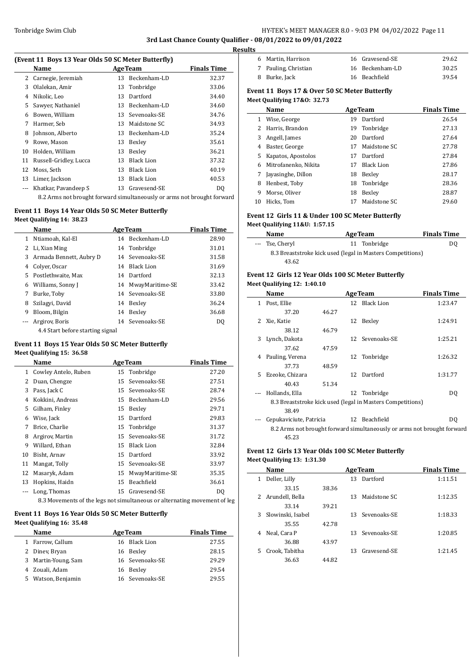# Tonbridge Swim Club **HY-TEK's MEET MANAGER 8.0 - 9:03 PM 04/02/2022** Page 11 **3rd Last Chance County Qualifier - 08/01/2022 to 09/01/2022**

**Results**

 $\overline{a}$ 

 $\overline{\phantom{a}}$ 

### **(Event 11 Boys 13 Year Olds 50 SC Meter Butterfly)**

|    | Name                   |    | <b>AgeTeam</b>    | <b>Finals Time</b> |
|----|------------------------|----|-------------------|--------------------|
|    |                        |    |                   |                    |
|    | 2 Carnegie, Jeremiah   | 13 | Beckenham-LD      | 32.37              |
| 3  | Olalekan, Amir         |    | 13 Tonbridge      | 33.06              |
| 4  | Nikolic, Leo           | 13 | Dartford          | 34.40              |
| 5  | Sawyer, Nathaniel      | 13 | Beckenham-LD      | 34.60              |
| 6  | Bowen, William         | 13 | Sevenoaks-SE      | 34.76              |
| 7  | Harmer, Seb            | 13 | Maidstone SC      | 34.93              |
| 8  | Johnson, Alberto       | 13 | Beckenham-LD      | 35.24              |
| 9  | Rowe, Mason            | 13 | Bexley            | 35.61              |
| 10 | Holden, William        | 13 | Bexley            | 36.21              |
| 11 | Russell-Gridley, Lucca | 13 | <b>Black Lion</b> | 37.32              |
| 12 | Moss, Seth             | 13 | <b>Black Lion</b> | 40.19              |
| 13 | Limer, Jackson         | 13 | Black Lion        | 40.53              |
|    | Khatkar, Pavandeep S   |    | 13 Gravesend-SE   | D <sub>0</sub>     |
|    |                        |    |                   |                    |

8.2 Arms not brought forward simultaneously or arms not brought forward 10 Hicks, Tom

## **Event 11 Boys 14 Year Olds 50 SC Meter Butterfly Meet Qualifying 14: 38.23**

|    | Name                             |    | <b>AgeTeam</b>     | <b>Finals Time</b> |
|----|----------------------------------|----|--------------------|--------------------|
| 1  | Ntiamoah, Kal-El                 | 14 | Beckenham-LD       | 28.90              |
| 2  | Li, Xian Ming                    |    | 14 Tonbridge       | 31.01              |
| 3  | Armada Bennett, Aubry D          |    | 14 Sevenoaks-SE    | 31.58              |
| 4  | Colver, Oscar                    | 14 | Black Lion         | 31.69              |
| 5. | Postlethwaite. Max               |    | 14 Dartford        | 32.13              |
| 6  | Williams, Sonny J                |    | 14 MwayMaritime-SE | 33.42              |
| 7  | Burke, Toby                      |    | 14 Sevenoaks-SE    | 33.80              |
| 8  | Szilagyi, David                  | 14 | Bexley             | 36.24              |
| 9  | Bloom, Bilgin                    | 14 | Bexley             | 36.68              |
|    | Argirov, Boris                   |    | 14 Sevenoaks-SE    | DO.                |
|    | 4.4 Start before starting signal |    |                    |                    |

# **Event 11 Boys 15 Year Olds 50 SC Meter Butterfly**

# **Meet Qualifying 15: 36.58**

|    | Name                   |    | <b>AgeTeam</b>                                                                                                                                                                                                                                                                                                                                                                                 | <b>Finals Time</b> |
|----|------------------------|----|------------------------------------------------------------------------------------------------------------------------------------------------------------------------------------------------------------------------------------------------------------------------------------------------------------------------------------------------------------------------------------------------|--------------------|
|    | 1 Cowley Antelo, Ruben |    | 15 Tonbridge                                                                                                                                                                                                                                                                                                                                                                                   | 27.20              |
| 2  | Duan, Chengze          | 15 | Sevenoaks-SE                                                                                                                                                                                                                                                                                                                                                                                   | 27.51              |
| 3  | Pass, Jack C           |    | 15 Sevenoaks-SE                                                                                                                                                                                                                                                                                                                                                                                | 28.74              |
| 4  | Kokkini, Andreas       |    | 15 Beckenham-LD                                                                                                                                                                                                                                                                                                                                                                                | 29.56              |
| 5. | Gilham, Finley         | 15 | Bexley                                                                                                                                                                                                                                                                                                                                                                                         | 29.71              |
| 6  | Wise, Jack             |    | 15 Dartford                                                                                                                                                                                                                                                                                                                                                                                    | 29.83              |
| 7  | Brice, Charlie         |    | 15 Tonbridge                                                                                                                                                                                                                                                                                                                                                                                   | 31.37              |
| 8  | Argirov, Martin        |    | 15 Sevenoaks-SE                                                                                                                                                                                                                                                                                                                                                                                | 31.72              |
| 9  | Willard, Ethan         | 15 | <b>Black Lion</b>                                                                                                                                                                                                                                                                                                                                                                              | 32.84              |
| 10 | Bisht, Arnav           | 15 | Dartford                                                                                                                                                                                                                                                                                                                                                                                       | 33.92              |
| 11 | Mangat, Tolly          |    | 15 Sevenoaks-SE                                                                                                                                                                                                                                                                                                                                                                                | 33.97              |
| 12 | Masaryk, Adam          | 15 | MwayMaritime-SE                                                                                                                                                                                                                                                                                                                                                                                | 35.35              |
| 13 | Hopkins, Haidn         | 15 | Beachfield                                                                                                                                                                                                                                                                                                                                                                                     | 36.61              |
|    | Long, Thomas           |    | 15 Gravesend-SE                                                                                                                                                                                                                                                                                                                                                                                | DO.                |
|    |                        |    | $\mathcal{A} \times \mathcal{A}$ , and $\mathcal{A} \times \mathcal{A}$ , and $\mathcal{A} \times \mathcal{A}$ , and $\mathcal{A} \times \mathcal{A}$ , and $\mathcal{A} \times \mathcal{A}$ , and $\mathcal{A} \times \mathcal{A}$ , and $\mathcal{A} \times \mathcal{A}$ , and $\mathcal{A} \times \mathcal{A}$ , and $\mathcal{A} \times \mathcal{A}$ , and $\mathcal{A} \times \mathcal{A$ |                    |

8.3 Movements of the legs not simultaneous or alternating movement of leg

#### **Event 11 Boys 16 Year Olds 50 SC Meter Butterfly Meet Qualifying 16: 35.48**

|    | <b>Name</b>         | <b>AgeTeam</b>  | <b>Finals Time</b> |
|----|---------------------|-----------------|--------------------|
|    | 1 Farrow, Callum    | 16 Black Lion   | 27.55              |
|    | 2 Diney, Bryan      | 16 Bexley       | 28.15              |
|    | 3 Martin-Young, Sam | 16 Sevenoaks-SE | 29.29              |
|    | 4 Zouali, Adam      | 16 Bexley       | 29.54              |
| 5. | Watson, Benjamin    | 16 Sevenoaks-SE | 29.55              |

| 6 Martin, Harrison   | 16 Gravesend-SE | 29.62 |
|----------------------|-----------------|-------|
| 7 Pauling, Christian | 16 Beckenham-LD | 30.25 |
| 8 Burke, Jack        | 16 Beachfield   | 39.54 |

## **Event 11 Boys 17 & Over 50 SC Meter Butterfly Meet Qualifying 17&O: 32.73**

|    | Name                 |    | <b>AgeTeam</b> | <b>Finals Time</b> |
|----|----------------------|----|----------------|--------------------|
|    | Wise, George         | 19 | Dartford       | 26.54              |
|    | Harris, Brandon      | 19 | Tonbridge      | 27.13              |
| 3  | Angell, James        | 20 | Dartford       | 27.64              |
| 4  | Baster, George       | 17 | Maidstone SC   | 27.78              |
| 5. | Kapatos, Apostolos   | 17 | Dartford       | 27.84              |
| 6  | Mitrofanenko, Nikita | 17 | Black Lion     | 27.86              |
|    | Jayasinghe, Dillon   | 18 | Bexley         | 28.17              |
| 8  | Henbest, Toby        |    | 18 Tonbridge   | 28.36              |
| 9  | Morse, Oliver        | 18 | Bexley         | 28.87              |
| 10 | Hicks, Tom           | 17 | Maidstone SC   | 29.60              |

# **Event 12 Girls 11 & Under 100 SC Meter Butterfly Meet Qualifying 11&U: 1:57.15**

| Name                                                       | <b>AgeTeam</b> | <b>Finals Time</b> |
|------------------------------------------------------------|----------------|--------------------|
| --- Tse, Cheryl                                            | 11 Tonbridge   | DO.                |
| 8.3 Breaststroke kick used (legal in Masters Competitions) |                |                    |
| 43.62                                                      |                |                    |

#### **Event 12 Girls 12 Year Olds 100 SC Meter Butterfly Meet Qualifying 12: 1:40.10**

|                | Name                    |       |    | <b>AgeTeam</b>                                                          | <b>Finals Time</b> |  |
|----------------|-------------------------|-------|----|-------------------------------------------------------------------------|--------------------|--|
| 1              | Post, Ellie             |       |    | 12 Black Lion                                                           | 1:23.47            |  |
|                | 37.20                   | 46.27 |    |                                                                         |                    |  |
| 2              | Xie, Katie              |       | 12 | Bexley                                                                  | 1:24.91            |  |
|                | 38.12                   | 46.79 |    |                                                                         |                    |  |
| 3              | Lynch, Dakota           |       | 12 | Sevenoaks-SE                                                            | 1:25.21            |  |
|                | 37.62                   | 47.59 |    |                                                                         |                    |  |
| 4              | Pauling, Verena         |       | 12 | Tonbridge                                                               | 1:26.32            |  |
|                | 37.73                   | 48.59 |    |                                                                         |                    |  |
| 5.             | Ezeoke, Chizara         |       | 12 | Dartford                                                                | 1:31.77            |  |
|                | 40.43                   | 51.34 |    |                                                                         |                    |  |
| $\overline{a}$ | Hollands, Ella          |       | 12 | Tonbridge                                                               | DQ                 |  |
|                |                         |       |    | 8.3 Breaststroke kick used (legal in Masters Competitions)              |                    |  |
|                | 38.49                   |       |    |                                                                         |                    |  |
|                | Cepukaviciute, Patricia |       |    | 12 Beachfield                                                           | D <sub>0</sub>     |  |
|                |                         |       |    | 8.2 Arms not brought forward simultaneously or arms not brought forward |                    |  |
|                | 45.23                   |       |    |                                                                         |                    |  |

## **Event 12 Girls 13 Year Olds 100 SC Meter Butterfly Meet Qualifying 13: 1:31.30**

|    | Name              |       | <b>AgeTeam</b> | <b>Finals Time</b> |         |
|----|-------------------|-------|----------------|--------------------|---------|
| 1  | Deller, Lilly     |       | 13             | Dartford           | 1:11.51 |
|    | 33.15             | 38.36 |                |                    |         |
| 2  | Arundell, Bella   |       | 13             | Maidstone SC       | 1:12.35 |
|    | 33.14             | 39.21 |                |                    |         |
| 3  | Slowinski, Isabel |       |                | 13 Sevenoaks-SE    | 1:18.33 |
|    | 35.55             | 42.78 |                |                    |         |
| 4  | Neal, Cara P      |       |                | 13 Sevenoaks-SE    | 1:20.85 |
|    | 36.88             | 43.97 |                |                    |         |
| 5. | Crook, Tabitha    |       | 13             | Gravesend-SE       | 1:21.45 |
|    | 36.63             | 44.82 |                |                    |         |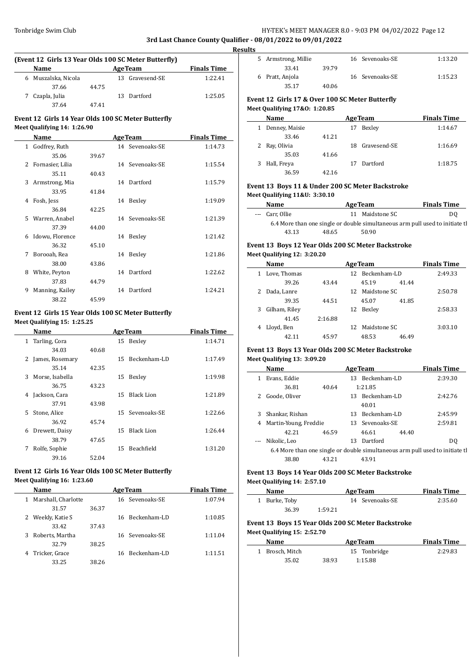# Tonbridge Swim Club **HY-TEK's MEET MANAGER 8.0 - 9:03 PM 04/02/2022** Page 12 **3rd Last Chance County Qualifier - 08/01/2022 to 09/01/2022**

**Results**

 $\overline{a}$ 

 $\overline{a}$ 

# **(Event 12 Girls 13 Year Olds 100 SC Meter Butterfly)**

| <b>Name</b> |                     |       |  | <b>AgeTeam</b>  | <b>Finals Time</b> |  |  |
|-------------|---------------------|-------|--|-----------------|--------------------|--|--|
|             | 6 Muszalska, Nicola |       |  | 13 Gravesend-SE | 1:22.41            |  |  |
|             | 37.66               | 44.75 |  |                 |                    |  |  |
|             | Czapla, Julia       |       |  | 13 Dartford     | 1:25.05            |  |  |
|             | 37.64               | 47.41 |  |                 |                    |  |  |

# **Event 12 Girls 14 Year Olds 100 SC Meter Butterfly**

# **Meet Qualifying 14: 1:26.90**

|              | Name             |       |    | <b>AgeTeam</b>  | <b>Finals Time</b> |
|--------------|------------------|-------|----|-----------------|--------------------|
| $\mathbf{1}$ | Godfrey, Ruth    |       |    | 14 Sevenoaks-SE | 1:14.73            |
|              | 35.06            | 39.67 |    |                 |                    |
| 2            | Fornasier, Lilia |       |    | 14 Sevenoaks-SE | 1:15.54            |
|              | 35.11            | 40.43 |    |                 |                    |
| 3            | Armstrong, Mia   |       | 14 | Dartford        | 1:15.79            |
|              | 33.95            | 41.84 |    |                 |                    |
| 4            | Fosh, Jess       |       | 14 | Bexley          | 1:19.09            |
|              | 36.84            | 42.25 |    |                 |                    |
| 5            | Warren, Anabel   |       |    | 14 Sevenoaks-SE | 1:21.39            |
|              | 37.39            | 44.00 |    |                 |                    |
| 6            | Idowu, Florence  |       | 14 | Bexley          | 1:21.42            |
|              | 36.32            | 45.10 |    |                 |                    |
| 7            | Borooah, Rea     |       | 14 | Bexley          | 1:21.86            |
|              | 38.00            | 43.86 |    |                 |                    |
| 8            | White, Peyton    |       |    | 14 Dartford     | 1:22.62            |
|              | 37.83            | 44.79 |    |                 |                    |
| 9            | Manning, Kailey  |       | 14 | Dartford        | 1:24.21            |
|              | 38.22            | 45.99 |    |                 |                    |

## **Event 12 Girls 15 Year Olds 100 SC Meter Butterfly Meet Qualifying 15: 1:25.25**

|    | Name            |       |    | <b>AgeTeam</b>    | <b>Finals Time</b> |
|----|-----------------|-------|----|-------------------|--------------------|
| 1  | Tarling, Cora   |       |    | 15 Bexley         | 1:14.71            |
|    | 34.03           | 40.68 |    |                   |                    |
| 2  | James, Rosemary |       | 15 | Beckenham-LD      | 1:17.49            |
|    | 35.14           | 42.35 |    |                   |                    |
| 3  | Morse, Isabella |       | 15 | Bexley            | 1:19.98            |
|    | 36.75           | 43.23 |    |                   |                    |
| 4  | Jackson, Cara   |       | 15 | <b>Black Lion</b> | 1:21.89            |
|    | 37.91           | 43.98 |    |                   |                    |
| 5. | Stone, Alice    |       | 15 | Sevenoaks-SE      | 1:22.66            |
|    | 36.92           | 45.74 |    |                   |                    |
| 6  | Drewett, Daisy  |       | 15 | <b>Black Lion</b> | 1:26.44            |
|    | 38.79           | 47.65 |    |                   |                    |
| 7  | Rolfe, Sophie   |       | 15 | <b>Beachfield</b> | 1:31.20            |
|    | 39.16           | 52.04 |    |                   |                    |

# **Event 12 Girls 16 Year Olds 100 SC Meter Butterfly**

**Meet Qualifying 16: 1:23.60**

 $\overline{\phantom{a}}$ 

|   | Name                |       | <b>AgeTeam</b>  | <b>Finals Time</b> |
|---|---------------------|-------|-----------------|--------------------|
| 1 | Marshall, Charlotte |       | 16 Sevenoaks-SE | 1:07.94            |
|   | 31.57               | 36.37 |                 |                    |
|   | 2 Weekly, Katie S   |       | 16 Beckenham-LD | 1:10.85            |
|   | 33.42               | 37.43 |                 |                    |
| 3 | Roberts, Martha     |       | 16 Sevenoaks-SE | 1:11.04            |
|   | 32.79               | 38.25 |                 |                    |
| 4 | Tricker, Grace      |       | 16 Beckenham-LD | 1:11.51            |
|   | 33.25               | 38.26 |                 |                    |

|  | 5 Armstrong, Millie |       |  | 16 Sevenoaks-SE | 1:13.20 |  |
|--|---------------------|-------|--|-----------------|---------|--|
|  | 33.41               | 39.79 |  |                 |         |  |
|  | 6 Pratt, Anjola     |       |  | 16 Sevenoaks-SE | 1:15.23 |  |
|  | 35.17               | 40.06 |  |                 |         |  |
|  |                     |       |  |                 |         |  |

# **Event 12 Girls 17 & Over 100 SC Meter Butterfly Meet Qualifying 17&O: 1:20.85**

|   | Name             |       | <b>AgeTeam</b>  | <b>Finals Time</b> |
|---|------------------|-------|-----------------|--------------------|
|   | 1 Denney, Maisie |       | Bexley<br>17    | 1:14.67            |
|   | 33.46            | 41.21 |                 |                    |
|   | 2 Ray, Olivia    |       | 18 Gravesend-SE | 1:16.69            |
|   | 35.03            | 41.66 |                 |                    |
| 3 | Hall, Freya      |       | Dartford<br>17  | 1:18.75            |
|   | 36.59            | 42.16 |                 |                    |

# **Event 13 Boys 11 & Under 200 SC Meter Backstroke Meet Qualifying 11&U: 3:30.10**

| Name                                                                          |       | <b>AgeTeam</b>  | <b>Finals Time</b> |  |  |  |  |
|-------------------------------------------------------------------------------|-------|-----------------|--------------------|--|--|--|--|
| --- Carr, Ollie                                                               |       | 11 Maidstone SC | DO.                |  |  |  |  |
| 6.4 More than one single or double simultaneous arm pull used to initiate the |       |                 |                    |  |  |  |  |
| 43.13                                                                         | 48.65 | 50.90           |                    |  |  |  |  |

# **Event 13 Boys 12 Year Olds 200 SC Meter Backstroke Meet Qualifying 12: 3:20.20**

| Name |               |         | <b>Finals Time</b> |                 |       |         |
|------|---------------|---------|--------------------|-----------------|-------|---------|
| 1    | Love, Thomas  |         |                    | 12 Beckenham-LD |       | 2:49.33 |
|      | 39.26         | 43.44   |                    | 45.19           | 41.44 |         |
|      | Dada, Lanre   |         |                    | 12 Maidstone SC |       | 2:50.78 |
|      | 39.35         | 44.51   |                    | 45.07           | 41.85 |         |
| 3    | Gilham, Riley |         | 12                 | Bexley          |       | 2:58.33 |
|      | 41.45         | 2:16.88 |                    |                 |       |         |
| 4    | Lloyd, Ben    |         |                    | 12 Maidstone SC |       | 3:03.10 |
|      |               | 45.97   |                    | 48.53           | 46.49 |         |

## **Event 13 Boys 13 Year Olds 200 SC Meter Backstroke Meet Qualifying 13: 3:09.20**

|   | Name                                                                          |       |    | <b>AgeTeam</b>  |       | <b>Finals Time</b> |
|---|-------------------------------------------------------------------------------|-------|----|-----------------|-------|--------------------|
|   | Evans, Eddie                                                                  |       |    | 13 Beckenham-LD |       | 2:39.30            |
|   | 36.81                                                                         | 40.64 |    | 1:21.85         |       |                    |
|   | Goode, Oliver                                                                 |       |    | 13 Beckenham-LD |       | 2:42.76            |
|   |                                                                               |       |    | 40.01           |       |                    |
| 3 | Shankar, Rishan                                                               |       |    | 13 Beckenham-LD |       | 2:45.99            |
| 4 | Martin-Young, Freddie                                                         |       |    | 13 Sevenoaks-SE |       | 2:59.81            |
|   | 42.21                                                                         | 46.59 |    | 46.61           | 44.40 |                    |
|   | Nikolic, Leo                                                                  |       | 13 | Dartford        |       | DO.                |
|   | 6.4 More than one single or double simultaneous arm pull used to initiate the |       |    |                 |       |                    |
|   | 38.80                                                                         | 43.21 |    | 43.91           |       |                    |

# **Event 13 Boys 14 Year Olds 200 SC Meter Backstroke Meet Qualifying 14: 2:57.10**

| Name          |         | <b>AgeTeam</b>  | <b>Finals Time</b> |
|---------------|---------|-----------------|--------------------|
| 1 Burke, Toby |         | 14 Sevenoaks-SE | 2:35.60            |
| 36.39         | 1:59.21 |                 |                    |

# **Event 13 Boys 15 Year Olds 200 SC Meter Backstroke Meet Qualifying 15: 2:52.70**

| Name            |       | <b>AgeTeam</b> | <b>Finals Time</b> |
|-----------------|-------|----------------|--------------------|
| 1 Brosch. Mitch |       | 15 Tonbridge   | 2:29.83            |
| 35.02           | 38.93 | 1:15.88        |                    |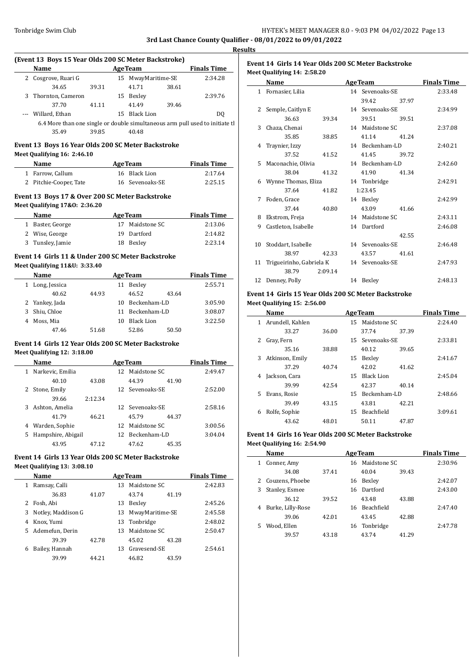#### **(Event 13 Boys 15 Year Olds 200 SC Meter Backstroke)**

|                                                                               | Name                |       |  | <b>AgeTeam</b>     |       | <b>Finals Time</b> | Event 1        |
|-------------------------------------------------------------------------------|---------------------|-------|--|--------------------|-------|--------------------|----------------|
|                                                                               | 2 Cosgrove, Ruari G |       |  | 15 MwayMaritime-SE |       | 2:34.28            | Meet Qu        |
|                                                                               | 34.65               | 39.31 |  | 41.71              | 38.61 |                    | N              |
|                                                                               | 3 Thornton, Cameron |       |  | 15 Bexley          |       | 2:39.76            | 1 F            |
|                                                                               | 37.70               | 41.11 |  | 41.49              | 39.46 |                    | 2S             |
|                                                                               | --- Willard, Ethan  |       |  | 15 Black Lion      |       | DO.                |                |
| 6.4 More than one single or double simultaneous arm pull used to initiate the |                     |       |  |                    |       |                    | 3 <sup>C</sup> |
|                                                                               | 35.49               | 39.85 |  | 40.48              |       |                    |                |
|                                                                               |                     |       |  |                    |       |                    |                |

# **Event 13 Boys 16 Year Olds 200 SC Meter Backstroke**

# **Meet Qualifying 16: 2:46.10**

 $\overline{\phantom{a}}$ 

| <b>Name</b>            | <b>AgeTeam</b>  | <b>Finals Time</b> |  |  |
|------------------------|-----------------|--------------------|--|--|
| 1 Farrow, Callum       | 16 Black Lion   | 2:17.64            |  |  |
| 2 Pitchie-Cooper, Tate | 16 Sevenoaks-SE | 2:25.15            |  |  |

## **Event 13 Boys 17 & Over 200 SC Meter Backstroke Meet Qualifying 17&O: 2:36.20**

| <b>Name</b>      | <b>AgeTeam</b>     | <b>Finals Time</b> |
|------------------|--------------------|--------------------|
| 1 Baster, George | Maidstone SC<br>17 | 2:13.06            |
| 2 Wise, George   | 19 Dartford        | 2:14.82            |
| 3 Tunsley, Jamie | 18 Bexley          | 2:23.14            |

# **Event 14 Girls 11 & Under 200 SC Meter Backstroke Meet Qualifying 11&U: 3:33.40**

| Name           | <b>AgeTeam</b> | <b>Finals Time</b> |                   |       |         |
|----------------|----------------|--------------------|-------------------|-------|---------|
| Long, Jessica  |                | 11                 | Bexley            |       | 2:55.71 |
| 40.62          | 44.93          |                    | 46.52             | 43.64 |         |
| 2 Yankey, Jada |                | 10                 | Beckenham-LD      |       | 3:05.90 |
| 3 Shiu, Chloe  |                | 11                 | Beckenham-LD      |       | 3:08.07 |
| Moss, Mia      |                | 10                 | <b>Black Lion</b> |       | 3:22.50 |
| 47.46          | 51.68          |                    | 52.86             | 50.50 |         |

## **Event 14 Girls 12 Year Olds 200 SC Meter Backstroke Meet Qualifying 12: 3:18.00**

|    | Name               |         |     | <b>AgeTeam</b>  |       | <b>Finals Time</b> |
|----|--------------------|---------|-----|-----------------|-------|--------------------|
| 1  | Narkevic, Emilia   |         | 12. | Maidstone SC    |       | 2:49.47            |
|    | 40.10              | 43.08   |     | 44.39           | 41.90 |                    |
| 2  | Stone, Emily       |         |     | 12 Sevenoaks-SE |       | 2:52.00            |
|    | 39.66              | 2.12.34 |     |                 |       |                    |
| 3  | Ashton, Amelia     |         |     | 12 Sevenoaks-SE |       | 2:58.16            |
|    | 41.79              | 46.21   |     | 45.79           | 44.37 |                    |
| 4  | Warden, Sophie     |         |     | 12 Maidstone SC |       | 3:00.56            |
| 5. | Hampshire, Abigail |         | 12  | Beckenham-LD    |       | 3:04.04            |
|    | 43.95              | 47.12   |     | 47.62           | 45.35 |                    |
|    |                    |         |     |                 |       |                    |

# **Event 14 Girls 13 Year Olds 200 SC Meter Backstroke Meet Qualifying 13: 3:08.10**

|    | Name               | <b>AgeTeam</b> |    |                    |       | <b>Finals Time</b> |
|----|--------------------|----------------|----|--------------------|-------|--------------------|
|    | Ramsay, Calli      |                | 13 | Maidstone SC       |       | 2:42.83            |
|    | 36.83              | 41.07          |    | 43.74              | 41.19 |                    |
|    | Fosh, Abi          |                | 13 | Bexley             |       | 2:45.26            |
| 3  | Notley, Maddison G |                |    | 13 MwayMaritime-SE |       | 2:45.58            |
| 4  | Knox, Yumi         |                |    | 13 Tonbridge       |       | 2:48.02            |
| 5. | Ademefun, Derin    |                | 13 | Maidstone SC       |       | 2:50.47            |
|    | 39.39              | 42.78          |    | 45.02              | 43.28 |                    |
| 6  | Bailey, Hannah     |                |    | 13 Gravesend-SE    |       | 2:54.61            |
|    | 39.99              | 44.21          |    | 46.82              | 43.59 |                    |

# **Event 14 Girls 14 Year Olds 200 SC Meter Backstroke Meet Qualifying 14: 2:58.20**

|    | Name                     |         | <b>AgeTeam</b>  |       | <b>Finals Time</b> |
|----|--------------------------|---------|-----------------|-------|--------------------|
|    | 1 Fornasier, Lilia       |         | 14 Sevenoaks-SE |       | 2:33.48            |
|    |                          |         | 39.42           | 37.97 |                    |
| 2  | Semple, Caitlyn E        |         | 14 Sevenoaks-SE |       | 2:34.99            |
|    | 36.63                    | 39.34   | 39.51           | 39.51 |                    |
| 3  | Chaza, Chenai            |         | 14 Maidstone SC |       | 2:37.08            |
|    | 35.85                    | 38.85   | 41.14           | 41.24 |                    |
| 4  | Traynier, Izzy           |         | 14 Beckenham-LD |       | 2:40.21            |
|    | 37.52                    | 41.52   | 41.45           | 39.72 |                    |
| 5. | Maconachie, Olivia       |         | 14 Beckenham-LD |       | 2:42.60            |
|    | 38.04                    | 41.32   | 41.90           | 41.34 |                    |
| 6. | Wynne Thomas, Eliza      |         | 14 Tonbridge    |       | 2:42.91            |
|    | 37.64                    | 41.82   | 1:23.45         |       |                    |
| 7  | Foden, Grace             |         | 14 Bexley       |       | 2:42.99            |
|    | 37.44                    | 40.80   | 43.09           | 41.66 |                    |
| 8  | Ekstrom, Freja           |         | 14 Maidstone SC |       | 2:43.11            |
| 9  | Castleton, Isabelle      |         | 14 Dartford     |       | 2:46.08            |
|    |                          |         |                 | 42.55 |                    |
| 10 | Stoddart, Isabelle       |         | 14 Sevenoaks-SE |       | 2:46.48            |
|    | 38.97                    | 42.33   | 43.57           | 41.61 |                    |
| 11 | Trigueirinho, Gabriela K |         | 14 Sevenoaks-SE |       | 2:47.93            |
|    | 38.79                    | 2:09.14 |                 |       |                    |
| 12 | Denney, Polly            |         | 14 Bexley       |       | 2:48.13            |

## **Event 14 Girls 15 Year Olds 200 SC Meter Backstroke Meet Qualifying 15: 2:56.00**

|              | Name             |       | <b>AgeTeam</b> | <b>Finals Time</b> |       |         |
|--------------|------------------|-------|----------------|--------------------|-------|---------|
| $\mathbf{1}$ | Arundell, Kahlen |       |                | 15 Maidstone SC    |       | 2:24.40 |
|              | 33.27            | 36.00 |                | 37.74              | 37.39 |         |
| $\mathbf{Z}$ | Gray, Fern       |       |                | 15 Sevenoaks-SE    |       | 2:33.81 |
|              | 35.16            | 38.88 |                | 40.12              | 39.65 |         |
| 3            | Atkinson, Emily  |       | 15             | Bexley             |       | 2:41.67 |
|              | 37.29            | 40.74 |                | 42.02              | 41.62 |         |
| 4            | Jackson, Cara    |       | 15             | Black Lion         |       | 2:45.04 |
|              | 39.99            | 42.54 |                | 42.37              | 40.14 |         |
| 5.           | Evans, Rosie     |       | 15             | Beckenham-LD       |       | 2:48.66 |
|              | 39.49            | 43.15 |                | 43.81              | 42.21 |         |
| 6            | Rolfe, Sophie    |       | 15             | <b>Beachfield</b>  |       | 3:09.61 |
|              | 43.62            | 48.01 |                | 50.11              | 47.87 |         |

# **Event 14 Girls 16 Year Olds 200 SC Meter Backstroke Meet Qualifying 16: 2:54.90**

|    | Name              |       |    | <b>AgeTeam</b>    |       | <b>Finals Time</b> |
|----|-------------------|-------|----|-------------------|-------|--------------------|
| 1  | Conner, Amy       |       | 16 | Maidstone SC      |       | 2:30.96            |
|    | 34.08             | 37.41 |    | 40.04             | 39.43 |                    |
|    | 2 Couzens, Phoebe |       | 16 | Bexley            |       | 2:42.07            |
| 3  | Stanley, Esmee    |       |    | 16 Dartford       |       | 2:43.00            |
|    | 36.12             | 39.52 |    | 43.48             | 43.88 |                    |
| 4  | Burke, Lilly-Rose |       | 16 | <b>Beachfield</b> |       | 2:47.40            |
|    | 39.06             | 42.01 |    | 43.45             | 42.88 |                    |
| 5. | Wood, Ellen       |       | 16 | Tonbridge         |       | 2:47.78            |
|    | 39.57             | 43.18 |    | 43.74             | 41.29 |                    |
|    |                   |       |    |                   |       |                    |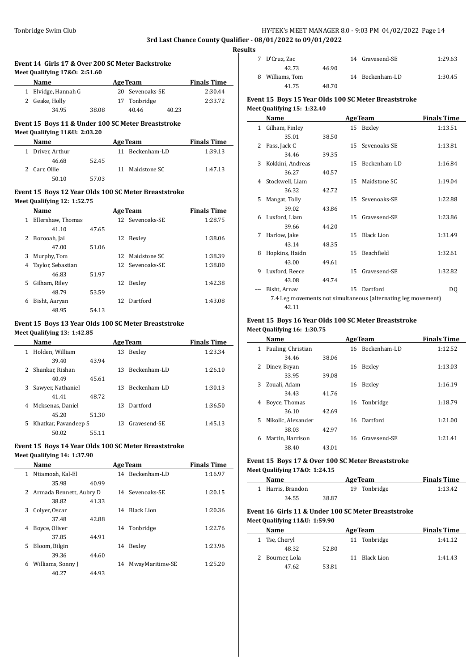# Tonbridge Swim Club **HY-TEK's MEET MANAGER 8.0 - 9:03 PM 04/02/2022** Page 14 **3rd Last Chance County Qualifier - 08/01/2022 to 09/01/2022**

**Results**

| Event 14 Girls 17 & Over 200 SC Meter Backstroke |                   |       |                 |       |                    |
|--------------------------------------------------|-------------------|-------|-----------------|-------|--------------------|
| Meet Qualifying 17&0: 2:51.60                    |                   |       |                 |       |                    |
|                                                  | Name              |       | <b>AgeTeam</b>  |       | <b>Finals Time</b> |
| 1                                                | Elvidge, Hannah G |       | 20 Sevenoaks-SE |       | 2:30.44            |
|                                                  | 2 Geake, Holly    |       | 17 Tonbridge    |       | 2:33.72            |
|                                                  | 34.95             | 38.08 | 40.46           | 40.23 |                    |

#### **Event 15 Boys 11 & Under 100 SC Meter Breaststroke**

**Meet Qualifying 11&U: 2:03.20**

| <b>Name</b>      |       | <b>AgeTeam</b>  | <b>Finals Time</b> |
|------------------|-------|-----------------|--------------------|
| 1 Driver, Arthur |       | 11 Beckenham-LD | 1:39.13            |
| 46.68            | 52.45 |                 |                    |
| 2 Carr, Ollie    |       | 11 Maidstone SC | 1:47.13            |
| 50.10            | 57.03 |                 |                    |

#### **Event 15 Boys 12 Year Olds 100 SC Meter Breaststroke Meet Qualifying 12: 1:52.75**

|   | Name              | <b>AgeTeam</b> |     |                 | <b>Finals Time</b> |
|---|-------------------|----------------|-----|-----------------|--------------------|
| 1 | Ellershaw, Thomas |                |     | 12 Sevenoaks-SE | 1:28.75            |
|   | 41.10             | 47.65          |     |                 |                    |
| 2 | Borooah, Jai      |                | 12  | Bexley          | 1:38.06            |
|   | 47.00             | 51.06          |     |                 |                    |
| 3 | Murphy, Tom       |                | 12. | Maidstone SC    | 1:38.39            |
| 4 | Taylor, Sebastian |                |     | 12 Sevenoaks-SE | 1:38.80            |
|   | 46.83             | 51.97          |     |                 |                    |
| 5 | Gilham, Riley     |                | 12  | Bexley          | 1:42.38            |
|   | 48.79             | 53.59          |     |                 |                    |
| 6 | Bisht, Aaryan     |                | 12. | Dartford        | 1:43.08            |
|   | 48.95             | 54.13          |     |                 |                    |

# **Event 15 Boys 13 Year Olds 100 SC Meter Breaststroke**

**Meet Qualifying 13: 1:42.85**

|              | Name                 |       |     | <b>AgeTeam</b> | <b>Finals Time</b> |
|--------------|----------------------|-------|-----|----------------|--------------------|
| 1            | Holden, William      |       | 13  | Bexley         | 1:23.34            |
|              | 39.40                | 43.94 |     |                |                    |
| $\mathbf{2}$ | Shankar, Rishan      |       | 13. | Beckenham-LD   | 1:26.10            |
|              | 40.49                | 45.61 |     |                |                    |
| 3            | Sawyer, Nathaniel    |       | 13  | Beckenham-LD   | 1:30.13            |
|              | 41.41                | 48.72 |     |                |                    |
| 4            | Meksenas, Daniel     |       | 13  | Dartford       | 1:36.50            |
|              | 45.20                | 51.30 |     |                |                    |
| 5            | Khatkar, Pavandeep S |       | 13. | Gravesend-SE   | 1:45.13            |
|              | 50.02                | 55.11 |     |                |                    |

## **Event 15 Boys 14 Year Olds 100 SC Meter Breaststroke**

#### **Meet Qualifying 14: 1:37.90**

 $\overline{a}$ 

|   | Name                      | <b>AgeTeam</b> |    |                 | <b>Finals Time</b> |
|---|---------------------------|----------------|----|-----------------|--------------------|
| 1 | Ntiamoah, Kal-El          |                |    | 14 Beckenham-LD | 1:16.97            |
|   | 35.98                     | 40.99          |    |                 |                    |
|   | 2 Armada Bennett, Aubry D |                |    | 14 Sevenoaks-SE | 1:20.15            |
|   | 38.82                     | 41.33          |    |                 |                    |
| 3 | Colver, Oscar             |                | 14 | Black Lion      | 1:20.36            |
|   | 37.48                     | 42.88          |    |                 |                    |
| 4 | Boyce, Oliver             |                |    | 14 Tonbridge    | 1:22.76            |
|   | 37.85                     | 44.91          |    |                 |                    |
| 5 | Bloom, Bilgin             |                | 14 | Bexley          | 1:23.96            |
|   | 39.36                     | 44.60          |    |                 |                    |
| 6 | Williams, Sonny J         |                | 14 | MwayMaritime-SE | 1:25.20            |
|   | 40.27                     | 44.93          |    |                 |                    |
|   |                           |                |    |                 |                    |

| 7 D'Cruz, Zac      |       | 14 Gravesend-SE | 1:29.63 |
|--------------------|-------|-----------------|---------|
| 42.73              | 46.90 |                 |         |
| Williams, Tom<br>8 |       | 14 Beckenham-LD | 1:30.45 |
| 41.75              | 48.70 |                 |         |
|                    |       |                 |         |

# **Event 15 Boys 15 Year Olds 100 SC Meter Breaststroke Meet Qualifying 15: 1:32.40**

|              | Name             |       |    | <b>AgeTeam</b>                                                | <b>Finals Time</b> |  |
|--------------|------------------|-------|----|---------------------------------------------------------------|--------------------|--|
| $\mathbf{1}$ | Gilham, Finley   |       |    | 15 Bexley                                                     | 1:13.51            |  |
|              | 35.01            | 38.50 |    |                                                               |                    |  |
| 2            | Pass, Jack C     |       |    | 15 Sevenoaks-SE                                               | 1:13.81            |  |
|              | 34.46            | 39.35 |    |                                                               |                    |  |
| 3            | Kokkini, Andreas |       | 15 | Beckenham-LD                                                  | 1:16.84            |  |
|              | 36.27            | 40.57 |    |                                                               |                    |  |
| 4            | Stockwell, Liam  |       | 15 | Maidstone SC                                                  | 1:19.04            |  |
|              | 36.32            | 42.72 |    |                                                               |                    |  |
| 5            | Mangat, Tolly    |       | 15 | Sevenoaks-SE                                                  | 1:22.88            |  |
|              | 39.02            | 43.86 |    |                                                               |                    |  |
| 6            | Luxford, Liam    |       | 15 | Gravesend-SE                                                  | 1:23.86            |  |
|              | 39.66            | 44.20 |    |                                                               |                    |  |
| 7            | Harlow, Jake     |       | 15 | <b>Black Lion</b>                                             | 1:31.49            |  |
|              | 43.14            | 48.35 |    |                                                               |                    |  |
| 8            | Hopkins, Haidn   |       | 15 | <b>Beachfield</b>                                             | 1:32.61            |  |
|              | 43.00            | 49.61 |    |                                                               |                    |  |
| 9            | Luxford, Reece   |       | 15 | Gravesend-SE                                                  | 1:32.82            |  |
|              | 43.08            | 49.74 |    |                                                               |                    |  |
|              | Bisht, Arnav     |       | 15 | Dartford                                                      | DQ                 |  |
|              |                  |       |    | 7.4 Leg movements not simultaneous (alternating leg movement) |                    |  |
|              | 42.11            |       |    |                                                               |                    |  |

#### **Event 15 Boys 16 Year Olds 100 SC Meter Breaststroke Meet Qualifying 16: 1:30.75**

| Name                     |       |    | <b>AgeTeam</b>  | <b>Finals Time</b> |
|--------------------------|-------|----|-----------------|--------------------|
| Pauling, Christian<br>1  |       |    | 16 Beckenham-LD | 1:12.52            |
| 34.46                    | 38.06 |    |                 |                    |
| Diney, Bryan<br>2        |       | 16 | Bexley          | 1:13.03            |
| 33.95                    | 39.08 |    |                 |                    |
| Zouali, Adam<br>3        |       | 16 | Bexley          | 1:16.19            |
| 34.43                    | 41.76 |    |                 |                    |
| Boyce, Thomas<br>4       |       | 16 | Tonbridge       | 1:18.79            |
| 36.10                    | 42.69 |    |                 |                    |
| Nikolic, Alexander<br>5. |       | 16 | Dartford        | 1:21.00            |
| 38.03                    | 42.97 |    |                 |                    |
| Martin, Harrison<br>6    |       |    | 16 Gravesend-SE | 1:21.41            |
| 38.40                    | 43.01 |    |                 |                    |

### **Event 15 Boys 17 & Over 100 SC Meter Breaststroke Meet Qualifying 17&O: 1:24.15**

| Name              | <b>AgeTeam</b> | <b>Finals Time</b> |  |
|-------------------|----------------|--------------------|--|
| 1 Harris, Brandon | 19 Tonbridge   | 1:13.42            |  |
| 34.55             | 38.87          |                    |  |

# **Event 16 Girls 11 & Under 100 SC Meter Breaststroke Meet Qualifying 11&U: 1:59.90**

| Name |                 | <b>AgeTeam</b> |    |              | <b>Finals Time</b> |
|------|-----------------|----------------|----|--------------|--------------------|
|      | 1 Tse, Cheryl   |                |    | 11 Tonbridge | 1:41.12            |
|      | 48.32           | 52.80          |    |              |                    |
|      | 2 Bourner, Lola |                | 11 | Black Lion   | 1:41.43            |
|      | 47.62           | 53.81          |    |              |                    |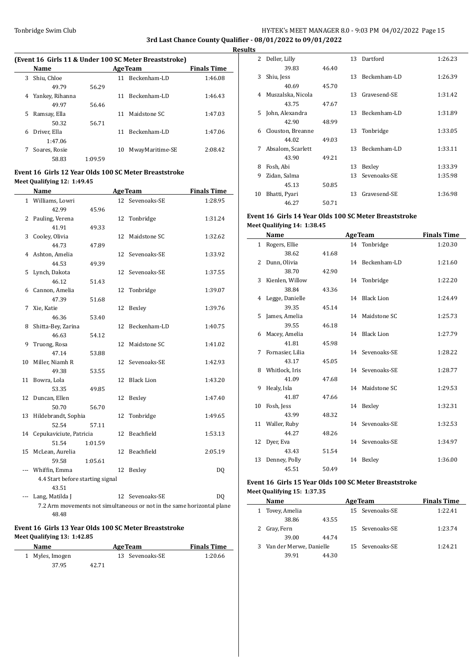# Tonbridge Swim Club Tonbridge Swim Club Allen Manager Superson HY-TEK's MEET MANAGER 8.0 - 9:03 PM 04/02/2022 Page 15 **3rd Last Chance County Qualifier - 08/01/2022 to 09/01/2022**

**Results**

# **(Event 16 Girls 11 & Under 100 SC Meter Breaststroke)**

| Name            |         |    | <b>Finals Time</b> |                |
|-----------------|---------|----|--------------------|----------------|
| Shiu, Chloe     |         | 11 | Beckenham-LD       | 1:46.08        |
| 49.79           | 56.29   |    |                    |                |
| Yankey, Rihanna |         | 11 | Beckenham-LD       | 1:46.43        |
| 49.97           | 56.46   |    |                    |                |
| Ramsay, Ella    |         | 11 | Maidstone SC       | 1:47.03        |
| 50.32           | 56.71   |    |                    |                |
| Driver, Ella    |         | 11 | Beckenham-LD       | 1:47.06        |
| 1:47.06         |         |    |                    |                |
| Soares, Rosie   |         | 10 | MwayMaritime-SE    | 2:08.42        |
| 58.83           | 1:09.59 |    |                    |                |
|                 |         |    |                    | <b>AgeTeam</b> |

# **Event 16 Girls 12 Year Olds 100 SC Meter Breaststroke Meet Qualifying 12: 1:49.45**

|    | Name                                      |         |    | <b>AgeTeam</b>                                                         | <b>Finals Time</b> |
|----|-------------------------------------------|---------|----|------------------------------------------------------------------------|--------------------|
|    | 1 Williams, Lowri                         |         |    | 12 Sevenoaks-SE                                                        | 1:28.95            |
|    | 42.99                                     | 45.96   |    |                                                                        |                    |
| 2  | Pauling, Verena                           |         |    | 12 Tonbridge                                                           | 1:31.24            |
|    | 41.91                                     | 49.33   |    |                                                                        |                    |
| 3  | Cooley, Olivia                            |         | 12 | Maidstone SC                                                           | 1:32.62            |
|    | 44.73                                     | 47.89   |    |                                                                        |                    |
| 4  | Ashton, Amelia                            |         | 12 | Sevenoaks-SE                                                           | 1:33.92            |
|    | 44.53                                     | 49.39   |    |                                                                        |                    |
| 5  | Lynch, Dakota                             |         | 12 | Sevenoaks-SE                                                           | 1:37.55            |
|    | 46.12                                     | 51.43   |    |                                                                        |                    |
| 6  | Cannon, Amelia                            |         | 12 | Tonbridge                                                              | 1:39.07            |
|    | 47.39                                     | 51.68   |    |                                                                        |                    |
| 7  | Xie, Katie                                |         | 12 | Bexley                                                                 | 1:39.76            |
|    | 46.36                                     | 53.40   |    |                                                                        |                    |
| 8  | Shitta-Bey, Zarina                        |         | 12 | Beckenham-LD                                                           | 1:40.75            |
|    | 46.63                                     | 54.12   |    |                                                                        |                    |
| 9  | Truong, Rosa                              |         | 12 | Maidstone SC                                                           | 1:41.02            |
|    | 47.14                                     | 53.88   |    |                                                                        |                    |
| 10 | Miller, Niamh R                           |         | 12 | Sevenoaks-SE                                                           | 1:42.93            |
|    | 49.38                                     | 53.55   |    |                                                                        |                    |
| 11 | Bowra, Lola                               |         | 12 | <b>Black Lion</b>                                                      | 1:43.20            |
|    | 53.35                                     | 49.85   |    |                                                                        |                    |
| 12 | Duncan, Ellen                             |         | 12 | Bexley                                                                 | 1:47.40            |
|    | 50.70                                     | 56.70   |    |                                                                        |                    |
| 13 | Hildebrandt, Sophia                       |         | 12 | Tonbridge                                                              | 1:49.65            |
|    | 52.54                                     | 57.11   |    |                                                                        |                    |
| 14 | Cepukaviciute, Patricia                   |         | 12 | Beachfield                                                             | 1:53.13            |
|    | 51.54                                     | 1:01.59 |    |                                                                        |                    |
| 15 | McLean, Aurelia                           |         | 12 | Beachfield                                                             | 2:05.19            |
|    | 59.58                                     | 1:05.61 |    |                                                                        |                    |
|    | Whiffin, Emma                             |         | 12 | Bexley                                                                 | DQ                 |
|    | 4.4 Start before starting signal<br>43.51 |         |    |                                                                        |                    |
|    | Lang, Matilda J                           |         |    | 12 Sevenoaks-SE                                                        | D <sub>0</sub>     |
|    |                                           |         |    | 7.2 Arm movements not simultaneous or not in the same horizontal plane |                    |
|    |                                           |         |    |                                                                        |                    |

48.48

#### **Event 16 Girls 13 Year Olds 100 SC Meter Breaststroke Meet Qualifying 13: 1:42.85**

| <b>Name</b>     |       | <b>AgeTeam</b>  | <b>Finals Time</b> |
|-----------------|-------|-----------------|--------------------|
| 1 Myles, Imogen |       | 13 Sevenoaks-SE | 1:20.66            |
| 37.95           | 42.71 |                 |                    |

| 2  | Deller, Lilly     |       | 13 | Dartford     | 1:26.23 |
|----|-------------------|-------|----|--------------|---------|
|    | 39.83             | 46.40 |    |              |         |
| 3  | Shiu, Jess        |       | 13 | Beckenham-LD | 1:26.39 |
|    | 40.69             | 45.70 |    |              |         |
| 4  | Muszalska, Nicola |       | 13 | Gravesend-SE | 1:31.42 |
|    | 43.75             | 47.67 |    |              |         |
| 5. | John, Alexandra   |       | 13 | Beckenham-LD | 1:31.89 |
|    | 42.90             | 48.99 |    |              |         |
| 6  | Clouston, Breanne |       | 13 | Tonbridge    | 1:33.05 |
|    | 44.02             | 49.03 |    |              |         |
| 7  | Absalom, Scarlett |       | 13 | Beckenham-LD | 1:33.11 |
|    | 43.90             | 49.21 |    |              |         |
| 8  | Fosh, Abi         |       | 13 | Bexley       | 1:33.39 |
| 9  | Zidan, Salma      |       | 13 | Sevenoaks-SE | 1:35.98 |
|    | 45.13             | 50.85 |    |              |         |
| 10 | Bhatti, Pyari     |       | 13 | Gravesend-SE | 1:36.98 |
|    | 46.27             | 50.71 |    |              |         |

## **Event 16 Girls 14 Year Olds 100 SC Meter Breaststroke Meet Qualifying 14: 1:38.45**

| Name               | <b>AgeTeam</b> |  | <b>Finals Time</b>                                                                                                                                                                                                            |
|--------------------|----------------|--|-------------------------------------------------------------------------------------------------------------------------------------------------------------------------------------------------------------------------------|
| 1 Rogers, Ellie    |                |  | 1:20.30                                                                                                                                                                                                                       |
| 38.62              | 41.68          |  |                                                                                                                                                                                                                               |
| Dunn, Olivia       |                |  | 1:21.60                                                                                                                                                                                                                       |
| 38.70              | 42.90          |  |                                                                                                                                                                                                                               |
| 3 Kienlen, Willow  |                |  | 1:22.20                                                                                                                                                                                                                       |
| 38.84              | 43.36          |  |                                                                                                                                                                                                                               |
| 4 Legge, Danielle  |                |  | 1:24.49                                                                                                                                                                                                                       |
| 39.35              | 45.14          |  |                                                                                                                                                                                                                               |
| James, Amelia      |                |  | 1:25.73                                                                                                                                                                                                                       |
| 39.55              | 46.18          |  |                                                                                                                                                                                                                               |
| 6 Macey, Amelia    |                |  | 1:27.79                                                                                                                                                                                                                       |
| 41.81              | 45.98          |  |                                                                                                                                                                                                                               |
| 7 Fornasier, Lilia |                |  | 1:28.22                                                                                                                                                                                                                       |
| 43.17              | 45.05          |  |                                                                                                                                                                                                                               |
| 8 Whitlock, Iris   |                |  | 1:28.77                                                                                                                                                                                                                       |
| 41.09              | 47.68          |  |                                                                                                                                                                                                                               |
| Healy, Isla        |                |  | 1:29.53                                                                                                                                                                                                                       |
| 41.87              | 47.66          |  |                                                                                                                                                                                                                               |
| 10 Fosh, Jess      |                |  | 1:32.31                                                                                                                                                                                                                       |
| 43.99              | 48.32          |  |                                                                                                                                                                                                                               |
| 11 Waller, Ruby    |                |  | 1:32.53                                                                                                                                                                                                                       |
| 44.27              | 48.26          |  |                                                                                                                                                                                                                               |
| 12 Dyer, Eva       |                |  | 1:34.97                                                                                                                                                                                                                       |
| 43.43              | 51.54          |  |                                                                                                                                                                                                                               |
| 13 Denney, Polly   |                |  | 1:36.00                                                                                                                                                                                                                       |
| 45.51              | 50.49          |  |                                                                                                                                                                                                                               |
|                    |                |  | 14 Tonbridge<br>14 Beckenham-LD<br>14 Tonbridge<br>14 Black Lion<br>14 Maidstone SC<br>14 Black Lion<br>14 Sevenoaks-SE<br>14 Sevenoaks-SE<br>14 Maidstone SC<br>14 Bexley<br>14 Sevenoaks-SE<br>14 Sevenoaks-SE<br>14 Bexley |

## **Event 16 Girls 15 Year Olds 100 SC Meter Breaststroke Meet Qualifying 15: 1:37.35**

| <b>Name</b> |                                 |                           | <b>Finals Time</b>                                                      |
|-------------|---------------------------------|---------------------------|-------------------------------------------------------------------------|
|             |                                 |                           | 1:22.41                                                                 |
| 38.86       | 43.55                           |                           |                                                                         |
|             |                                 |                           | 1:23.74                                                                 |
| 39.00       | 44.74                           |                           |                                                                         |
|             |                                 |                           | 1:24.21                                                                 |
| 39.91       | 44.30                           |                           |                                                                         |
|             | 1 Tovey, Amelia<br>2 Gray, Fern | 3 Van der Merwe, Danielle | <b>AgeTeam</b><br>15 Sevenoaks-SE<br>15 Sevenoaks-SE<br>15 Sevenoaks-SE |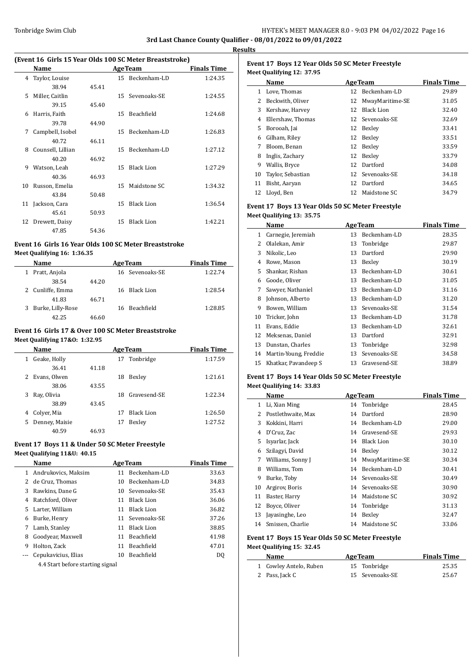# Tonbridge Swim Club **HY-TEK's MEET MANAGER 8.0 - 9:03 PM 04/02/2022** Page 16 **3rd Last Chance County Qualifier - 08/01/2022 to 09/01/2022**

**Results**

 $\overline{a}$ 

 $\overline{a}$ 

# **(Event 16 Girls 15 Year Olds 100 SC Meter Breaststroke)**

|    | Name              |       |                 | <b>AgeTeam</b>    | <b>Finals Time</b> |
|----|-------------------|-------|-----------------|-------------------|--------------------|
| 4  | Taylor, Louise    |       |                 | 15 Beckenham-LD   | 1:24.35            |
|    | 38.94             | 45.41 |                 |                   |                    |
| 5. | Miller, Caitlin   |       | 15 <sup>7</sup> | Sevenoaks-SE      | 1:24.55            |
|    | 39.15             | 45.40 |                 |                   |                    |
| 6  | Harris, Faith     |       | 15              | Beachfield        | 1:24.68            |
|    | 39.78             | 44.90 |                 |                   |                    |
| 7  | Campbell, Isobel  |       | 15              | Beckenham-LD      | 1:26.83            |
|    | 40.72             | 46.11 |                 |                   |                    |
| 8  | Counsell, Lillian |       | 15              | Beckenham-LD      | 1:27.12            |
|    | 40.20             | 46.92 |                 |                   |                    |
| 9  | Watson, Leah      |       | 15              | <b>Black Lion</b> | 1:27.29            |
|    | 40.36             | 46.93 |                 |                   |                    |
| 10 | Russon, Emelia    |       | 15              | Maidstone SC      | 1:34.32            |
|    | 43.84             | 50.48 |                 |                   |                    |
| 11 | Jackson, Cara     |       | 15              | <b>Black Lion</b> | 1:36.54            |
|    | 45.61             | 50.93 |                 |                   |                    |
| 12 | Drewett, Daisy    |       | 15              | <b>Black Lion</b> | 1:42.21            |
|    | 47.85             | 54.36 |                 |                   |                    |

## **Event 16 Girls 16 Year Olds 100 SC Meter Breaststroke Meet Qualifying 16: 1:36.35**

| <b>Name</b>       |       | <b>AgeTeam</b>  | <b>Finals Time</b> |
|-------------------|-------|-----------------|--------------------|
| Pratt, Anjola     |       | 16 Sevenoaks-SE | 1:22.74            |
| 38.54             | 44.20 |                 |                    |
| 2 Cunliffe, Emma  |       | 16 Black Lion   | 1:28.54            |
| 41.83             | 46.71 |                 |                    |
| Burke, Lilly-Rose |       | 16 Beachfield   | 1:28.85            |
| 42.25             | 46.60 |                 |                    |

## **Event 16 Girls 17 & Over 100 SC Meter Breaststroke Meet Qualifying 17&O: 1:32.95**

|   | Name           |       | <b>AgeTeam</b> | <b>Finals Time</b> |         |
|---|----------------|-------|----------------|--------------------|---------|
| 1 | Geake, Holly   |       |                | 17 Tonbridge       | 1:17.59 |
|   | 36.41          | 41.18 |                |                    |         |
| 2 | Evans, Olwen   |       | 18             | Bexley             | 1:21.61 |
|   | 38.06          | 43.55 |                |                    |         |
| 3 | Ray, Olivia    |       | 18             | Gravesend-SE       | 1:22.34 |
|   | 38.89          | 43.45 |                |                    |         |
| 4 | Colver, Mia    |       | 17             | Black Lion         | 1:26.50 |
| 5 | Denney, Maisie |       | 17             | Bexley             | 1:27.52 |
|   | 40.59          | 46.93 |                |                    |         |

# **Event 17 Boys 11 & Under 50 SC Meter Freestyle**

# **Meet Qualifying 11&U: 40.15**

|    | Name                             |    | <b>AgeTeam</b>    | <b>Finals Time</b> |
|----|----------------------------------|----|-------------------|--------------------|
|    | 1 Andrukovics, Maksim            | 11 | Beckenham-LD      | 33.63              |
|    | 2 de Cruz, Thomas                | 10 | Beckenham-LD      | 34.83              |
| 3  | Rawkins, Dane G                  | 10 | Sevenoaks-SE      | 35.43              |
| 4  | Ratchford, Oliver                | 11 | Black Lion        | 36.06              |
| 5. | Larter, William                  | 11 | <b>Black Lion</b> | 36.82              |
| 6  | Burke, Henry                     | 11 | Sevenoaks-SE      | 37.26              |
| 7  | Lamb, Stanley                    | 11 | Black Lion        | 38.85              |
| 8  | Goodyear, Maxwell                | 11 | <b>Beachfield</b> | 41.98              |
| 9  | Holton, Zack                     | 11 | <b>Beachfield</b> | 47.01              |
|    | Cepukavicius, Elias              | 10 | Beachfield        | DO.                |
|    | 4.4 Start before starting signal |    |                   |                    |

# **Event 17 Boys 12 Year Olds 50 SC Meter Freestyle Meet Qualifying 12: 37.95**

|    | Name              | <b>AgeTeam</b> | <b>Finals Time</b> |       |
|----|-------------------|----------------|--------------------|-------|
| 1  | Love, Thomas      |                | 12 Beckenham-LD    | 29.89 |
| 2  | Beckwith, Oliver  | 12             | MwayMaritime-SE    | 31.05 |
| 3  | Kershaw, Harvey   | 12             | <b>Black Lion</b>  | 32.40 |
| 4  | Ellershaw, Thomas |                | 12 Sevenoaks-SE    | 32.69 |
| 5. | Borooah, Jai      | 12             | Bexley             | 33.41 |
| 6  | Gilham, Riley     | 12             | Bexley             | 33.51 |
| 7  | Bloom, Benan      | 12             | Bexley             | 33.59 |
| 8  | Inglis, Zachary   | 12             | Bexley             | 33.79 |
| 9  | Wallis, Bryce     | 12             | Dartford           | 34.08 |
| 10 | Taylor, Sebastian | 12             | Sevenoaks-SE       | 34.18 |
| 11 | Bisht, Aaryan     | 12             | Dartford           | 34.65 |
|    | 12 Lloyd, Ben     | 12.            | Maidstone SC       | 34.79 |

# **Event 17 Boys 13 Year Olds 50 SC Meter Freestyle Meet Qualifying 13: 35.75**

|    | Name                  |    | <b>AgeTeam</b> | <b>Finals Time</b> |
|----|-----------------------|----|----------------|--------------------|
| 1  | Carnegie, Jeremiah    | 13 | Beckenham-LD   | 28.35              |
| 2  | Olalekan, Amir        | 13 | Tonbridge      | 29.87              |
| 3  | Nikolic, Leo          | 13 | Dartford       | 29.90              |
| 4  | Rowe, Mason           | 13 | Bexley         | 30.19              |
| 5. | Shankar, Rishan       | 13 | Beckenham-LD   | 30.61              |
| 6  | Goode, Oliver         | 13 | Beckenham-LD   | 31.05              |
| 7  | Sawyer, Nathaniel     | 13 | Beckenham-LD   | 31.16              |
| 8  | Johnson, Alberto      | 13 | Beckenham-LD   | 31.20              |
| 9  | Bowen, William        | 13 | Sevenoaks-SE   | 31.54              |
| 10 | Tricker, John         | 13 | Beckenham-LD   | 31.78              |
| 11 | Evans, Eddie          | 13 | Beckenham-LD   | 32.61              |
| 12 | Meksenas, Daniel      | 13 | Dartford       | 32.91              |
| 13 | Dunstan, Charles      | 13 | Tonbridge      | 32.98              |
| 14 | Martin-Young, Freddie | 13 | Sevenoaks-SE   | 34.58              |
| 15 | Khatkar, Pavandeep S  | 13 | Gravesend-SE   | 38.89              |

#### **Event 17 Boys 14 Year Olds 50 SC Meter Freestyle Meet Qualifying 14: 33.83**

|    | Name               | <b>AgeTeam</b> | <b>Finals Time</b> |       |
|----|--------------------|----------------|--------------------|-------|
| 1  | Li, Xian Ming      |                | 14 Tonbridge       | 28.45 |
| 2  | Postlethwaite, Max | 14             | Dartford           | 28.90 |
| 3  | Kokkini, Harri     | 14             | Beckenham-LD       | 29.00 |
| 4  | D'Cruz, Zac        | 14             | Gravesend-SE       | 29.93 |
| 5. | Isyarlar, Jack     | 14             | Black Lion         | 30.10 |
| 6  | Szilagyi, David    | 14             | Bexley             | 30.12 |
| 7  | Williams, Sonny J  | 14             | MwayMaritime-SE    | 30.34 |
| 8  | Williams, Tom      | 14             | Beckenham-LD       | 30.41 |
| 9  | Burke, Toby        | 14             | Sevenoaks-SE       | 30.49 |
| 10 | Argirov, Boris     |                | 14 Sevenoaks-SE    | 30.90 |
| 11 | Baster, Harry      | 14             | Maidstone SC       | 30.92 |
| 12 | Boyce, Oliver      |                | 14 Tonbridge       | 31.13 |
| 13 | Javasinghe, Leo    | 14             | Bexley             | 32.47 |
| 14 | Smissen, Charlie   | 14             | Maidstone SC       | 33.06 |

# **Event 17 Boys 15 Year Olds 50 SC Meter Freestyle**

**Meet Qualifying 15: 32.45**

| Name                   | <b>AgeTeam</b>  | <b>Finals Time</b> |  |
|------------------------|-----------------|--------------------|--|
| 1 Cowley Antelo, Ruben | 15 Tonbridge    | 25.35              |  |
| 2 Pass, Jack C         | 15 Sevenoaks-SE | 25.67              |  |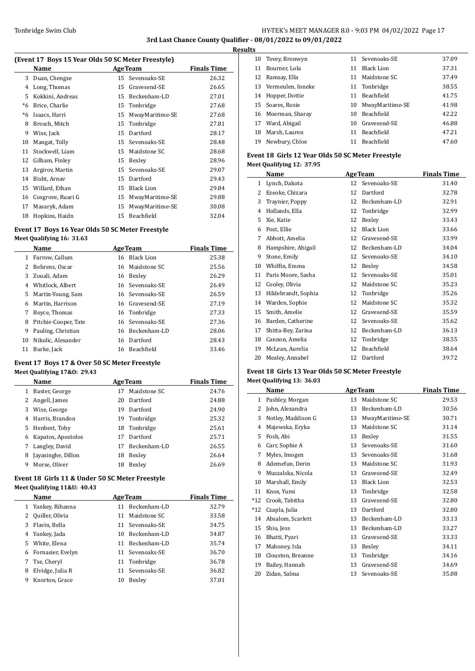# Tonbridge Swim Club **HY-TEK's MEET MANAGER 8.0 - 9:03 PM 04/02/2022** Page 17 **3rd Last Chance County Qualifier - 08/01/2022 to 09/01/2022**

**Results**

# **(Event 17 Boys 15 Year Olds 50 SC Meter Freestyle)**

|    | Name              |    | <b>AgeTeam</b>    | <b>Finals Time</b> |
|----|-------------------|----|-------------------|--------------------|
| 3  | Duan, Chengze     | 15 | Sevenoaks-SE      | 26.32              |
| 4  | Long, Thomas      | 15 | Gravesend-SE      | 26.65              |
| 5  | Kokkini, Andreas  | 15 | Beckenham-LD      | 27.01              |
| *6 | Brice, Charlie    | 15 | Tonbridge         | 27.68              |
| *6 | Isaacs, Harri     | 15 | MwayMaritime-SE   | 27.68              |
| 8  | Brosch, Mitch     | 15 | Tonbridge         | 27.81              |
| 9  | Wise, Jack        | 15 | Dartford          | 28.17              |
| 10 | Mangat, Tolly     | 15 | Sevenoaks-SE      | 28.48              |
| 11 | Stockwell, Liam   | 15 | Maidstone SC      | 28.68              |
| 12 | Gilham, Finley    | 15 | Bexley            | 28.96              |
| 13 | Argirov, Martin   | 15 | Sevenoaks-SE      | 29.07              |
| 14 | Bisht, Arnav      | 15 | Dartford          | 29.43              |
| 15 | Willard, Ethan    | 15 | <b>Black Lion</b> | 29.84              |
| 16 | Cosgrove, Ruari G | 15 | MwayMaritime-SE   | 29.88              |
| 17 | Masaryk, Adam     | 15 | MwayMaritime-SE   | 30.08              |
| 18 | Hopkins, Haidn    | 15 | Beachfield        | 32.04              |

## **Event 17 Boys 16 Year Olds 50 SC Meter Freestyle Meet Qualifying 16: 31.63**

|    | Name                 | <b>AgeTeam</b>  | <b>Finals Time</b> |
|----|----------------------|-----------------|--------------------|
|    | 1 Farrow, Callum     | 16 Black Lion   | 25.38              |
|    | 2 Behrens, Oscar     | 16 Maidstone SC | 25.56              |
| 3  | Zouali, Adam         | 16 Bexley       | 26.29              |
| 4  | Whitlock, Albert     | 16 Sevenoaks-SE | 26.49              |
| 5. | Martin-Young, Sam    | 16 Sevenoaks-SE | 26.59              |
| 6  | Martin, Harrison     | 16 Gravesend-SE | 27.19              |
| 7  | Boyce, Thomas        | 16 Tonbridge    | 27.33              |
| 8  | Pitchie-Cooper, Tate | 16 Sevenoaks-SE | 27.36              |
| 9  | Pauling, Christian   | 16 Beckenham-LD | 28.06              |
| 10 | Nikolic, Alexander   | 16 Dartford     | 28.43              |
| 11 | Burke, Jack          | 16 Beachfield   | 33.46              |

# **Event 17 Boys 17 & Over 50 SC Meter Freestyle**

# **Meet Qualifying 17&O: 29.43**

|   | Name               | <b>AgeTeam</b> | <b>Finals Time</b> |       |
|---|--------------------|----------------|--------------------|-------|
| 1 | Baster, George     | 17             | Maidstone SC       | 24.76 |
| 2 | Angell, James      | 20             | Dartford           | 24.88 |
| 3 | Wise, George       | 19             | Dartford           | 24.90 |
| 4 | Harris, Brandon    | 19             | Tonbridge          | 25.32 |
| 5 | Henbest, Toby      | 18             | Tonbridge          | 25.61 |
| 6 | Kapatos, Apostolos | 17             | Dartford           | 25.71 |
| 7 | Langley, David     | 17             | Beckenham-LD       | 26.55 |
| 8 | Jayasinghe, Dillon | 18             | Bexley             | 26.64 |
| 9 | Morse, Oliver      | 18             | Bexley             | 26.69 |

# **Event 18 Girls 11 & Under 50 SC Meter Freestyle Meet Qualifying 11&U: 40.43**

|    | Name              |    | <b>AgeTeam</b>  | <b>Finals Time</b> |
|----|-------------------|----|-----------------|--------------------|
|    | Yankey, Rihanna   | 11 | Beckenham-LD    | 32.79              |
|    | Quiller, Olivia   | 11 | Maidstone SC    | 33.58              |
| 3  | Flavin, Bella     |    | 11 Sevenoaks-SE | 34.75              |
| 4  | Yankey, Jada      | 10 | Beckenham-LD    | 34.87              |
| 5. | White, Elena      | 11 | Beckenham-LD    | 35.74              |
| 6  | Fornasier, Evelyn |    | 11 Sevenoaks-SE | 36.70              |
|    | Tse, Cheryl       |    | 11 Tonbridge    | 36.78              |
| 8  | Elvidge, Julia R  | 11 | Sevenoaks-SE    | 36.82              |
| 9  | Knorton, Grace    | 10 | Bexley          | 37.01              |
|    |                   |    |                 |                    |

|    | 10 Tovey, Bronwyn    |    | 11 Sevenoaks-SE    | 37.09 |
|----|----------------------|----|--------------------|-------|
| 11 | Bourner, Lola        | 11 | Black Lion         | 37.31 |
|    | 12 Ramsay, Ella      | 11 | Maidstone SC       | 37.49 |
|    | 13 Vermeulen, Inneke |    | 11 Tonbridge       | 38.55 |
| 14 | Hopper, Dottie       | 11 | Beachfield         | 41.75 |
|    | 15 Soares, Rosie     |    | 10 MwayMaritime-SE | 41.98 |
|    | 16 Moerman, Sharay   | 10 | Beachfield         | 42.22 |
| 17 | Ward, Abigail        |    | 10 Gravesend-SE    | 46.88 |
| 18 | Marsh, Lauren        | 11 | Beachfield         | 47.21 |
| 19 | Newbury, Chloe       | 11 | Beachfield         | 47.60 |

## **Event 18 Girls 12 Year Olds 50 SC Meter Freestyle Meet Qualifying 12: 37.95**

|    | Name                |    | <b>AgeTeam</b>    | <b>Finals Time</b> |
|----|---------------------|----|-------------------|--------------------|
| 1  | Lynch, Dakota       | 12 | Sevenoaks-SE      | 31.40              |
| 2  | Ezeoke, Chizara     | 12 | Dartford          | 32.78              |
| 3  | Traynier, Poppy     | 12 | Beckenham-LD      | 32.91              |
| 4  | Hollands, Ella      | 12 | Tonbridge         | 32.99              |
| 5  | Xie, Katie          | 12 | Bexley            | 33.43              |
| 6  | Post, Ellie         | 12 | <b>Black Lion</b> | 33.66              |
| 7  | Abbott, Amelia      | 12 | Gravesend-SE      | 33.99              |
| 8  | Hampshire, Abigail  | 12 | Beckenham-LD      | 34.04              |
| 9  | Stone, Emily        | 12 | Sevenoaks-SE      | 34.10              |
| 10 | Whiffin, Emma       | 12 | Bexley            | 34.58              |
| 11 | Paris Moore, Sasha  | 12 | Sevenoaks-SE      | 35.01              |
| 12 | Cooley, Olivia      | 12 | Maidstone SC      | 35.23              |
| 13 | Hildebrandt, Sophia | 12 | Tonbridge         | 35.26              |
| 14 | Warden, Sophie      | 12 | Maidstone SC      | 35.32              |
| 15 | Smith, Amelie       | 12 | Gravesend-SE      | 35.59              |
| 16 | Barden, Catherine   | 12 | Sevenoaks-SE      | 35.62              |
| 17 | Shitta-Bey, Zarina  | 12 | Beckenham-LD      | 36.13              |
| 18 | Cannon, Amelia      | 12 | Tonbridge         | 38.55              |
| 19 | McLean, Aurelia     | 12 | Beachfield        | 38.64              |
| 20 | Mealey, Annabel     | 12 | Dartford          | 39.72              |
|    |                     |    |                   |                    |

# **Event 18 Girls 13 Year Olds 50 SC Meter Freestyle Meet Qualifying 13: 36.03**

|       | Name               |    | <b>AgeTeam</b>    | <b>Finals Time</b> |
|-------|--------------------|----|-------------------|--------------------|
| 1     | Pashley, Morgan    | 13 | Maidstone SC      | 29.53              |
| 2     | John, Alexandra    | 13 | Beckenham-LD      | 30.56              |
| 3     | Notley, Maddison G | 13 | MwayMaritime-SE   | 30.71              |
| 4     | Majewska, Eryka    | 13 | Maidstone SC      | 31.14              |
| 5     | Fosh, Abi          | 13 | Bexley            | 31.55              |
| 6     | Carr, Sophie A     | 13 | Sevenoaks-SE      | 31.60              |
| 7     | Myles, Imogen      | 13 | Sevenoaks-SE      | 31.68              |
| 8     | Ademefun, Derin    | 13 | Maidstone SC      | 31.93              |
| 9     | Muszalska, Nicola  | 13 | Gravesend-SE      | 32.49              |
| 10    | Marshall, Emily    | 13 | <b>Black Lion</b> | 32.53              |
| 11    | Knox, Yumi         | 13 | Tonbridge         | 32.58              |
| $*12$ | Crook, Tabitha     | 13 | Gravesend-SE      | 32.80              |
| $*12$ | Czapla, Julia      | 13 | Dartford          | 32.80              |
| 14    | Absalom, Scarlett  | 13 | Beckenham-LD      | 33.13              |
| 15    | Shiu, Jess         | 13 | Beckenham-LD      | 33.27              |
| 16    | Bhatti, Pyari      | 13 | Gravesend-SE      | 33.33              |
| 17    | Mahoney, Isla      | 13 | Bexley            | 34.11              |
| 18    | Clouston, Breanne  | 13 | Tonbridge         | 34.16              |
| 19    | Bailey, Hannah     | 13 | Gravesend-SE      | 34.69              |
| 20    | Zidan, Salma       | 13 | Sevenoaks-SE      | 35.08              |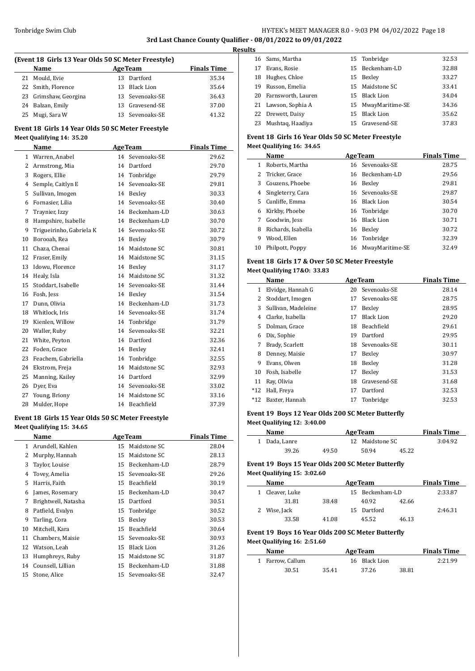# Tonbridge Swim Club **HY-TEK's MEET MANAGER 8.0 - 9:03 PM 04/02/2022** Page 18 **3rd Last Chance County Qualifier - 08/01/2022 to 09/01/2022**

**Results**

| (Event 18 Girls 13 Year Olds 50 SC Meter Freestyle) |  |
|-----------------------------------------------------|--|
|-----------------------------------------------------|--|

|    | Name                  | <b>AgeTeam</b>  | <b>Finals Time</b> |
|----|-----------------------|-----------------|--------------------|
|    | 21 Mould, Evie        | 13 Dartford     | 35.34              |
|    | 22 Smith, Florence    | 13 Black Lion   | 35.64              |
|    | 23 Grimshaw, Georgina | 13 Sevenoaks-SE | 36.43              |
|    | 24 Balzan, Emily      | 13 Gravesend-SE | 37.00              |
| 25 | Mugi, Sara W          | 13 Sevenoaks-SE | 41.32              |

# **Event 18 Girls 14 Year Olds 50 SC Meter Freestyle Meet Qualifying 14: 35.20**

|              | Name                     |    | <b>AgeTeam</b> | <b>Finals Time</b> |
|--------------|--------------------------|----|----------------|--------------------|
| $\mathbf{1}$ | Warren, Anabel           | 14 | Sevenoaks-SE   | 29.62              |
| 2            | Armstrong, Mia           | 14 | Dartford       | 29.70              |
| 3            | Rogers, Ellie            | 14 | Tonbridge      | 29.79              |
| 4            | Semple, Caitlyn E        | 14 | Sevenoaks-SE   | 29.81              |
| 5            | Sullivan, Imogen         | 14 | Bexley         | 30.33              |
| 6            | Fornasier, Lilia         | 14 | Sevenoaks-SE   | 30.40              |
| 7            | Traynier, Izzy           | 14 | Beckenham-LD   | 30.63              |
| 8            | Hampshire, Isabelle      | 14 | Beckenham-LD   | 30.70              |
| 9            | Trigueirinho, Gabriela K | 14 | Sevenoaks-SE   | 30.72              |
| 10           | Borooah. Rea             | 14 | Bexley         | 30.79              |
| 11           | Chaza. Chenai            | 14 | Maidstone SC   | 30.81              |
| 12           | Fraser, Emily            | 14 | Maidstone SC   | 31.15              |
| 13           | Idowu, Florence          | 14 | Bexley         | 31.17              |
| 14           | Healy, Isla              | 14 | Maidstone SC   | 31.32              |
| 15           | Stoddart, Isabelle       | 14 | Sevenoaks-SE   | 31.44              |
| 16           | Fosh, Jess               | 14 | Bexley         | 31.54              |
| 17           | Dunn, Olivia             | 14 | Beckenham-LD   | 31.73              |
| 18           | Whitlock, Iris           | 14 | Sevenoaks-SE   | 31.74              |
| 19           | Kienlen, Willow          | 14 | Tonbridge      | 31.79              |
| 20           | Waller, Ruby             | 14 | Sevenoaks-SE   | 32.21              |
| 21           | White, Peyton            | 14 | Dartford       | 32.36              |
| 22           | Foden, Grace             | 14 | Bexley         | 32.41              |
| 23           | Feachem, Gabriella       | 14 | Tonbridge      | 32.55              |
| 24           | Ekstrom, Freja           | 14 | Maidstone SC   | 32.93              |
| 25           | Manning, Kailey          | 14 | Dartford       | 32.99              |
| 26           | Dyer, Eva                | 14 | Sevenoaks-SE   | 33.02              |
| 27           | Young, Briony            | 14 | Maidstone SC   | 33.16              |
| 28           | Mulder, Hope             | 14 | Beachfield     | 37.39              |

# **Event 18 Girls 15 Year Olds 50 SC Meter Freestyle**

# **Meet Qualifying 15: 34.65**

|    | Name                |    | <b>AgeTeam</b> | <b>Finals Time</b> |
|----|---------------------|----|----------------|--------------------|
| 1  | Arundell, Kahlen    | 15 | Maidstone SC   | 28.04              |
| 2  | Murphy, Hannah      | 15 | Maidstone SC   | 28.13              |
| 3  | Taylor, Louise      | 15 | Beckenham-LD   | 28.79              |
| 4  | Tovey, Amelia       | 15 | Sevenoaks-SE   | 29.26              |
| 5  | Harris, Faith       | 15 | Beachfield     | 30.19              |
| 6  | James, Rosemary     | 15 | Beckenham-LD   | 30.47              |
| 7  | Brightwell, Natasha | 15 | Dartford       | 30.51              |
| 8  | Patfield, Evalyn    |    | 15 Tonbridge   | 30.52              |
| 9  | Tarling, Cora       | 15 | Bexley         | 30.53              |
| 10 | Mitchell, Kara      | 15 | Beachfield     | 30.64              |
| 11 | Chambers, Maisie    | 15 | Sevenoaks-SE   | 30.93              |
| 12 | Watson, Leah        | 15 | Black Lion     | 31.26              |
| 13 | Humphreys, Ruby     | 15 | Maidstone SC   | 31.87              |
| 14 | Counsell, Lillian   | 15 | Beckenham-LD   | 31.88              |
| 15 | Stone, Alice        | 15 | Sevenoaks-SE   | 32.47              |

|    | 16 Sams, Martha       | 15 Tonbridge       | 32.53 |
|----|-----------------------|--------------------|-------|
| 17 | Evans, Rosie          | 15 Beckenham-LD    | 32.88 |
| 18 | Hughes, Chloe         | 15 Bexley          | 33.27 |
| 19 | Russon, Emelia        | 15 Maidstone SC    | 33.41 |
|    | 20 Farnsworth, Lauren | 15 Black Lion      | 34.04 |
|    | 21 Lawson, Sophia A   | 15 MwayMaritime-SE | 34.36 |
|    | 22 Drewett, Daisy     | 15 Black Lion      | 35.62 |
|    | 23 Mushtag, Haadiya   | 15 Gravesend-SE    | 37.83 |

# **Event 18 Girls 16 Year Olds 50 SC Meter Freestyle**

|  |  |  |  | Meet Qualifying 16: 34.65 |
|--|--|--|--|---------------------------|
|--|--|--|--|---------------------------|

| 28.75<br>29.56 |
|----------------|
|                |
|                |
| 29.81          |
| 29.87          |
| 30.54          |
| 30.70          |
| 30.71          |
| 30.72          |
| 32.39          |
| 32.49          |
|                |

### **Event 18 Girls 17 & Over 50 SC Meter Freestyle**

#### **Meet Qualifying 17&O: 33.83**

|       | Name                |    | <b>AgeTeam</b>    | <b>Finals Time</b> |
|-------|---------------------|----|-------------------|--------------------|
| 1     | Elvidge, Hannah G   | 20 | Sevenoaks-SE      | 28.14              |
| 2     | Stoddart, Imogen    | 17 | Sevenoaks-SE      | 28.75              |
| 3     | Sullivan, Madeleine | 17 | Bexley            | 28.95              |
| 4     | Clarke, Isabella    | 17 | <b>Black Lion</b> | 29.20              |
| 5.    | Dolman, Grace       | 18 | <b>Beachfield</b> | 29.61              |
| 6     | Dix, Sophie         | 19 | Dartford          | 29.95              |
| 7     | Brady, Scarlett     | 18 | Sevenoaks-SE      | 30.11              |
| 8     | Denney, Maisie      | 17 | Bexley            | 30.97              |
| 9     | Evans, Olwen        | 18 | Bexley            | 31.28              |
| 10    | Fosh, Isabelle      | 17 | Bexley            | 31.53              |
| 11    | Ray, Olivia         | 18 | Gravesend-SE      | 31.68              |
| $*12$ | Hall, Freya         | 17 | Dartford          | 32.53              |
| $*12$ | Baxter, Hannah      | 17 | Tonbridge         | 32.53              |

### **Event 19 Boys 12 Year Olds 200 SC Meter Butterfly Meet Qualifying 12: 3:40.00**

| Name          | <b>AgeTeam</b> | <b>Finals Time</b> |       |         |
|---------------|----------------|--------------------|-------|---------|
| 1 Dada, Lanre |                | 12 Maidstone SC    |       | 3:04.92 |
| 39.26         | 49.50          | 50.94              | 45.22 |         |

# **Event 19 Boys 15 Year Olds 200 SC Meter Butterfly Meet Qualifying 15: 3:02.60**

| Name            | <b>AgeTeam</b> |  |                 |       | <b>Finals Time</b> |
|-----------------|----------------|--|-----------------|-------|--------------------|
| 1 Cleaver, Luke |                |  | 15 Beckenham-LD |       | 2:33.87            |
| 31.81           | 38.48          |  | 40.92           | 42.66 |                    |
| 2 Wise, Jack    |                |  | 15 Dartford     |       | 2:46.31            |
| 33.58           | 41.08          |  | 45.52           | 46.13 |                    |

#### **Event 19 Boys 16 Year Olds 200 SC Meter Butterfly Meet Qualifying 16: 2:51.60**

| Name             | <b>AgeTeam</b> |               |       | <b>Finals Time</b> |
|------------------|----------------|---------------|-------|--------------------|
| 1 Farrow. Callum |                | 16 Black Lion |       | 2:21.99            |
| 30.51            | 35.41          | 37.26         | 38.81 |                    |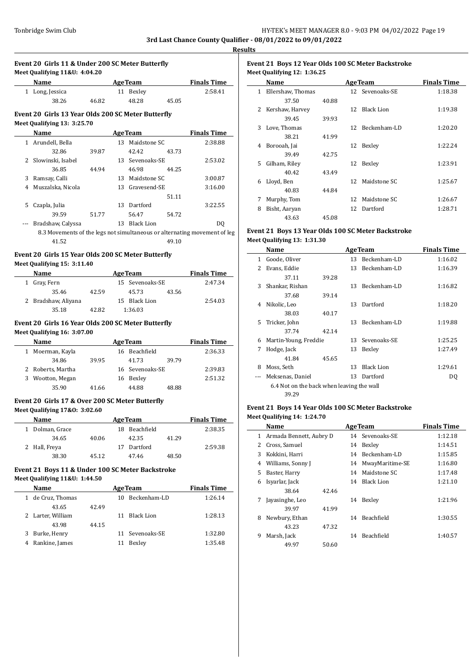# **Event 20 Girls 11 & Under 200 SC Meter Butterfly Meet Qualifying 11&U: 4:04.20**

| <b>Name</b>     |       | <b>AgeTeam</b> |       | <b>Finals Time</b> |
|-----------------|-------|----------------|-------|--------------------|
| 1 Long, Jessica |       | 11 Bexlev      |       | 2:58.41            |
| 38.26           | 46.82 | 48.28          | 45.05 |                    |

# **Event 20 Girls 13 Year Olds 200 SC Meter Butterfly Meet Qualifying 13: 3:25.70**

|              | Name                |       |     | AgeTeam           |       | <b>Finals Time</b>                                                        |
|--------------|---------------------|-------|-----|-------------------|-------|---------------------------------------------------------------------------|
| $\mathbf{1}$ | Arundell, Bella     |       | 13  | Maidstone SC      |       | 2:38.88                                                                   |
|              | 32.86               | 39.87 |     | 42.42             | 43.73 |                                                                           |
|              | 2 Slowinski, Isabel |       |     | 13 Sevenoaks-SE   |       | 2:53.02                                                                   |
|              | 36.85               | 44.94 |     | 46.98             | 44.25 |                                                                           |
| 3            | Ramsay, Calli       |       | 13  | Maidstone SC      |       | 3:00.87                                                                   |
| 4            | Muszalska, Nicola   |       |     | 13 Gravesend-SE   |       | 3:16.00                                                                   |
|              |                     |       |     |                   | 51.11 |                                                                           |
| 5            | Czapla, Julia       |       | 13. | Dartford          |       | 3:22.55                                                                   |
|              | 39.59               | 51.77 |     | 56.47             | 54.72 |                                                                           |
| ---          | Bradshaw, Calyssa   |       | 13  | <b>Black Lion</b> |       | DQ                                                                        |
|              |                     |       |     |                   |       | 8.3 Movements of the legs not simultaneous or alternating movement of leg |
|              | 41.52               |       |     |                   | 49.10 |                                                                           |

#### **Event 20 Girls 15 Year Olds 200 SC Meter Butterfly Meet Qualifying 15: 3:11.40**

| <b>Name</b>         |       | <b>AgeTeam</b>  | <b>Finals Time</b> |
|---------------------|-------|-----------------|--------------------|
| 1 Gray, Fern        |       | 15 Sevenoaks-SE | 2:47.34            |
| 35.46               | 42.59 | 45.73<br>43.56  |                    |
| 2 Bradshaw, Aliyana |       | 15 Black Lion   | 2:54.03            |
| 35.18               | 42.82 | 1:36.03         |                    |

# **Event 20 Girls 16 Year Olds 200 SC Meter Butterfly**

**Meet Qualifying 16: 3:07.00**

|   | <b>Name</b>       |       | <b>AgeTeam</b> | <b>Finals Time</b> |       |         |
|---|-------------------|-------|----------------|--------------------|-------|---------|
|   | 1 Moerman, Kayla  |       |                | 16 Beachfield      |       | 2:36.33 |
|   | 34.86             | 39.95 |                | 41.73              | 39.79 |         |
|   | 2 Roberts, Martha |       |                | 16 Sevenoaks-SE    |       | 2:39.83 |
| 3 | Wootton, Megan    |       | 16             | Bexley             |       | 2:51.32 |
|   | 35.90             | 41.66 |                | 44.88              | 48.88 |         |

## **Event 20 Girls 17 & Over 200 SC Meter Butterfly**

**Meet Qualifying 17&O: 3:02.60**

| Name            |       |     | <b>AgeTeam</b> |       | <b>Finals Time</b> |
|-----------------|-------|-----|----------------|-------|--------------------|
| 1 Dolman, Grace |       | 18. | Beachfield     |       | 2:38.35            |
| 34.65           | 40.06 |     | 42.35          | 41.29 |                    |
| 2 Hall, Freya   |       | 17  | Dartford       |       | 2:59.38            |
| 38.30           | 45.12 |     | 47.46          | 48.50 |                    |

# **Event 21 Boys 11 & Under 100 SC Meter Backstroke Meet Qualifying 11&U: 1:44.50**

|   | Name              |       | <b>AgeTeam</b> | <b>Finals Time</b> |         |
|---|-------------------|-------|----------------|--------------------|---------|
| 1 | de Cruz, Thomas   |       | 10.            | Beckenham-LD       | 1:26.14 |
|   | 43.65             | 42.49 |                |                    |         |
|   | 2 Larter, William |       | 11             | Black Lion         | 1:28.13 |
|   | 43.98             | 44.15 |                |                    |         |
|   | Burke, Henry      |       |                | 11 Sevenoaks-SE    | 1:32.80 |
|   | Rankine, James    |       |                | Bexley             | 1:35.48 |
|   |                   |       |                |                    |         |

# **Event 21 Boys 12 Year Olds 100 SC Meter Backstroke Meet Qualifying 12: 1:36.25**

|    | Name              |       |                 | <b>AgeTeam</b>    | <b>Finals Time</b> |
|----|-------------------|-------|-----------------|-------------------|--------------------|
| 1  | Ellershaw, Thomas |       |                 | 12 Sevenoaks-SE   | 1:18.38            |
|    | 37.50             | 40.88 |                 |                   |                    |
| 2  | Kershaw, Harvey   |       | 12 <sup>°</sup> | <b>Black Lion</b> | 1:19.38            |
|    | 39.45             | 39.93 |                 |                   |                    |
| 3  | Love, Thomas      |       |                 | 12 Beckenham-LD   | 1:20.20            |
|    | 38.21             | 41.99 |                 |                   |                    |
| 4  | Borooah, Jai      |       | 12              | Bexley            | 1:22.24            |
|    | 39.49             | 42.75 |                 |                   |                    |
| 5. | Gilham, Riley     |       | 12              | Bexley            | 1:23.91            |
|    | 40.42             | 43.49 |                 |                   |                    |
| 6  | Lloyd, Ben        |       | 12 <sub>1</sub> | Maidstone SC      | 1:25.67            |
|    | 40.83             | 44.84 |                 |                   |                    |
| 7  | Murphy, Tom       |       | 12              | Maidstone SC      | 1:26.67            |
| 8  | Bisht, Aaryan     |       |                 | 12 Dartford       | 1:28.71            |
|    | 43.63             | 45.08 |                 |                   |                    |

# **Event 21 Boys 13 Year Olds 100 SC Meter Backstroke Meet Qualifying 13: 1:31.30**

|    | Name                                      |       |    | <b>AgeTeam</b>    | <b>Finals Time</b> |
|----|-------------------------------------------|-------|----|-------------------|--------------------|
| 1. | Goode, Oliver                             |       | 13 | Beckenham-LD      | 1:16.02            |
| 2  | Evans, Eddie                              |       | 13 | Beckenham-LD      | 1:16.39            |
|    | 37.11                                     | 39.28 |    |                   |                    |
| 3  | Shankar, Rishan                           |       | 13 | Beckenham-LD      | 1:16.82            |
|    | 37.68                                     | 39.14 |    |                   |                    |
| 4  | Nikolic, Leo                              |       | 13 | Dartford          | 1:18.20            |
|    | 38.03                                     | 40.17 |    |                   |                    |
| 5. | Tricker, John                             |       | 13 | Beckenham-LD      | 1:19.88            |
|    | 37.74                                     | 42.14 |    |                   |                    |
| 6  | Martin-Young, Freddie                     |       | 13 | Sevenoaks-SE      | 1:25.25            |
| 7  | Hodge, Jack                               |       | 13 | Bexley            | 1:27.49            |
|    | 41.84                                     | 45.65 |    |                   |                    |
| 8  | Moss, Seth                                |       | 13 | <b>Black Lion</b> | 1:29.61            |
|    | Meksenas, Daniel                          |       | 13 | Dartford          | DQ                 |
|    | 6.4 Not on the back when leaving the wall |       |    |                   |                    |
|    | 39.29                                     |       |    |                   |                    |

# **Event 21 Boys 14 Year Olds 100 SC Meter Backstroke Meet Qualifying 14: 1:24.70**

|    | Name                    |       |    | <b>AgeTeam</b>    | <b>Finals Time</b> |
|----|-------------------------|-------|----|-------------------|--------------------|
| 1  | Armada Bennett, Aubry D |       |    | 14 Sevenoaks-SE   | 1:12.18            |
| 2  | Cross, Samuel           |       | 14 | Bexley            | 1:14.51            |
| 3  | Kokkini, Harri          |       | 14 | Beckenham-LD      | 1:15.85            |
| 4  | Williams, Sonny J       |       | 14 | MwayMaritime-SE   | 1:16.80            |
| 5. | Baster, Harry           |       | 14 | Maidstone SC      | 1:17.48            |
| 6  | Isyarlar, Jack          |       | 14 | Black Lion        | 1:21.10            |
|    | 38.64                   | 42.46 |    |                   |                    |
| 7  | Javasinghe, Leo         |       | 14 | Bexley            | 1:21.96            |
|    | 39.97                   | 41.99 |    |                   |                    |
| 8  | Newbury, Ethan          |       | 14 | <b>Beachfield</b> | 1:30.55            |
|    | 43.23                   | 47.32 |    |                   |                    |
| 9  | Marsh, Jack             |       | 14 | Beachfield        | 1:40.57            |
|    | 49.97                   | 50.60 |    |                   |                    |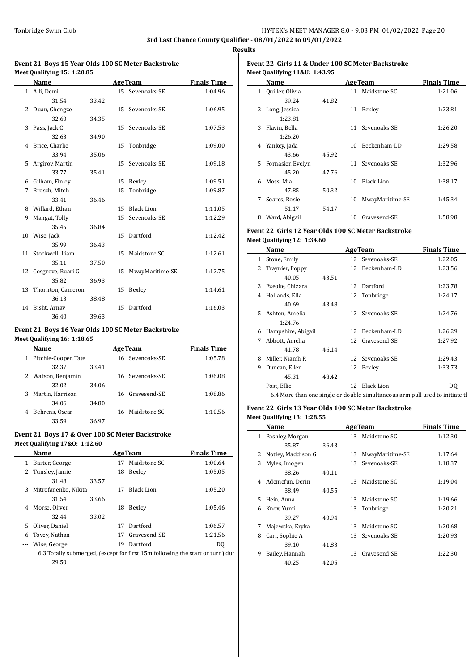$\overline{\phantom{0}}$ 

# **Event 21 Boys 15 Year Olds 100 SC Meter Backstroke Meet Qualifying 15: 1:20.85**

|    | Name               |       |                 | <b>AgeTeam</b>    | <b>Finals Time</b> |
|----|--------------------|-------|-----------------|-------------------|--------------------|
|    | 1 Alli, Demi       |       |                 | 15 Sevenoaks-SE   | 1:04.96            |
|    | 31.54              | 33.42 |                 |                   |                    |
| 2  | Duan, Chengze      |       |                 | 15 Sevenoaks-SE   | 1:06.95            |
|    | 32.60              | 34.35 |                 |                   |                    |
| 3  | Pass, Jack C       |       |                 | 15 Sevenoaks-SE   | 1:07.53            |
|    | 32.63              | 34.90 |                 |                   |                    |
| 4  | Brice, Charlie     |       | 15              | Tonbridge         | 1:09.00            |
|    | 33.94              | 35.06 |                 |                   |                    |
| 5. | Argirov, Martin    |       | 15 <sup>7</sup> | Sevenoaks-SE      | 1:09.18            |
|    | 33.77              | 35.41 |                 |                   |                    |
| 6  | Gilham, Finley     |       | 15              | Bexley            | 1:09.51            |
| 7  | Brosch, Mitch      |       | 15              | Tonbridge         | 1:09.87            |
|    | 33.41              | 36.46 |                 |                   |                    |
|    | 8 Willard, Ethan   |       | 15              | <b>Black Lion</b> | 1:11.05            |
| 9  | Mangat, Tolly      |       | 15              | Sevenoaks-SE      | 1:12.29            |
|    | 35.45              | 36.84 |                 |                   |                    |
|    | 10 Wise, Jack      |       | 15 <sup>7</sup> | Dartford          | 1:12.42            |
|    | 35.99              | 36.43 |                 |                   |                    |
|    | 11 Stockwell, Liam |       | 15              | Maidstone SC      | 1:12.61            |
|    | 35.11              | 37.50 |                 |                   |                    |
| 12 | Cosgrove, Ruari G  |       | 15              | MwayMaritime-SE   | 1:12.75            |
|    | 35.82              | 36.93 |                 |                   |                    |
| 13 | Thornton, Cameron  |       | 15              | Bexley            | 1:14.61            |
|    | 36.13              | 38.48 |                 |                   |                    |
| 14 | Bisht, Arnav       |       | 15              | Dartford          | 1:16.03            |
|    | 36.40              | 39.63 |                 |                   |                    |

# **Event 21 Boys 16 Year Olds 100 SC Meter Backstroke**

**Meet Qualifying 16: 1:18.65**

|   | Name                 |       |     | <b>AgeTeam</b>  | <b>Finals Time</b> |
|---|----------------------|-------|-----|-----------------|--------------------|
| 1 | Pitchie-Cooper, Tate |       |     | 16 Sevenoaks-SE | 1:05.78            |
|   | 32.37                | 33.41 |     |                 |                    |
|   | 2 Watson, Benjamin   |       |     | 16 Sevenoaks-SE | 1:06.08            |
|   | 32.02                | 34.06 |     |                 |                    |
| 3 | Martin, Harrison     |       |     | 16 Gravesend-SE | 1:08.86            |
|   | 34.06                | 34.80 |     |                 |                    |
| 4 | Behrens, Oscar       |       | 16. | Maidstone SC    | 1:10.56            |
|   | 33.59                | 36.97 |     |                 |                    |

# **Event 21 Boys 17 & Over 100 SC Meter Backstroke Meet Qualifying 17&O: 1:12.60**

|    | Name                 | <b>AgeTeam</b> |    |              | <b>Finals Time</b> |
|----|----------------------|----------------|----|--------------|--------------------|
|    | Baster, George       |                | 17 | Maidstone SC | 1:00.64            |
|    | 2 Tunsley, Jamie     |                | 18 | Bexley       | 1:05.05            |
|    | 31.48                | 33.57          |    |              |                    |
| 3  | Mitrofanenko, Nikita |                | 17 | Black Lion   | 1:05.20            |
|    | 31.54                | 33.66          |    |              |                    |
|    | Morse, Oliver        |                | 18 | Bexley       | 1:05.46            |
|    | 32.44                | 33.02          |    |              |                    |
| 5. | Oliver, Daniel       |                | 17 | Dartford     | 1:06.57            |
| 6  | Tovey, Nathan        |                | 17 | Gravesend-SE | 1:21.56            |
|    | Wise, George         |                | 19 | Dartford     | DO.                |
|    |                      |                |    |              |                    |

6.3 Totally submerged, (except for first  $15\mathrm{m}$  following the start or turn) dur 29.50

# **Event 22 Girls 11 & Under 100 SC Meter Backstroke Meet Qualifying 11&U: 1:43.95**

|   | Name              |       |    | <b>AgeTeam</b>    | <b>Finals Time</b> |
|---|-------------------|-------|----|-------------------|--------------------|
| 1 | Quiller, Olivia   |       | 11 | Maidstone SC      | 1:21.06            |
|   | 39.24             | 41.82 |    |                   |                    |
| 2 | Long, Jessica     |       | 11 | Bexley            | 1:23.81            |
|   | 1:23.81           |       |    |                   |                    |
| 3 | Flavin, Bella     |       | 11 | Sevenoaks-SE      | 1:26.20            |
|   | 1:26.20           |       |    |                   |                    |
| 4 | Yankey, Jada      |       | 10 | Beckenham-LD      | 1:29.58            |
|   | 43.66             | 45.92 |    |                   |                    |
| 5 | Fornasier, Evelyn |       | 11 | Sevenoaks-SE      | 1:32.96            |
|   | 45.20             | 47.76 |    |                   |                    |
| 6 | Moss, Mia         |       | 10 | <b>Black Lion</b> | 1:38.17            |
|   | 47.85             | 50.32 |    |                   |                    |
| 7 | Soares, Rosie     |       | 10 | MwayMaritime-SE   | 1:45.34            |
|   | 51.17             | 54.17 |    |                   |                    |
| 8 | Ward, Abigail     |       | 10 | Gravesend-SE      | 1:58.98            |

## **Event 22 Girls 12 Year Olds 100 SC Meter Backstroke Meet Qualifying 12: 1:34.60**

|    | Name               |       |     | <b>AgeTeam</b>                                                                | <b>Finals Time</b> |
|----|--------------------|-------|-----|-------------------------------------------------------------------------------|--------------------|
| 1  | Stone, Emily       |       |     | 12 Sevenoaks-SE                                                               | 1:22.05            |
| 2  | Traynier, Poppy    |       |     | 12 Beckenham-LD                                                               | 1:23.56            |
|    | 40.05              | 43.51 |     |                                                                               |                    |
| 3  | Ezeoke, Chizara    |       | 12. | Dartford                                                                      | 1:23.78            |
| 4  | Hollands, Ella     |       |     | 12 Tonbridge                                                                  | 1:24.17            |
|    | 40.69              | 43.48 |     |                                                                               |                    |
| 5. | Ashton, Amelia     |       |     | 12 Sevenoaks-SE                                                               | 1:24.76            |
|    | 1:24.76            |       |     |                                                                               |                    |
| 6  | Hampshire, Abigail |       | 12  | Beckenham-LD                                                                  | 1:26.29            |
| 7  | Abbott, Amelia     |       |     | 12 Gravesend-SE                                                               | 1:27.92            |
|    | 41.78              | 46.14 |     |                                                                               |                    |
| 8  | Miller, Niamh R    |       |     | 12 Sevenoaks-SE                                                               | 1:29.43            |
| 9  | Duncan, Ellen      |       | 12  | Bexley                                                                        | 1:33.73            |
|    | 45.31              | 48.42 |     |                                                                               |                    |
|    | Post, Ellie        |       | 12  | Black Lion                                                                    | DO.                |
|    |                    |       |     | 6.4 More than one single or double simultaneous arm pull used to initiate the |                    |

# **Event 22 Girls 13 Year Olds 100 SC Meter Backstroke Meet Qualifying 13: 1:28.55**

|   | Name               |       |    | <b>AgeTeam</b>  | <b>Finals Time</b> |
|---|--------------------|-------|----|-----------------|--------------------|
| 1 | Pashley, Morgan    |       |    | 13 Maidstone SC | 1:12.30            |
|   | 35.87              | 36.43 |    |                 |                    |
| 2 | Notley, Maddison G |       | 13 | MwayMaritime-SE | 1:17.64            |
| 3 | Myles, Imogen      |       |    | 13 Sevenoaks-SE | 1:18.37            |
|   | 38.26              | 40.11 |    |                 |                    |
| 4 | Ademefun, Derin    |       | 13 | Maidstone SC    | 1:19.04            |
|   | 38.49              | 40.55 |    |                 |                    |
| 5 | Hein, Anna         |       | 13 | Maidstone SC    | 1:19.66            |
| 6 | Knox, Yumi         |       |    | 13 Tonbridge    | 1:20.21            |
|   | 39.27              | 40.94 |    |                 |                    |
| 7 | Majewska, Eryka    |       | 13 | Maidstone SC    | 1:20.68            |
| 8 | Carr, Sophie A     |       |    | 13 Sevenoaks-SE | 1:20.93            |
|   | 39.10              | 41.83 |    |                 |                    |
| 9 | Bailey, Hannah     |       | 13 | Gravesend-SE    | 1:22.30            |
|   | 40.25              | 42.05 |    |                 |                    |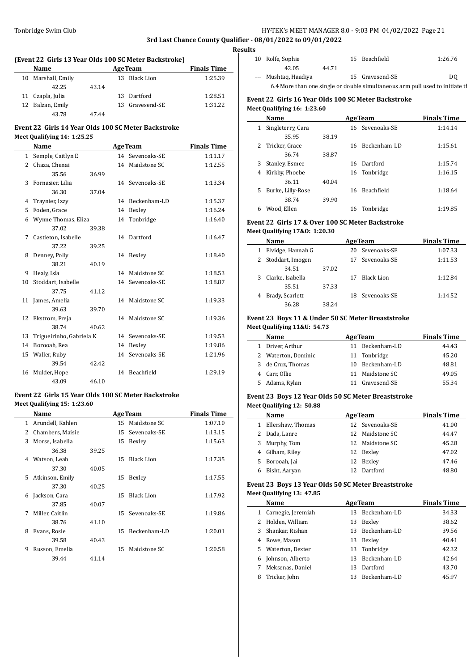$\overline{a}$ 

# Tonbridge Swim Club **HY-TEK's MEET MANAGER 8.0 - 9:03 PM 04/02/2022** Page 21

# **3rd Last Chance County Qualifier - 08/01/2022 to 09/01/2022**

 $\overline{a}$ 

 $\overline{a}$ 

 $\overline{a}$ 

 $\overline{a}$ 

| (Event 22 Girls 13 Year Olds 100 SC Meter Backstroke) |                    |       |     |                 |                    |  |  |  |
|-------------------------------------------------------|--------------------|-------|-----|-----------------|--------------------|--|--|--|
|                                                       | Name               |       |     | <b>AgeTeam</b>  | <b>Finals Time</b> |  |  |  |
|                                                       | 10 Marshall, Emily |       |     | 13 Black Lion   | 1:25.39            |  |  |  |
|                                                       | 42.25              | 43.14 |     |                 |                    |  |  |  |
|                                                       | 11 Czapla, Julia   |       | 13. | Dartford        | 1:28.51            |  |  |  |
|                                                       | 12 Balzan, Emily   |       |     | 13 Gravesend-SE | 1:31.22            |  |  |  |
|                                                       | 43.78              | 47 44 |     |                 |                    |  |  |  |

# **Event 22 Girls 14 Year Olds 100 SC Meter Backstroke Meet Qualifying 14: 1:25.25**

|              | Name                     |       |    | <b>AgeTeam</b>  | <b>Finals Time</b> |
|--------------|--------------------------|-------|----|-----------------|--------------------|
| $\mathbf{1}$ | Semple, Caitlyn E        |       |    | 14 Sevenoaks-SE | 1:11.17            |
| 2            | Chaza, Chenai            |       |    | 14 Maidstone SC | 1:12.55            |
|              | 35.56                    | 36.99 |    |                 |                    |
|              | 3 Fornasier, Lilia       |       |    | 14 Sevenoaks-SE | 1:13.34            |
|              | 36.30                    | 37.04 |    |                 |                    |
| 4            | Traynier, Izzy           |       | 14 | Beckenham-LD    | 1:15.37            |
| 5            | Foden, Grace             |       | 14 | Bexley          | 1:16.24            |
| 6            | Wynne Thomas, Eliza      |       | 14 | Tonbridge       | 1:16.40            |
|              | 37.02                    | 39.38 |    |                 |                    |
| 7            | Castleton, Isabelle      |       |    | 14 Dartford     | 1:16.47            |
|              | 37.22                    | 39.25 |    |                 |                    |
| 8            | Denney, Polly            |       |    | 14 Bexley       | 1:18.40            |
|              | 38.21                    | 40.19 |    |                 |                    |
| 9            | Healy, Isla              |       | 14 | Maidstone SC    | 1:18.53            |
| 10           | Stoddart, Isabelle       |       | 14 | Sevenoaks-SE    | 1:18.87            |
|              | 37.75                    | 41.12 |    |                 |                    |
|              | 11 James, Amelia         |       |    | 14 Maidstone SC | 1:19.33            |
|              | 39.63                    | 39.70 |    |                 |                    |
|              | 12 Ekstrom, Freja        |       | 14 | Maidstone SC    | 1:19.36            |
|              | 38.74                    | 40.62 |    |                 |                    |
| 13           | Trigueirinho, Gabriela K |       | 14 | Sevenoaks-SE    | 1:19.53            |
| 14           | Borooah, Rea             |       | 14 | Bexley          | 1:19.86            |
| 15           | Waller, Ruby             |       | 14 | Sevenoaks-SE    | 1:21.96            |
|              | 39.54                    | 42.42 |    |                 |                    |
| 16           | Mulder, Hope             |       |    | 14 Beachfield   | 1:29.19            |
|              | 43.09                    | 46.10 |    |                 |                    |

# **Event 22 Girls 15 Year Olds 100 SC Meter Backstroke Meet Qualifying 15: 1:23.60**

|    | Name             |       |    | <b>AgeTeam</b>    | <b>Finals Time</b> |
|----|------------------|-------|----|-------------------|--------------------|
| 1  | Arundell, Kahlen |       | 15 | Maidstone SC      | 1:07.10            |
| 2  | Chambers, Maisie |       | 15 | Sevenoaks-SE      | 1:13.15            |
| 3  | Morse, Isabella  |       | 15 | Bexley            | 1:15.63            |
|    | 36.38            | 39.25 |    |                   |                    |
| 4  | Watson, Leah     |       | 15 | <b>Black Lion</b> | 1:17.35            |
|    | 37.30            | 40.05 |    |                   |                    |
| 5. | Atkinson, Emily  |       | 15 | Bexley            | 1:17.55            |
|    | 37.30            | 40.25 |    |                   |                    |
| 6  | Jackson, Cara    |       | 15 | <b>Black Lion</b> | 1:17.92            |
|    | 37.85            | 40.07 |    |                   |                    |
| 7  | Miller, Caitlin  |       |    | 15 Sevenoaks-SE   | 1:19.86            |
|    | 38.76            | 41.10 |    |                   |                    |
| 8  | Evans, Rosie     |       | 15 | Beckenham-LD      | 1:20.01            |
|    | 39.58            | 40.43 |    |                   |                    |
| 9  | Russon, Emelia   |       | 15 | Maidstone SC      | 1:20.58            |
|    | 39.44            | 41.14 |    |                   |                    |

| <b>Results</b> |                      |       |                 |                                                                               |
|----------------|----------------------|-------|-----------------|-------------------------------------------------------------------------------|
|                | 10 Rolfe, Sophie     |       | 15 Beachfield   | 1:26.76                                                                       |
|                | 42.05                | 44.71 |                 |                                                                               |
|                | --- Mushtag, Haadiya |       | 15 Gravesend-SE | DO.                                                                           |
|                |                      |       |                 | 6.4 More than one single or double simultaneous arm pull used to initiate the |

# **Event 22 Girls 16 Year Olds 100 SC Meter Backstroke Meet Qualifying 16: 1:23.60**

|    | Name              | <b>AgeTeam</b> |    |                 | <b>Finals Time</b> |
|----|-------------------|----------------|----|-----------------|--------------------|
| 1  | Singleterry, Cara |                |    | 16 Sevenoaks-SE | 1:14.14            |
|    | 35.95             | 38.19          |    |                 |                    |
|    | 2 Tricker, Grace  |                | 16 | Beckenham-LD    | 1:15.61            |
|    | 36.74             | 38.87          |    |                 |                    |
| 3. | Stanley, Esmee    |                | 16 | Dartford        | 1:15.74            |
| 4  | Kirkby, Phoebe    |                |    | 16 Tonbridge    | 1:16.15            |
|    | 36.11             | 40.04          |    |                 |                    |
| 5  | Burke, Lilly-Rose |                | 16 | Beachfield      | 1:18.64            |
|    | 38.74             | 39.90          |    |                 |                    |
| 6  | Wood. Ellen       |                | 16 | Tonbridge       | 1:19.85            |

# **Event 22 Girls 17 & Over 100 SC Meter Backstroke Meet Qualifying 17&O: 1:20.30**

|   | Name               | <b>AgeTeam</b> |     |                   | <b>Finals Time</b> |
|---|--------------------|----------------|-----|-------------------|--------------------|
|   | Elvidge, Hannah G  |                |     | 20 Sevenoaks-SE   | 1:07.33            |
|   | 2 Stoddart, Imogen |                |     | 17 Sevenoaks-SE   | 1:11.53            |
|   | 34.51              | 37.02          |     |                   |                    |
| 3 | Clarke, Isabella   |                | 17  | <b>Black Lion</b> | 1:12.84            |
|   | 35.51              | 37.33          |     |                   |                    |
|   | Brady, Scarlett    |                | 18. | Sevenoaks-SE      | 1:14.52            |
|   | 36.28              | 38.24          |     |                   |                    |

#### **Event 23 Boys 11 & Under 50 SC Meter Breaststroke Meet Qualifying 11&U: 54.73**

|    | Name                |     | <b>AgeTeam</b>  | <b>Finals Time</b> |
|----|---------------------|-----|-----------------|--------------------|
|    | 1 Driver, Arthur    |     | 11 Beckenham-LD | 44.43              |
|    | 2 Waterton, Dominic |     | 11 Tonbridge    | 45.20              |
|    | 3 de Cruz, Thomas   | 10. | Beckenham-LD    | 48.81              |
|    | Carr, Ollie         |     | 11 Maidstone SC | 49.05              |
| 5. | Adams, Rylan        | 11. | Gravesend-SE    | 55.34              |

# **Event 23 Boys 12 Year Olds 50 SC Meter Breaststroke Meet Qualifying 12: 50.88**

|    | <b>Name</b>       |    | <b>AgeTeam</b>  | <b>Finals Time</b> |
|----|-------------------|----|-----------------|--------------------|
| 1  | Ellershaw, Thomas |    | 12 Sevenoaks-SE | 41.00              |
|    | Dada, Lanre       |    | 12 Maidstone SC | 44.47              |
| 3  | Murphy, Tom       |    | 12 Maidstone SC | 45.28              |
| 4  | Gilham, Riley     |    | 12 Bexley       | 47.02              |
| 5. | Borooah, Jai      | 12 | Bexley          | 47.46              |
|    | Bisht, Aaryan     |    | Dartford        | 48.80              |

#### **Event 23 Boys 13 Year Olds 50 SC Meter Breaststroke Meet Qualifying 13: 47.85**

|    | Name                 |    | <b>AgeTeam</b>  | <b>Finals Time</b> |
|----|----------------------|----|-----------------|--------------------|
|    | 1 Carnegie, Jeremiah |    | 13 Beckenham-LD | 34.33              |
| 2  | Holden, William      | 13 | Bexley          | 38.62              |
| 3  | Shankar, Rishan      |    | 13 Beckenham-LD | 39.56              |
| 4  | Rowe, Mason          |    | 13 Bexley       | 40.41              |
| 5. | Waterton, Dexter     |    | 13 Tonbridge    | 42.32              |
| 6  | Johnson, Alberto     |    | 13 Beckenham-LD | 42.64              |
|    | Meksenas, Daniel     |    | 13 Dartford     | 43.70              |
| 8  | Tricker, John        |    | 13 Beckenham-LD | 45.97              |
|    |                      |    |                 |                    |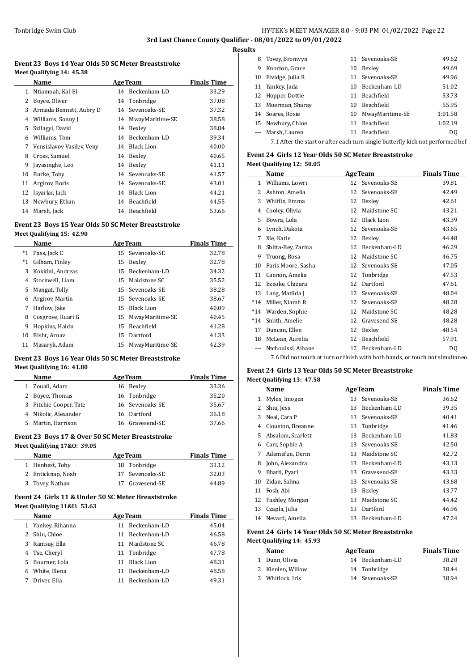# Tonbridge Swim Club **HY-TEK's MEET MANAGER 8.0 - 9:03 PM 04/02/2022** Page 22 **3rd Last Chance County Qualifier - 08/01/2022 to 09/01/2022**

**Results**

 $\overline{a}$ 

L,

ц.

# **Event 23 Boys 14 Year Olds 50 SC Meter Breaststroke Meet Qualifying 14: 45.38**

|    | Name                      |    | <b>AgeTeam</b>     | <b>Finals Time</b> |
|----|---------------------------|----|--------------------|--------------------|
| 1  | Ntiamoah, Kal-El          | 14 | Beckenham-LD       | 33.29              |
| 2  | Boyce, Oliver             |    | 14 Tonbridge       | 37.08              |
| 3  | Armada Bennett, Aubry D   | 14 | Sevenoaks-SE       | 37.32              |
| 4  | Williams, Sonny J         |    | 14 MwayMaritime-SE | 38.58              |
| 5. | Szilagyi, David           | 14 | Bexley             | 38.84              |
| 6  | Williams, Tom             |    | 14 Beckenham-LD    | 39.34              |
| 7  | Vensislavov Vasilev, Veny | 14 | Black Lion         | 40.00              |
| 8  | Cross, Samuel             | 14 | Bexley             | 40.65              |
| 9  | Jayasinghe, Leo           | 14 | Bexley             | 41.11              |
| 10 | Burke, Toby               |    | 14 Sevenoaks-SE    | 41.57              |
| 11 | Argirov, Boris            |    | 14 Sevenoaks-SE    | 43.01              |
| 12 | Isyarlar, Jack            | 14 | Black Lion         | 44.21              |
| 13 | Newbury, Ethan            | 14 | Beachfield         | 44.55              |
| 14 | Marsh, Jack               | 14 | Beachfield         | 53.66              |

## **Event 23 Boys 15 Year Olds 50 SC Meter Breaststroke Meet Qualifying 15: 42.90**

|       | Name              | <b>AgeTeam</b> | <b>Finals Time</b> |       |
|-------|-------------------|----------------|--------------------|-------|
| $^*1$ | Pass, Jack C      |                | 15 Sevenoaks-SE    | 32.78 |
| $^*1$ | Gilham, Finley    | 15             | Bexley             | 32.78 |
| 3     | Kokkini, Andreas  |                | 15 Beckenham-LD    | 34.32 |
| 4     | Stockwell, Liam   | 15             | Maidstone SC       | 35.52 |
| 5     | Mangat, Tolly     |                | 15 Sevenoaks-SE    | 38.28 |
| 6     | Argirov, Martin   |                | 15 Sevenoaks-SE    | 38.67 |
| 7     | Harlow, Jake      | 15.            | Black Lion         | 40.09 |
| 8     | Cosgrove, Ruari G | 15             | MwayMaritime-SE    | 40.45 |
| 9     | Hopkins, Haidn    | 15             | Beachfield         | 41.28 |
| 10    | Bisht, Arnav      | 15             | Dartford           | 41.33 |
| 11    | Masaryk, Adam     | 15             | MwayMaritime-SE    | 42.39 |

## **Event 23 Boys 16 Year Olds 50 SC Meter Breaststroke Meet Qualifying 16: 41.80**

|   | Name                   | <b>AgeTeam</b> |                 | <b>Finals Time</b> |
|---|------------------------|----------------|-----------------|--------------------|
|   | 1 Zouali, Adam         |                | 16 Bexley       | 33.36              |
|   | 2 Boyce, Thomas        |                | 16 Tonbridge    | 35.20              |
|   | 3 Pitchie-Cooper, Tate |                | 16 Sevenoaks-SE | 35.67              |
|   | 4 Nikolic, Alexander   |                | 16 Dartford     | 36.18              |
| 5 | Martin, Harrison       |                | 16 Gravesend-SE | 37.66              |

# **Event 23 Boys 17 & Over 50 SC Meter Breaststroke Meet Qualifying 17&O: 39.05**

| <b>Name</b>       | <b>AgeTeam</b>  | <b>Finals Time</b> |
|-------------------|-----------------|--------------------|
| 1 Henbest, Toby   | 18 Tonbridge    | 31.12              |
| 2 Enticknap, Noah | 17 Sevenoaks-SE | 32.03              |
| 3 Tovey, Nathan   | 17 Gravesend-SE | 44.89              |

## **Event 24 Girls 11 & Under 50 SC Meter Breaststroke Meet Qualifying 11&U: 53.63**

|    | <b>Name</b>       |    | <b>AgeTeam</b>    | <b>Finals Time</b> |
|----|-------------------|----|-------------------|--------------------|
|    | 1 Yankey, Rihanna | 11 | Beckenham-LD      | 45.04              |
| 2  | Shiu, Chloe       | 11 | Beckenham-LD      | 46.58              |
| 3  | Ramsay, Ella      | 11 | Maidstone SC      | 46.78              |
| 4  | Tse, Cheryl       |    | 11 Tonbridge      | 47.78              |
| 5. | Bourner, Lola     | 11 | <b>Black Lion</b> | 48.31              |
| 6  | White, Elena      | 11 | Beckenham-LD      | 48.58              |
|    | Driver, Ella      | 11 | Beckenham-LD      | 49.31              |
|    |                   |    |                   |                    |

| 8                    | Tovey, Bronwyn                                                                 |    | 11 Sevenoaks-SE   | 49.62   |
|----------------------|--------------------------------------------------------------------------------|----|-------------------|---------|
| 9                    | Knorton, Grace                                                                 | 10 | Bexley            | 49.69   |
| 10                   | Elvidge, Julia R                                                               |    | 11 Sevenoaks-SE   | 49.96   |
|                      | 11 Yankey, Jada                                                                | 10 | Beckenham-LD      | 51.02   |
|                      | 12 Hopper, Dottie                                                              | 11 | <b>Beachfield</b> | 53.73   |
|                      | 13 Moerman, Sharay                                                             | 10 | <b>Beachfield</b> | 55.95   |
| 14                   | Soares, Rosie                                                                  | 10 | MwayMaritime-SE   | 1:01.58 |
|                      | 15 Newbury, Chloe                                                              | 11 | <b>Beachfield</b> | 1:02.19 |
| $\sim$ $\sim$ $\sim$ | Marsh, Lauren                                                                  | 11 | <b>Beachfield</b> | DO.     |
|                      | 7.1 After the start or after each turn single butterfly kick not performed bef |    |                   |         |

# **Event 24 Girls 12 Year Olds 50 SC Meter Breaststroke Meet Qualifying 12: 50.05**

|              | Name                                                                         |    | <b>AgeTeam</b>    | <b>Finals Time</b> |
|--------------|------------------------------------------------------------------------------|----|-------------------|--------------------|
| $\mathbf{1}$ | Williams, Lowri                                                              | 12 | Sevenoaks-SE      | 39.81              |
| 2            | Ashton, Amelia                                                               | 12 | Sevenoaks-SE      | 42.49              |
| 3            | Whiffin, Emma                                                                | 12 | Bexley            | 42.61              |
| 4            | Cooley, Olivia                                                               | 12 | Maidstone SC      | 43.21              |
| 5            | Bowra, Lola                                                                  | 12 | <b>Black Lion</b> | 43.39              |
| 6            | Lynch, Dakota                                                                | 12 | Sevenoaks-SE      | 43.65              |
| 7            | Xie, Katie                                                                   | 12 | Bexley            | 44.48              |
| 8            | Shitta-Bey, Zarina                                                           | 12 | Beckenham-LD      | 46.29              |
| 9            | Truong, Rosa                                                                 | 12 | Maidstone SC      | 46.75              |
| 10           | Paris Moore, Sasha                                                           | 12 | Sevenoaks-SE      | 47.05              |
| 11           | Cannon, Amelia                                                               | 12 | Tonbridge         | 47.53              |
| 12           | Ezeoke, Chizara                                                              | 12 | Dartford          | 47.61              |
| 13           | Lang, Matilda J                                                              | 12 | Sevenoaks-SE      | 48.04              |
| $*14$        | Miller, Niamh R                                                              | 12 | Sevenoaks-SE      | 48.28              |
| $*14$        | Warden, Sophie                                                               | 12 | Maidstone SC      | 48.28              |
| $*14$        | Smith, Amelie                                                                | 12 | Gravesend-SE      | 48.28              |
| 17           | Duncan, Ellen                                                                | 12 | Bexley            | 48.54              |
| 18           | McLean, Aurelia                                                              | 12 | Beachfield        | 57.91              |
|              | Ntchouissi, Albane                                                           | 12 | Beckenham-LD      | DQ                 |
|              | 7.6 Did not touch at turn or finish with both hands, or touch not simultaneo |    |                   |                    |

# **Event 24 Girls 13 Year Olds 50 SC Meter Breaststroke Meet Qualifying 13: 47.58**

|              | Name              |    | <b>AgeTeam</b>  | <b>Finals Time</b> |
|--------------|-------------------|----|-----------------|--------------------|
| $\mathbf{1}$ | Myles, Imogen     |    | 13 Sevenoaks-SE | 36.62              |
| 2            | Shiu, Jess        | 13 | Beckenham-LD    | 39.35              |
| 3            | Neal, Cara P      | 13 | Sevenoaks-SE    | 40.41              |
| 4            | Clouston, Breanne | 13 | Tonbridge       | 41.46              |
| 5.           | Absalom, Scarlett | 13 | Beckenham-LD    | 41.83              |
| 6            | Carr, Sophie A    | 13 | Sevenoaks-SE    | 42.50              |
| 7            | Ademefun, Derin   | 13 | Maidstone SC    | 42.72              |
| 8            | John, Alexandra   | 13 | Beckenham-LD    | 43.13              |
| 9            | Bhatti, Pyari     | 13 | Gravesend-SE    | 43.33              |
| 10           | Zidan, Salma      | 13 | Sevenoaks-SE    | 43.68              |
| 11           | Fosh, Abi         | 13 | Bexley          | 43.77              |
| 12           | Pashley, Morgan   | 13 | Maidstone SC    | 44.42              |
| 13           | Czapla, Julia     | 13 | Dartford        | 46.96              |
| 14           | Nevard, Amelia    | 13 | Beckenham-LD    | 47.24              |

## **Event 24 Girls 14 Year Olds 50 SC Meter Breaststroke Meet Qualifying 14: 45.93**

| Name            | <b>AgeTeam</b>  | <b>Finals Time</b> |
|-----------------|-----------------|--------------------|
| 1 Dunn, Olivia  | 14 Beckenham-LD | 38.20              |
| Kienlen, Willow | 14 Tonbridge    | 38.44              |
| Whitlock, Iris  | 14 Sevenoaks-SE | 38.94              |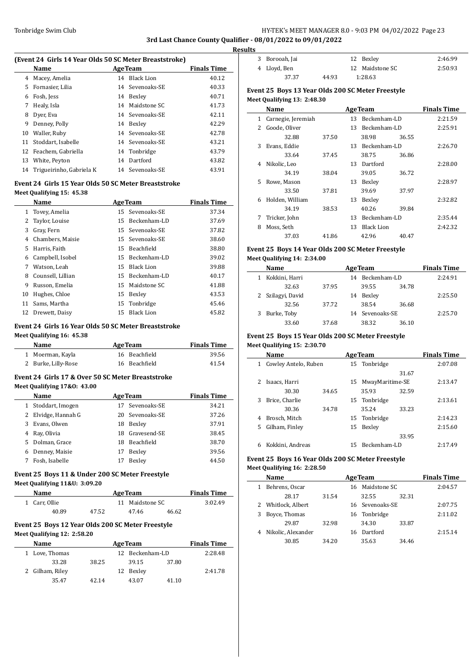# Tonbridge Swim Club **HY-TEK's MEET MANAGER 8.0 - 9:03 PM 04/02/2022** Page 23 **3rd Last Chance County Qualifier - 08/01/2022 to 09/01/2022**

**Results**

#### **(Event 24 Girls 14 Year Olds 50 SC Meter Breaststroke)**

|    | Name                     | <b>AgeTeam</b>  | <b>Finals Time</b> |
|----|--------------------------|-----------------|--------------------|
| 4  | Macey, Amelia            | 14 Black Lion   | 40.12              |
| 5  | Fornasier, Lilia         | 14 Sevenoaks-SE | 40.33              |
| 6  | Fosh, Jess               | 14 Bexley       | 40.71              |
| 7  | Healy, Isla              | 14 Maidstone SC | 41.73              |
| 8  | Dyer, Eva                | 14 Sevenoaks-SE | 42.11              |
| 9  | Denney, Polly            | 14 Bexley       | 42.29              |
| 10 | Waller, Ruby             | 14 Sevenoaks-SE | 42.78              |
| 11 | Stoddart, Isabelle       | 14 Sevenoaks-SE | 43.21              |
|    | 12 Feachem, Gabriella    | 14 Tonbridge    | 43.79              |
| 13 | White, Peyton            | 14 Dartford     | 43.82              |
| 14 | Trigueirinho, Gabriela K | 14 Sevenoaks-SE | 43.91              |
|    |                          |                 |                    |

#### **Event 24 Girls 15 Year Olds 50 SC Meter Breaststroke Meet Qualifying 15: 45.38**

|    | Name              |    | <b>AgeTeam</b>  | <b>Finals Time</b> |
|----|-------------------|----|-----------------|--------------------|
|    | 1 Tovey, Amelia   |    | 15 Sevenoaks-SE | 37.34              |
| 2  | Taylor, Louise    | 15 | Beckenham-LD    | 37.69              |
| 3  | Gray, Fern        |    | 15 Sevenoaks-SE | 37.82              |
| 4  | Chambers, Maisie  |    | 15 Sevenoaks-SE | 38.60              |
| 5. | Harris, Faith     | 15 | Beachfield      | 38.80              |
| 6  | Campbell, Isobel  | 15 | Beckenham-LD    | 39.02              |
| 7  | Watson, Leah      |    | 15 Black Lion   | 39.88              |
| 8  | Counsell, Lillian |    | 15 Beckenham-LD | 40.17              |
| 9  | Russon, Emelia    |    | 15 Maidstone SC | 41.88              |
| 10 | Hughes, Chloe     | 15 | Bexley          | 43.53              |
| 11 | Sams. Martha      |    | 15 Tonbridge    | 45.46              |
| 12 | Drewett, Daisy    | 15 | Black Lion      | 45.82              |

#### **Event 24 Girls 16 Year Olds 50 SC Meter Breaststroke Meet Qualifying 16: 45.38**

| Name                | <b>AgeTeam</b> | <b>Finals Time</b> |
|---------------------|----------------|--------------------|
| 1 Moerman, Kayla    | 16 Beachfield  | 39.56              |
| 2 Burke, Lilly-Rose | 16 Beachfield  | 41.54              |

## **Event 24 Girls 17 & Over 50 SC Meter Breaststroke Meet Qualifying 17&O: 43.00**

|    | <b>Name</b>       |    | <b>AgeTeam</b>  | <b>Finals Time</b> |
|----|-------------------|----|-----------------|--------------------|
| 1  | Stoddart, Imogen  | 17 | Sevenoaks-SE    | 34.21              |
| 2  | Elvidge, Hannah G |    | 20 Sevenoaks-SE | 37.26              |
| 3. | Evans, Olwen      | 18 | Bexley          | 37.91              |
|    | Ray, Olivia       |    | 18 Gravesend-SE | 38.45              |
| 5. | Dolman, Grace     | 18 | Beachfield      | 38.70              |
| 6  | Denney, Maisie    | 17 | Bexley          | 39.56              |
|    | Fosh, Isabelle    |    | Bexley          | 44.50              |
|    |                   |    |                 |                    |

# **Event 25 Boys 11 & Under 200 SC Meter Freestyle**

## **Meet Qualifying 11&U: 3:09.20**

| <b>Name</b>   | <b>AgeTeam</b> |  |                 |       | <b>Finals Time</b> |
|---------------|----------------|--|-----------------|-------|--------------------|
| 1 Carr. Ollie |                |  | 11 Maidstone SC |       | 3:02.49            |
| 40.89         | 47.52          |  | 47.46           | 46.62 |                    |

#### **Event 25 Boys 12 Year Olds 200 SC Meter Freestyle Meet Qualifying 12: 2:58.20**

| <b>Name</b>     | <b>AgeTeam</b> | <b>Finals Time</b> |       |         |
|-----------------|----------------|--------------------|-------|---------|
| 1 Love, Thomas  |                | 12 Beckenham-LD    |       | 2:28.48 |
| 33.28           | 38.25          | 39.15              | 37.80 |         |
| 2 Gilham, Riley |                | 12 Bexley          |       | 2:41.78 |
| 35.47           | 42.14          | 43.07              | 41.10 |         |

| 3 Borooah, Jai |       | 12 Bexley       | 2:46.99 |
|----------------|-------|-----------------|---------|
| 4 Lloyd, Ben   |       | 12 Maidstone SC | 2:50.93 |
| 37.37          | 44.93 | 1:28.63         |         |

## **Event 25 Boys 13 Year Olds 200 SC Meter Freestyle Meet Qualifying 13: 2:48.30**

|    | Name               |       |    | <b>AgeTeam</b> |       | <b>Finals Time</b> |
|----|--------------------|-------|----|----------------|-------|--------------------|
| 1  | Carnegie, Jeremiah |       | 13 | Beckenham-LD   |       | 2:21.59            |
| 2  | Goode, Oliver      |       | 13 | Beckenham-LD   |       | 2:25.91            |
|    | 32.88              | 37.50 |    | 38.98          | 36.55 |                    |
| 3  | Evans, Eddie       |       | 13 | Beckenham-LD   |       | 2:26.70            |
|    | 33.64              | 37.45 |    | 38.75          | 36.86 |                    |
| 4  | Nikolic, Leo       |       | 13 | Dartford       |       | 2:28.00            |
|    | 34.19              | 38.04 |    | 39.05          | 36.72 |                    |
| 5. | Rowe, Mason        |       | 13 | Bexley         |       | 2:28.97            |
|    | 33.50              | 37.81 |    | 39.69          | 37.97 |                    |
| 6  | Holden, William    |       | 13 | Bexley         |       | 2:32.82            |
|    | 34.19              | 38.53 |    | 40.26          | 39.84 |                    |
| 7  | Tricker, John      |       | 13 | Beckenham-LD   |       | 2:35.44            |
| 8  | Moss, Seth         |       | 13 | Black Lion     |       | 2:42.32            |
|    | 37.03              | 41.86 |    | 42.96          | 40.47 |                    |

# **Event 25 Boys 14 Year Olds 200 SC Meter Freestyle**

#### **Meet Qualifying 14: 2:34.00**

|   | Name              | <b>AgeTeam</b> | <b>Finals Time</b> |         |
|---|-------------------|----------------|--------------------|---------|
| 1 | Kokkini, Harri    |                | 14 Beckenham-LD    | 2:24.91 |
|   | 32.63             | 37.95          | 39.55<br>34.78     |         |
|   | 2 Szilagyi, David |                | Bexley<br>14       | 2:25.50 |
|   | 32.56             | 37.72          | 38.54<br>36.68     |         |
|   | 3 Burke, Toby     |                | 14 Sevenoaks-SE    | 2:25.70 |
|   | 33.60             | 37.68          | 38.32<br>36.10     |         |

#### **Event 25 Boys 15 Year Olds 200 SC Meter Freestyle Meet Qualifying 15: 2:30.70**

|    | Name                 |       |     | <b>AgeTeam</b>  |       | <b>Finals Time</b> |
|----|----------------------|-------|-----|-----------------|-------|--------------------|
| 1  | Cowley Antelo, Ruben |       |     | 15 Tonbridge    |       | 2:07.08            |
|    |                      |       |     |                 | 31.67 |                    |
| 2  | Isaacs, Harri        |       | 15  | MwayMaritime-SE |       | 2:13.47            |
|    | 30.30                | 34.65 |     | 35.93           | 32.59 |                    |
| 3  | Brice, Charlie       |       |     | 15 Tonbridge    |       | 2:13.61            |
|    | 30.36                | 34.78 |     | 35.24           | 33.23 |                    |
| 4  | Brosch, Mitch        |       | 15  | Tonbridge       |       | 2:14.23            |
| 5. | Gilham, Finley       |       | 15  | Bexley          |       | 2:15.60            |
|    |                      |       |     |                 | 33.95 |                    |
| 6  | Kokkini, Andreas     |       | 15. | Beckenham-LD    |       | 2:17.49            |

#### **Event 25 Boys 16 Year Olds 200 SC Meter Freestyle Meet Qualifying 16: 2:28.50**

|   | Name               | <b>AgeTeam</b> |    |                 |       | <b>Finals Time</b> |
|---|--------------------|----------------|----|-----------------|-------|--------------------|
| 1 | Behrens, Oscar     |                |    | 16 Maidstone SC |       | 2:04.57            |
|   | 28.17              | 31.54          |    | 32.55           | 32.31 |                    |
|   | 2 Whitlock, Albert |                |    | 16 Sevenoaks-SE |       | 2:07.75            |
| 3 | Boyce, Thomas      |                |    | 16 Tonbridge    |       | 2:11.02            |
|   | 29.87              | 32.98          |    | 34.30           | 33.87 |                    |
| 4 | Nikolic, Alexander |                | 16 | Dartford        |       | 2:15.14            |
|   | 30.85              | 34.20          |    | 35.63           | 34.46 |                    |